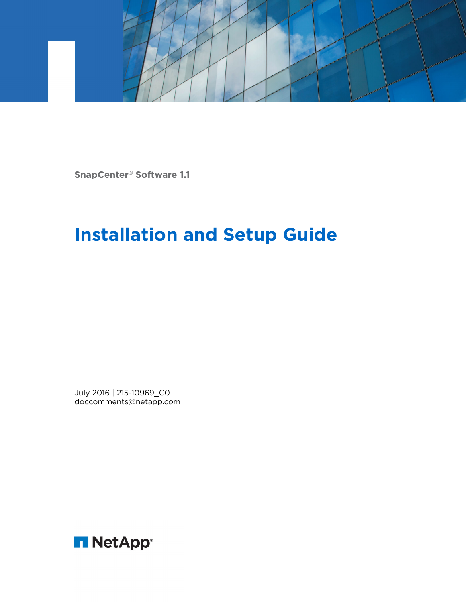

**SnapCenter**® **Software 1.1**

# **Installation and Setup Guide**

July 2016 | 215-10969\_C0 doccomments@netapp.com

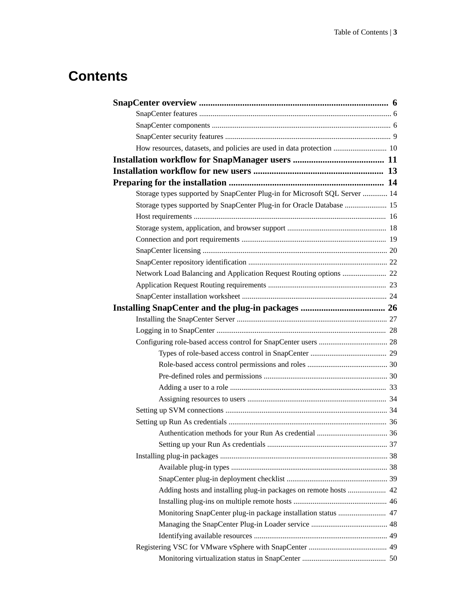# **Contents**

| How resources, datasets, and policies are used in data protection  10      |  |
|----------------------------------------------------------------------------|--|
|                                                                            |  |
|                                                                            |  |
|                                                                            |  |
| Storage types supported by SnapCenter Plug-in for Microsoft SQL Server  14 |  |
| Storage types supported by SnapCenter Plug-in for Oracle Database  15      |  |
|                                                                            |  |
|                                                                            |  |
|                                                                            |  |
|                                                                            |  |
|                                                                            |  |
|                                                                            |  |
|                                                                            |  |
|                                                                            |  |
|                                                                            |  |
|                                                                            |  |
|                                                                            |  |
|                                                                            |  |
|                                                                            |  |
|                                                                            |  |
|                                                                            |  |
|                                                                            |  |
|                                                                            |  |
|                                                                            |  |
|                                                                            |  |
|                                                                            |  |
|                                                                            |  |
|                                                                            |  |
|                                                                            |  |
|                                                                            |  |
| Adding hosts and installing plug-in packages on remote hosts  42           |  |
|                                                                            |  |
| Monitoring SnapCenter plug-in package installation status  47              |  |
|                                                                            |  |
|                                                                            |  |
|                                                                            |  |
|                                                                            |  |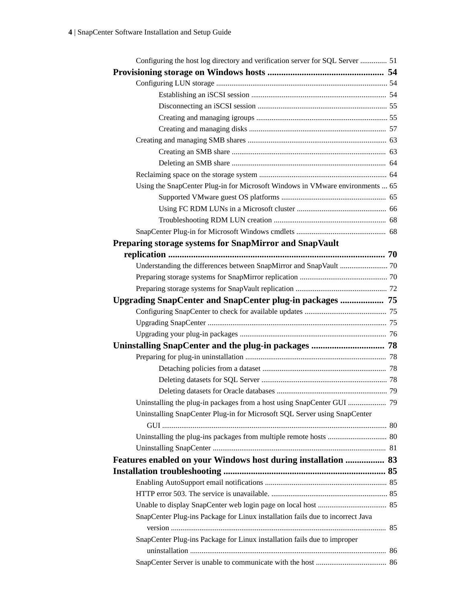| Configuring the host log directory and verification server for SQL Server  51  |  |
|--------------------------------------------------------------------------------|--|
|                                                                                |  |
|                                                                                |  |
|                                                                                |  |
|                                                                                |  |
|                                                                                |  |
|                                                                                |  |
|                                                                                |  |
|                                                                                |  |
|                                                                                |  |
|                                                                                |  |
| Using the SnapCenter Plug-in for Microsoft Windows in VMware environments  65  |  |
|                                                                                |  |
|                                                                                |  |
|                                                                                |  |
|                                                                                |  |
| Preparing storage systems for SnapMirror and SnapVault                         |  |
|                                                                                |  |
|                                                                                |  |
|                                                                                |  |
|                                                                                |  |
|                                                                                |  |
|                                                                                |  |
|                                                                                |  |
|                                                                                |  |
|                                                                                |  |
|                                                                                |  |
|                                                                                |  |
|                                                                                |  |
|                                                                                |  |
|                                                                                |  |
| Uninstalling SnapCenter Plug-in for Microsoft SQL Server using SnapCenter      |  |
|                                                                                |  |
|                                                                                |  |
|                                                                                |  |
| Features enabled on your Windows host during installation  83                  |  |
|                                                                                |  |
|                                                                                |  |
|                                                                                |  |
|                                                                                |  |
| SnapCenter Plug-ins Package for Linux installation fails due to incorrect Java |  |
| SnapCenter Plug-ins Package for Linux installation fails due to improper       |  |
|                                                                                |  |
|                                                                                |  |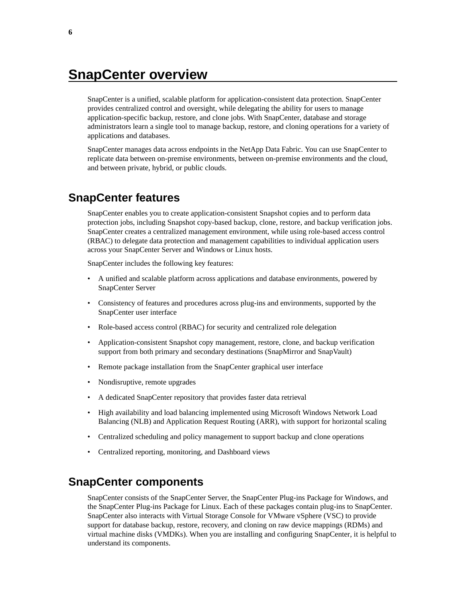# <span id="page-5-0"></span>**SnapCenter overview**

SnapCenter is a unified, scalable platform for application-consistent data protection. SnapCenter provides centralized control and oversight, while delegating the ability for users to manage application-specific backup, restore, and clone jobs. With SnapCenter, database and storage administrators learn a single tool to manage backup, restore, and cloning operations for a variety of applications and databases.

SnapCenter manages data across endpoints in the NetApp Data Fabric. You can use SnapCenter to replicate data between on-premise environments, between on-premise environments and the cloud, and between private, hybrid, or public clouds.

## **SnapCenter features**

SnapCenter enables you to create application-consistent Snapshot copies and to perform data protection jobs, including Snapshot copy-based backup, clone, restore, and backup verification jobs. SnapCenter creates a centralized management environment, while using role-based access control (RBAC) to delegate data protection and management capabilities to individual application users across your SnapCenter Server and Windows or Linux hosts.

SnapCenter includes the following key features:

- A unified and scalable platform across applications and database environments, powered by SnapCenter Server
- Consistency of features and procedures across plug-ins and environments, supported by the SnapCenter user interface
- Role-based access control (RBAC) for security and centralized role delegation
- Application-consistent Snapshot copy management, restore, clone, and backup verification support from both primary and secondary destinations (SnapMirror and SnapVault)
- Remote package installation from the SnapCenter graphical user interface
- Nondisruptive, remote upgrades
- A dedicated SnapCenter repository that provides faster data retrieval
- High availability and load balancing implemented using Microsoft Windows Network Load Balancing (NLB) and Application Request Routing (ARR), with support for horizontal scaling
- Centralized scheduling and policy management to support backup and clone operations
- Centralized reporting, monitoring, and Dashboard views

### **SnapCenter components**

SnapCenter consists of the SnapCenter Server, the SnapCenter Plug-ins Package for Windows, and the SnapCenter Plug-ins Package for Linux. Each of these packages contain plug-ins to SnapCenter. SnapCenter also interacts with Virtual Storage Console for VMware vSphere (VSC) to provide support for database backup, restore, recovery, and cloning on raw device mappings (RDMs) and virtual machine disks (VMDKs). When you are installing and configuring SnapCenter, it is helpful to understand its components.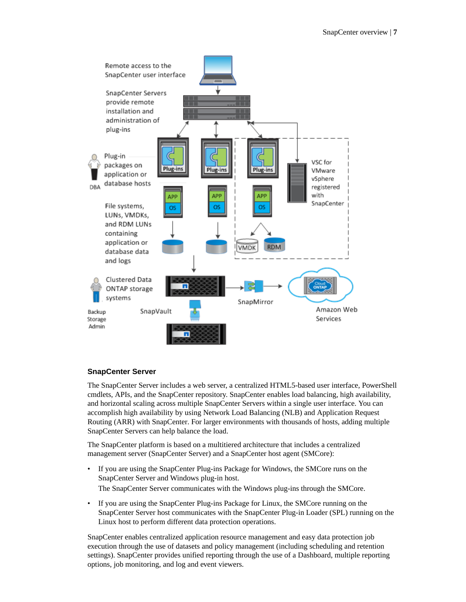

### **SnapCenter Server**

The SnapCenter Server includes a web server, a centralized HTML5-based user interface, PowerShell cmdlets, APIs, and the SnapCenter repository. SnapCenter enables load balancing, high availability, and horizontal scaling across multiple SnapCenter Servers within a single user interface. You can accomplish high availability by using Network Load Balancing (NLB) and Application Request Routing (ARR) with SnapCenter. For larger environments with thousands of hosts, adding multiple SnapCenter Servers can help balance the load.

The SnapCenter platform is based on a multitiered architecture that includes a centralized management server (SnapCenter Server) and a SnapCenter host agent (SMCore):

- If you are using the SnapCenter Plug-ins Package for Windows, the SMCore runs on the SnapCenter Server and Windows plug-in host. The SnapCenter Server communicates with the Windows plug-ins through the SMCore.
- If you are using the SnapCenter Plug-ins Package for Linux, the SMCore running on the SnapCenter Server host communicates with the SnapCenter Plug-in Loader (SPL) running on the Linux host to perform different data protection operations.

SnapCenter enables centralized application resource management and easy data protection job execution through the use of datasets and policy management (including scheduling and retention settings). SnapCenter provides unified reporting through the use of a Dashboard, multiple reporting options, job monitoring, and log and event viewers.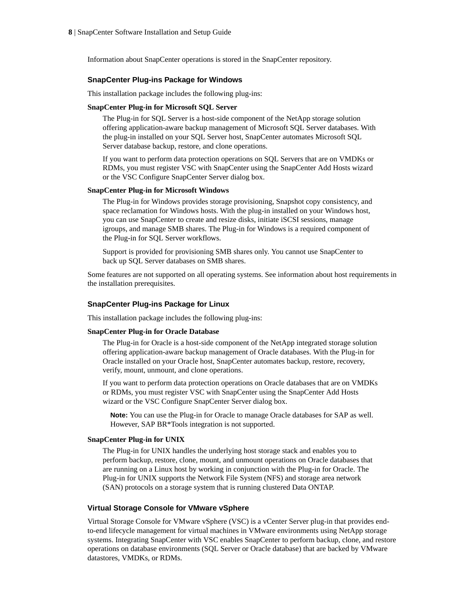Information about SnapCenter operations is stored in the SnapCenter repository.

#### **SnapCenter Plug-ins Package for Windows**

This installation package includes the following plug-ins:

#### **SnapCenter Plug-in for Microsoft SQL Server**

The Plug-in for SQL Server is a host-side component of the NetApp storage solution offering application-aware backup management of Microsoft SQL Server databases. With the plug-in installed on your SQL Server host, SnapCenter automates Microsoft SQL Server database backup, restore, and clone operations.

If you want to perform data protection operations on SQL Servers that are on VMDKs or RDMs, you must register VSC with SnapCenter using the SnapCenter Add Hosts wizard or the VSC Configure SnapCenter Server dialog box.

#### **SnapCenter Plug-in for Microsoft Windows**

The Plug-in for Windows provides storage provisioning, Snapshot copy consistency, and space reclamation for Windows hosts. With the plug-in installed on your Windows host, you can use SnapCenter to create and resize disks, initiate iSCSI sessions, manage igroups, and manage SMB shares. The Plug-in for Windows is a required component of the Plug-in for SQL Server workflows.

Support is provided for provisioning SMB shares only. You cannot use SnapCenter to back up SQL Server databases on SMB shares.

Some features are not supported on all operating systems. See information about host requirements in the installation prerequisites.

#### **SnapCenter Plug-ins Package for Linux**

This installation package includes the following plug-ins:

#### **SnapCenter Plug-in for Oracle Database**

The Plug-in for Oracle is a host-side component of the NetApp integrated storage solution offering application-aware backup management of Oracle databases. With the Plug-in for Oracle installed on your Oracle host, SnapCenter automates backup, restore, recovery, verify, mount, unmount, and clone operations.

If you want to perform data protection operations on Oracle databases that are on VMDKs or RDMs, you must register VSC with SnapCenter using the SnapCenter Add Hosts wizard or the VSC Configure SnapCenter Server dialog box.

**Note:** You can use the Plug-in for Oracle to manage Oracle databases for SAP as well. However, SAP BR\*Tools integration is not supported.

#### **SnapCenter Plug-in for UNIX**

The Plug-in for UNIX handles the underlying host storage stack and enables you to perform backup, restore, clone, mount, and unmount operations on Oracle databases that are running on a Linux host by working in conjunction with the Plug-in for Oracle. The Plug-in for UNIX supports the Network File System (NFS) and storage area network (SAN) protocols on a storage system that is running clustered Data ONTAP.

#### **Virtual Storage Console for VMware vSphere**

Virtual Storage Console for VMware vSphere (VSC) is a vCenter Server plug-in that provides endto-end lifecycle management for virtual machines in VMware environments using NetApp storage systems. Integrating SnapCenter with VSC enables SnapCenter to perform backup, clone, and restore operations on database environments (SQL Server or Oracle database) that are backed by VMware datastores, VMDKs, or RDMs.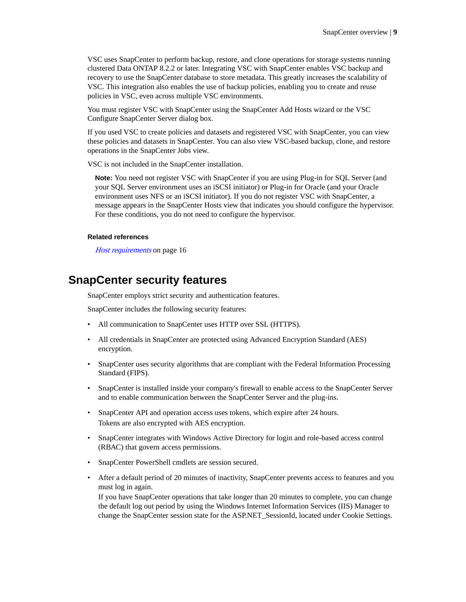<span id="page-8-0"></span>VSC uses SnapCenter to perform backup, restore, and clone operations for storage systems running clustered Data ONTAP 8.2.2 or later. Integrating VSC with SnapCenter enables VSC backup and recovery to use the SnapCenter database to store metadata. This greatly increases the scalability of VSC. This integration also enables the use of backup policies, enabling you to create and reuse policies in VSC, even across multiple VSC environments.

You must register VSC with SnapCenter using the SnapCenter Add Hosts wizard or the VSC Configure SnapCenter Server dialog box.

If you used VSC to create policies and datasets and registered VSC with SnapCenter, you can view these policies and datasets in SnapCenter. You can also view VSC-based backup, clone, and restore operations in the SnapCenter Jobs view.

VSC is not included in the SnapCenter installation.

**Note:** You need not register VSC with SnapCenter if you are using Plug-in for SQL Server (and your SQL Server environment uses an iSCSI initiator) or Plug-in for Oracle (and your Oracle environment uses NFS or an iSCSI initiator). If you do not register VSC with SnapCenter, a message appears in the SnapCenter Hosts view that indicates you should configure the hypervisor. For these conditions, you do not need to configure the hypervisor.

#### **Related references**

[Host requirements](#page-15-0) on page 16

### **SnapCenter security features**

SnapCenter employs strict security and authentication features.

SnapCenter includes the following security features:

- All communication to SnapCenter uses HTTP over SSL (HTTPS).
- All credentials in SnapCenter are protected using Advanced Encryption Standard (AES) encryption.
- SnapCenter uses security algorithms that are compliant with the Federal Information Processing Standard (FIPS).
- SnapCenter is installed inside your company's firewall to enable access to the SnapCenter Server and to enable communication between the SnapCenter Server and the plug-ins.
- SnapCenter API and operation access uses tokens, which expire after 24 hours. Tokens are also encrypted with AES encryption.
- SnapCenter integrates with Windows Active Directory for login and role-based access control (RBAC) that govern access permissions.
- SnapCenter PowerShell cmdlets are session secured.
- After a default period of 20 minutes of inactivity, SnapCenter prevents access to features and you must log in again.

If you have SnapCenter operations that take longer than 20 minutes to complete, you can change the default log out period by using the Windows Internet Information Services (IIS) Manager to change the SnapCenter session state for the ASP.NET\_SessionId, located under Cookie Settings.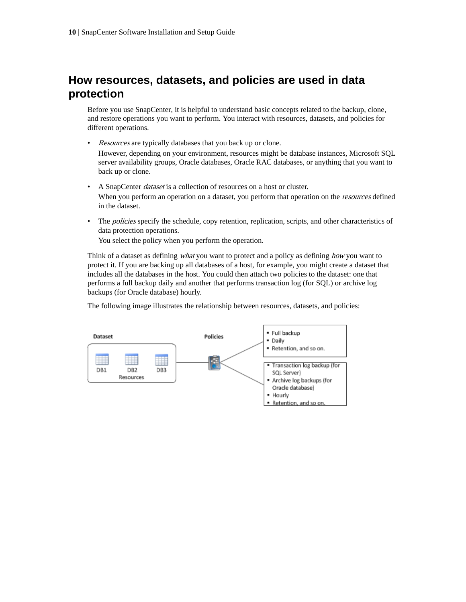## <span id="page-9-0"></span>**How resources, datasets, and policies are used in data protection**

Before you use SnapCenter, it is helpful to understand basic concepts related to the backup, clone, and restore operations you want to perform. You interact with resources, datasets, and policies for different operations.

- Resources are typically databases that you back up or clone. However, depending on your environment, resources might be database instances, Microsoft SQL server availability groups, Oracle databases, Oracle RAC databases, or anything that you want to back up or clone.
- A SnapCenter dataset is a collection of resources on a host or cluster. When you perform an operation on a dataset, you perform that operation on the *resources* defined in the dataset.
- The policies specify the schedule, copy retention, replication, scripts, and other characteristics of data protection operations.

You select the policy when you perform the operation.

Think of a dataset as defining *what* you want to protect and a policy as defining *how* you want to protect it. If you are backing up all databases of a host, for example, you might create a dataset that includes all the databases in the host. You could then attach two policies to the dataset: one that performs a full backup daily and another that performs transaction log (for SQL) or archive log backups (for Oracle database) hourly.

The following image illustrates the relationship between resources, datasets, and policies:

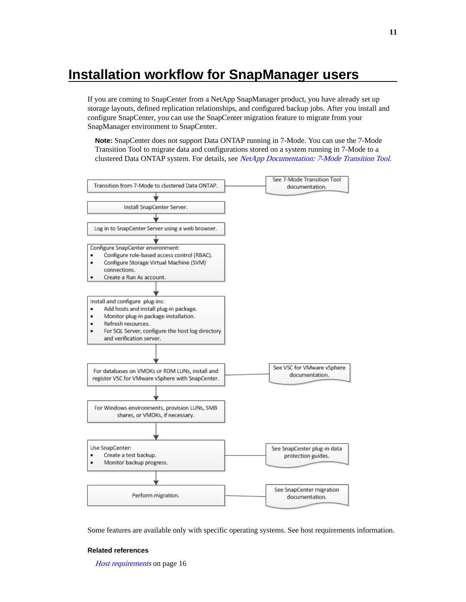# <span id="page-10-0"></span>**Installation workflow for SnapManager users**

If you are coming to SnapCenter from a NetApp SnapManager product, you have already set up storage layouts, defined replication relationships, and configured backup jobs. After you install and configure SnapCenter, you can use the SnapCenter migration feature to migrate from your SnapManager environment to SnapCenter.

**Note:** SnapCenter does not support Data ONTAP running in 7-Mode. You can use the 7-Mode Transition Tool to migrate data and configurations stored on a system running in 7-Mode to a clustered Data ONTAP system. For details, see [NetApp Documentation: 7-Mode Transition Tool](http://mysupport.netapp.com/documentation/productlibrary/index.html?productID=61584).



Some features are available only with specific operating systems. See host requirements information.

#### **Related references**

[Host requirements](#page-15-0) on page 16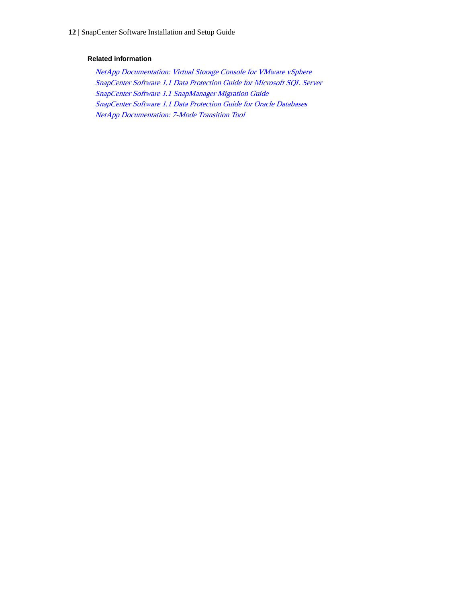#### **Related information**

[NetApp Documentation: Virtual Storage Console for VMware vSphere](http://mysupport.netapp.com/documentation/productlibrary/index.html?productID=30048) [SnapCenter Software 1.1 Data Protection Guide for Microsoft SQL Server](https://library.netapp.com/ecm/ecm_download_file/ECMLP2440325) [SnapCenter Software 1.1 SnapManager Migration Guide](https://library.netapp.com/ecm/ecm_download_file/ECMLP2440302) [SnapCenter Software 1.1 Data Protection Guide for Oracle Databases](https://library.netapp.com/ecm/ecm_download_file/ECMLP2440314) [NetApp Documentation: 7-Mode Transition Tool](http://mysupport.netapp.com/documentation/productlibrary/index.html?productID=61584)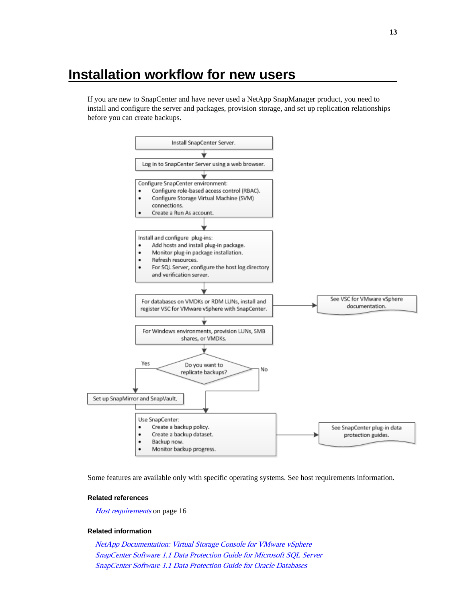# <span id="page-12-0"></span>**Installation workflow for new users**

If you are new to SnapCenter and have never used a NetApp SnapManager product, you need to install and configure the server and packages, provision storage, and set up replication relationships before you can create backups.



Some features are available only with specific operating systems. See host requirements information.

#### **Related references**

[Host requirements](#page-15-0) on page 16

#### **Related information**

[NetApp Documentation: Virtual Storage Console for VMware vSphere](http://mysupport.netapp.com/documentation/productlibrary/index.html?productID=30048) [SnapCenter Software 1.1 Data Protection Guide for Microsoft SQL Server](https://library.netapp.com/ecm/ecm_download_file/ECMLP2440325) [SnapCenter Software 1.1 Data Protection Guide for Oracle Databases](https://library.netapp.com/ecm/ecm_download_file/ECMLP2440314)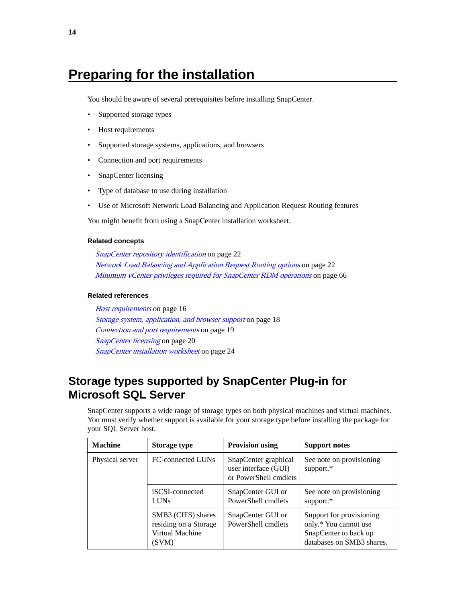# <span id="page-13-0"></span>**Preparing for the installation**

You should be aware of several prerequisites before installing SnapCenter.

- Supported storage types
- Host requirements
- Supported storage systems, applications, and browsers
- Connection and port requirements
- SnapCenter licensing
- Type of database to use during installation
- Use of Microsoft Network Load Balancing and Application Request Routing features

You might benefit from using a SnapCenter installation worksheet.

#### **Related concepts**

[SnapCenter repository identification](#page-21-0) on page 22 [Network Load Balancing and Application Request Routing options](#page-21-0) on page 22 [Minimum vCenter privileges required for SnapCenter RDM operations](#page-65-0) on page 66

#### **Related references**

[Host requirements](#page-15-0) on page 16 [Storage system, application, and browser support](#page-17-0) on page 18 [Connection and port requirements](#page-18-0) on page 19 [SnapCenter licensing](#page-19-0) on page 20 [SnapCenter installation worksheet](#page-23-0) on page 24

## **Storage types supported by SnapCenter Plug-in for Microsoft SQL Server**

SnapCenter supports a wide range of storage types on both physical machines and virtual machines. You must verify whether support is available for your storage type before installing the package for your SQL Server host.

| <b>Machine</b>  | <b>Storage type</b>                                                     | <b>Provision using</b>                                                | <b>Support notes</b>                                                                                    |
|-----------------|-------------------------------------------------------------------------|-----------------------------------------------------------------------|---------------------------------------------------------------------------------------------------------|
| Physical server | FC-connected LUNs                                                       | SnapCenter graphical<br>user interface (GUI)<br>or PowerShell cmdlets | See note on provisioning<br>support.*                                                                   |
|                 | iSCSI-connected<br><b>LUNs</b>                                          | SnapCenter GUI or<br>PowerShell cmdlets                               | See note on provisioning<br>support.*                                                                   |
|                 | SMB3 (CIFS) shares<br>residing on a Storage<br>Virtual Machine<br>(SVM) | SnapCenter GUI or<br>PowerShell cmdlets                               | Support for provisioning<br>only.* You cannot use<br>SnapCenter to back up<br>databases on SMB3 shares. |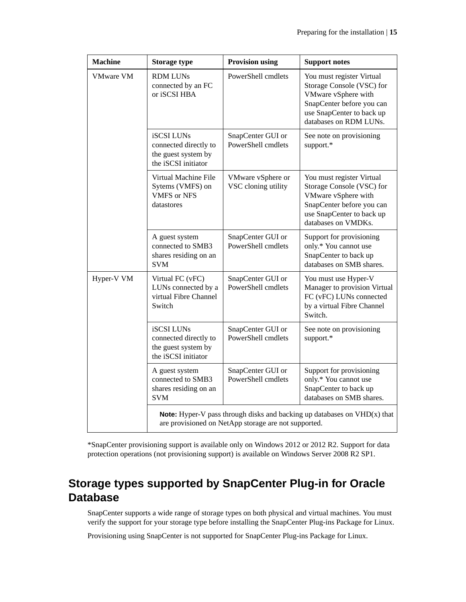<span id="page-14-0"></span>

| <b>Machine</b>   | <b>Storage type</b>                                                                      | <b>Provision using</b>                               | <b>Support notes</b>                                                                                                                                              |
|------------------|------------------------------------------------------------------------------------------|------------------------------------------------------|-------------------------------------------------------------------------------------------------------------------------------------------------------------------|
| <b>VMware VM</b> | <b>RDM LUNs</b><br>connected by an FC<br>or iSCSI HBA                                    | PowerShell cmdlets                                   | You must register Virtual<br>Storage Console (VSC) for<br>VMware vSphere with<br>SnapCenter before you can<br>use SnapCenter to back up<br>databases on RDM LUNs. |
|                  | <b>iSCSI LUNs</b><br>connected directly to<br>the guest system by<br>the iSCSI initiator | SnapCenter GUI or<br>PowerShell cmdlets              | See note on provisioning<br>support.*                                                                                                                             |
|                  | Virtual Machine File<br>Sytems (VMFS) on<br><b>VMFS or NFS</b><br>datastores             | VMware vSphere or<br>VSC cloning utility             | You must register Virtual<br>Storage Console (VSC) for<br>VMware vSphere with<br>SnapCenter before you can<br>use SnapCenter to back up<br>databases on VMDKs.    |
|                  | A guest system<br>connected to SMB3<br>shares residing on an<br><b>SVM</b>               | SnapCenter GUI or<br>PowerShell cmdlets              | Support for provisioning<br>only.* You cannot use<br>SnapCenter to back up<br>databases on SMB shares.                                                            |
| Hyper-V VM       | Virtual FC (vFC)<br>LUNs connected by a<br>virtual Fibre Channel<br>Switch               | SnapCenter GUI or<br>PowerShell cmdlets              | You must use Hyper-V<br>Manager to provision Virtual<br>FC (vFC) LUNs connected<br>by a virtual Fibre Channel<br>Switch.                                          |
|                  | <b>iSCSI LUNs</b><br>connected directly to<br>the guest system by<br>the iSCSI initiator | SnapCenter GUI or<br>PowerShell cmdlets              | See note on provisioning<br>support.*                                                                                                                             |
|                  | A guest system<br>connected to SMB3<br>shares residing on an<br><b>SVM</b>               | SnapCenter GUI or<br>PowerShell cmdlets              | Support for provisioning<br>only.* You cannot use<br>SnapCenter to back up<br>databases on SMB shares.                                                            |
|                  |                                                                                          | are provisioned on NetApp storage are not supported. | <b>Note:</b> Hyper-V pass through disks and backing up databases on $VHD(x)$ that                                                                                 |

\*SnapCenter provisioning support is available only on Windows 2012 or 2012 R2. Support for data protection operations (not provisioning support) is available on Windows Server 2008 R2 SP1.

# **Storage types supported by SnapCenter Plug-in for Oracle Database**

SnapCenter supports a wide range of storage types on both physical and virtual machines. You must verify the support for your storage type before installing the SnapCenter Plug-ins Package for Linux.

Provisioning using SnapCenter is not supported for SnapCenter Plug-ins Package for Linux.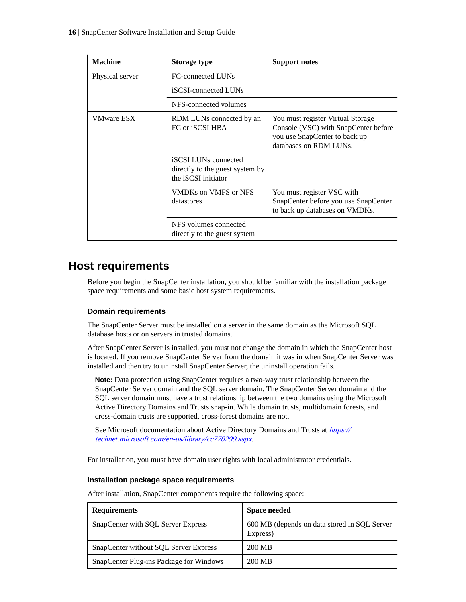<span id="page-15-0"></span>

| <b>Machine</b>    | <b>Storage type</b>                                                                   | <b>Support notes</b>                                                                                                                 |
|-------------------|---------------------------------------------------------------------------------------|--------------------------------------------------------------------------------------------------------------------------------------|
| Physical server   | FC-connected LUNs                                                                     |                                                                                                                                      |
|                   | iSCSI-connected LUNs                                                                  |                                                                                                                                      |
|                   | NFS-connected volumes                                                                 |                                                                                                                                      |
| <b>VMware ESX</b> | RDM LUNs connected by an<br>FC or iSCSI HBA                                           | You must register Virtual Storage<br>Console (VSC) with SnapCenter before<br>you use SnapCenter to back up<br>databases on RDM LUNs. |
|                   | <b>iSCSI</b> LUNs connected<br>directly to the guest system by<br>the iSCSI initiator |                                                                                                                                      |
|                   | VMDKs on VMFS or NFS<br>datastores                                                    | You must register VSC with<br>SnapCenter before you use SnapCenter<br>to back up databases on VMDKs.                                 |
|                   | NFS volumes connected<br>directly to the guest system                                 |                                                                                                                                      |

## **Host requirements**

Before you begin the SnapCenter installation, you should be familiar with the installation package space requirements and some basic host system requirements.

#### **Domain requirements**

The SnapCenter Server must be installed on a server in the same domain as the Microsoft SQL database hosts or on servers in trusted domains.

After SnapCenter Server is installed, you must not change the domain in which the SnapCenter host is located. If you remove SnapCenter Server from the domain it was in when SnapCenter Server was installed and then try to uninstall SnapCenter Server, the uninstall operation fails.

**Note:** Data protection using SnapCenter requires a two-way trust relationship between the SnapCenter Server domain and the SQL server domain. The SnapCenter Server domain and the SQL server domain must have a trust relationship between the two domains using the Microsoft Active Directory Domains and Trusts snap-in. While domain trusts, multidomain forests, and cross-domain trusts are supported, cross-forest domains are not.

See Microsoft documentation about Active Directory Domains and Trusts at [https://](https://technet.microsoft.com/en-us/library/cc770299.aspx) [technet.microsoft.com/en-us/library/cc770299.aspx](https://technet.microsoft.com/en-us/library/cc770299.aspx).

For installation, you must have domain user rights with local administrator credentials.

#### **Installation package space requirements**

After installation, SnapCenter components require the following space:

| <b>Requirements</b>                     | <b>Space needed</b>                                      |
|-----------------------------------------|----------------------------------------------------------|
| SnapCenter with SQL Server Express      | 600 MB (depends on data stored in SQL Server<br>Express) |
| SnapCenter without SOL Server Express   | 200 MB                                                   |
| SnapCenter Plug-ins Package for Windows | 200 MB                                                   |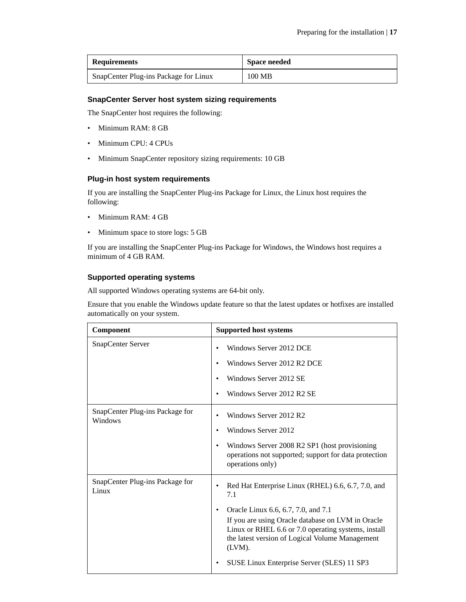| <b>Requirements</b>                   | <b>Space needed</b> |
|---------------------------------------|---------------------|
| SnapCenter Plug-ins Package for Linux | 100 MB              |

#### **SnapCenter Server host system sizing requirements**

The SnapCenter host requires the following:

- Minimum RAM: 8 GB
- Minimum CPU: 4 CPUs
- Minimum SnapCenter repository sizing requirements: 10 GB

### **Plug-in host system requirements**

If you are installing the SnapCenter Plug-ins Package for Linux, the Linux host requires the following:

- Minimum RAM: 4 GB
- Minimum space to store logs: 5 GB

If you are installing the SnapCenter Plug-ins Package for Windows, the Windows host requires a minimum of 4 GB RAM.

#### **Supported operating systems**

All supported Windows operating systems are 64-bit only.

Ensure that you enable the Windows update feature so that the latest updates or hotfixes are installed automatically on your system.

| Component                                  | <b>Supported host systems</b>                                                                                                                                                                                                                                                                                                          |
|--------------------------------------------|----------------------------------------------------------------------------------------------------------------------------------------------------------------------------------------------------------------------------------------------------------------------------------------------------------------------------------------|
| SnapCenter Server                          | Windows Server 2012 DCE<br>Windows Server 2012 R2 DCE<br>$\bullet$<br>Windows Server 2012 SE<br>٠<br>Windows Server 2012 R2 SE<br>٠                                                                                                                                                                                                    |
| SnapCenter Plug-ins Package for<br>Windows | Windows Server 2012 R2<br>Windows Server 2012<br>٠<br>Windows Server 2008 R2 SP1 (host provisioning<br>٠<br>operations not supported; support for data protection<br>operations only)                                                                                                                                                  |
| SnapCenter Plug-ins Package for<br>Linux   | Red Hat Enterprise Linux (RHEL) 6.6, 6.7, 7.0, and<br>٠<br>7.1<br>Oracle Linux 6.6, 6.7, 7.0, and 7.1<br>٠<br>If you are using Oracle database on LVM in Oracle<br>Linux or RHEL 6.6 or 7.0 operating systems, install<br>the latest version of Logical Volume Management<br>(LVM).<br>SUSE Linux Enterprise Server (SLES) 11 SP3<br>٠ |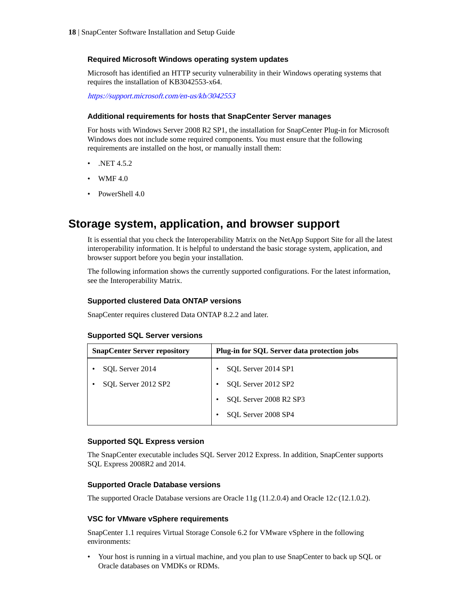#### <span id="page-17-0"></span>**Required Microsoft Windows operating system updates**

Microsoft has identified an HTTP security vulnerability in their Windows operating systems that requires the installation of KB3042553-x64.

<https://support.microsoft.com/en-us/kb/3042553>

#### **Additional requirements for hosts that SnapCenter Server manages**

For hosts with Windows Server 2008 R2 SP1, the installation for SnapCenter Plug-in for Microsoft Windows does not include some required components. You must ensure that the following requirements are installed on the host, or manually install them:

- .NET 4.5.2
- WMF 4.0
- PowerShell 4.0

### **Storage system, application, and browser support**

It is essential that you check the Interoperability Matrix on the NetApp Support Site for all the latest interoperability information. It is helpful to understand the basic storage system, application, and browser support before you begin your installation.

The following information shows the currently supported configurations. For the latest information, see the Interoperability Matrix.

#### **Supported clustered Data ONTAP versions**

SnapCenter requires clustered Data ONTAP 8.2.2 and later.

|  |  |  |  |  | <b>Supported SQL Server versions</b> |
|--|--|--|--|--|--------------------------------------|
|--|--|--|--|--|--------------------------------------|

| <b>SnapCenter Server repository</b> | <b>Plug-in for SQL Server data protection jobs</b> |
|-------------------------------------|----------------------------------------------------|
| SOL Server 2014                     | SQL Server 2014 SP1                                |
| SQL Server 2012 SP2                 | SQL Server 2012 SP2                                |
|                                     | SOL Server 2008 R2 SP3                             |
|                                     | SOL Server 2008 SP4                                |

#### **Supported SQL Express version**

The SnapCenter executable includes SQL Server 2012 Express. In addition, SnapCenter supports SQL Express 2008R2 and 2014.

#### **Supported Oracle Database versions**

The supported Oracle Database versions are Oracle 11g (11.2.0.4) and Oracle 12c (12.1.0.2).

#### **VSC for VMware vSphere requirements**

SnapCenter 1.1 requires Virtual Storage Console 6.2 for VMware vSphere in the following environments:

• Your host is running in a virtual machine, and you plan to use SnapCenter to back up SQL or Oracle databases on VMDKs or RDMs.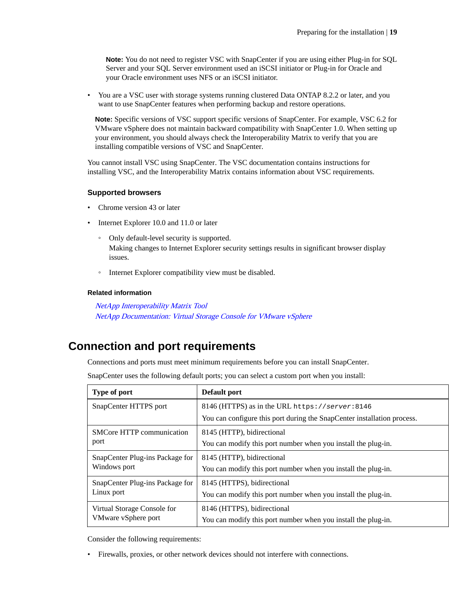<span id="page-18-0"></span>**Note:** You do not need to register VSC with SnapCenter if you are using either Plug-in for SQL Server and your SQL Server environment used an iSCSI initiator or Plug-in for Oracle and your Oracle environment uses NFS or an iSCSI initiator.

• You are a VSC user with storage systems running clustered Data ONTAP 8.2.2 or later, and you want to use SnapCenter features when performing backup and restore operations.

**Note:** Specific versions of VSC support specific versions of SnapCenter. For example, VSC 6.2 for VMware vSphere does not maintain backward compatibility with SnapCenter 1.0. When setting up your environment, you should always check the Interoperability Matrix to verify that you are installing compatible versions of VSC and SnapCenter.

You cannot install VSC using SnapCenter. The VSC documentation contains instructions for installing VSC, and the Interoperability Matrix contains information about VSC requirements.

#### **Supported browsers**

- Chrome version 43 or later
- Internet Explorer 10.0 and 11.0 or later
	- Only default-level security is supported. Making changes to Internet Explorer security settings results in significant browser display issues.
	- Internet Explorer compatibility view must be disabled.

#### **Related information**

[NetApp Interoperability Matrix Tool](http://mysupport.netapp.com/matrix) [NetApp Documentation: Virtual Storage Console for VMware vSphere](http://mysupport.netapp.com/documentation/productlibrary/index.html?productID=30048)

## **Connection and port requirements**

Connections and ports must meet minimum requirements before you can install SnapCenter.

SnapCenter uses the following default ports; you can select a custom port when you install:

| Type of port                                    | Default port                                                            |
|-------------------------------------------------|-------------------------------------------------------------------------|
| SnapCenter HTTPS port                           | 8146 (HTTPS) as in the URL https://server:8146                          |
|                                                 | You can configure this port during the SnapCenter installation process. |
| <b>SMCore HTTP communication</b>                | 8145 (HTTP), bidirectional                                              |
| port                                            | You can modify this port number when you install the plug-in.           |
| SnapCenter Plug-ins Package for<br>Windows port | 8145 (HTTP), bidirectional                                              |
|                                                 | You can modify this port number when you install the plug-in.           |
| SnapCenter Plug-ins Package for                 | 8145 (HTTPS), bidirectional                                             |
| Linux port                                      | You can modify this port number when you install the plug-in.           |
| Virtual Storage Console for                     | 8146 (HTTPS), bidirectional                                             |
| VMware vSphere port                             | You can modify this port number when you install the plug-in.           |

Consider the following requirements:

• Firewalls, proxies, or other network devices should not interfere with connections.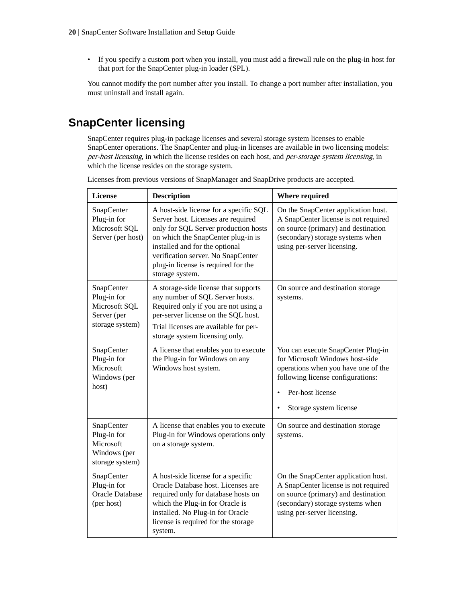<span id="page-19-0"></span>• If you specify a custom port when you install, you must add a firewall rule on the plug-in host for that port for the SnapCenter plug-in loader (SPL).

You cannot modify the port number after you install. To change a port number after installation, you must uninstall and install again.

# **SnapCenter licensing**

SnapCenter requires plug-in package licenses and several storage system licenses to enable SnapCenter operations. The SnapCenter and plug-in licenses are available in two licensing models: per-host licensing, in which the license resides on each host, and per-storage system licensing, in which the license resides on the storage system.

| License                                                                      | <b>Description</b>                                                                                                                                                                                                                                                                           | <b>Where required</b>                                                                                                                                                                           |
|------------------------------------------------------------------------------|----------------------------------------------------------------------------------------------------------------------------------------------------------------------------------------------------------------------------------------------------------------------------------------------|-------------------------------------------------------------------------------------------------------------------------------------------------------------------------------------------------|
| SnapCenter<br>Plug-in for<br>Microsoft SQL<br>Server (per host)              | A host-side license for a specific SQL<br>Server host. Licenses are required<br>only for SQL Server production hosts<br>on which the SnapCenter plug-in is<br>installed and for the optional<br>verification server. No SnapCenter<br>plug-in license is required for the<br>storage system. | On the SnapCenter application host.<br>A SnapCenter license is not required<br>on source (primary) and destination<br>(secondary) storage systems when<br>using per-server licensing.           |
| SnapCenter<br>Plug-in for<br>Microsoft SQL<br>Server (per<br>storage system) | A storage-side license that supports<br>any number of SQL Server hosts.<br>Required only if you are not using a<br>per-server license on the SQL host.<br>Trial licenses are available for per-<br>storage system licensing only.                                                            | On source and destination storage<br>systems.                                                                                                                                                   |
| SnapCenter<br>Plug-in for<br>Microsoft<br>Windows (per<br>host)              | A license that enables you to execute<br>the Plug-in for Windows on any<br>Windows host system.                                                                                                                                                                                              | You can execute SnapCenter Plug-in<br>for Microsoft Windows host-side<br>operations when you have one of the<br>following license configurations:<br>Per-host license<br>Storage system license |
| SnapCenter<br>Plug-in for<br>Microsoft<br>Windows (per<br>storage system)    | A license that enables you to execute<br>Plug-in for Windows operations only<br>on a storage system.                                                                                                                                                                                         | On source and destination storage<br>systems.                                                                                                                                                   |
| SnapCenter<br>Plug-in for<br><b>Oracle Database</b><br>(per host)            | A host-side license for a specific<br>Oracle Database host. Licenses are<br>required only for database hosts on<br>which the Plug-in for Oracle is<br>installed. No Plug-in for Oracle<br>license is required for the storage<br>system.                                                     | On the SnapCenter application host.<br>A SnapCenter license is not required<br>on source (primary) and destination<br>(secondary) storage systems when<br>using per-server licensing.           |

Licenses from previous versions of SnapManager and SnapDrive products are accepted.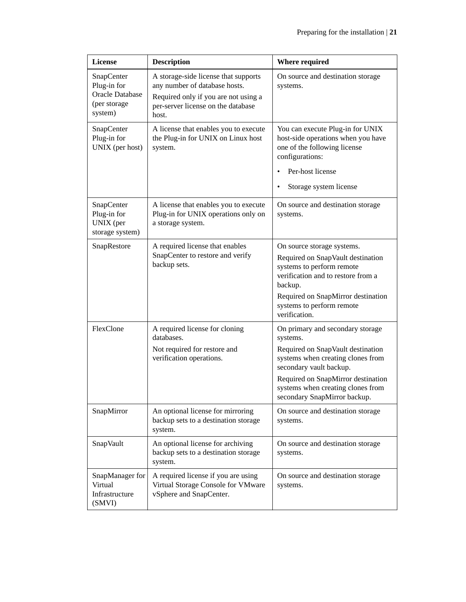| <b>License</b>                                                                 | <b>Description</b>                                                                                                                                           | <b>Where required</b>                                                                                                                                                                                                                                        |
|--------------------------------------------------------------------------------|--------------------------------------------------------------------------------------------------------------------------------------------------------------|--------------------------------------------------------------------------------------------------------------------------------------------------------------------------------------------------------------------------------------------------------------|
| SnapCenter<br>Plug-in for<br><b>Oracle Database</b><br>(per storage<br>system) | A storage-side license that supports<br>any number of database hosts.<br>Required only if you are not using a<br>per-server license on the database<br>host. | On source and destination storage<br>systems.                                                                                                                                                                                                                |
| SnapCenter<br>Plug-in for<br>UNIX (per host)                                   | A license that enables you to execute<br>the Plug-in for UNIX on Linux host<br>system.                                                                       | You can execute Plug-in for UNIX<br>host-side operations when you have<br>one of the following license<br>configurations:<br>Per-host license<br>Storage system license                                                                                      |
| SnapCenter<br>Plug-in for<br>UNIX (per<br>storage system)                      | A license that enables you to execute<br>Plug-in for UNIX operations only on<br>a storage system.                                                            | On source and destination storage<br>systems.                                                                                                                                                                                                                |
| SnapRestore                                                                    | A required license that enables<br>SnapCenter to restore and verify<br>backup sets.                                                                          | On source storage systems.<br>Required on SnapVault destination<br>systems to perform remote<br>verification and to restore from a<br>backup.<br>Required on SnapMirror destination<br>systems to perform remote<br>verification.                            |
| FlexClone                                                                      | A required license for cloning<br>databases.<br>Not required for restore and<br>verification operations.                                                     | On primary and secondary storage<br>systems.<br>Required on SnapVault destination<br>systems when creating clones from<br>secondary vault backup.<br>Required on SnapMirror destination<br>systems when creating clones from<br>secondary SnapMirror backup. |
| SnapMirror                                                                     | An optional license for mirroring<br>backup sets to a destination storage<br>system.                                                                         | On source and destination storage<br>systems.                                                                                                                                                                                                                |
| SnapVault                                                                      | An optional license for archiving<br>backup sets to a destination storage<br>system.                                                                         | On source and destination storage<br>systems.                                                                                                                                                                                                                |
| SnapManager for<br>Virtual<br>Infrastructure<br>(SMVI)                         | A required license if you are using<br>Virtual Storage Console for VMware<br>vSphere and SnapCenter.                                                         | On source and destination storage<br>systems.                                                                                                                                                                                                                |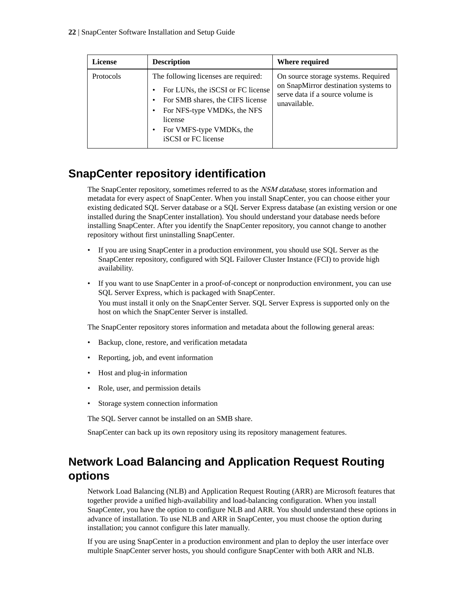<span id="page-21-0"></span>

| <b>License</b> | <b>Description</b>                                                                                                                                                                                         | Where required                                                                                                                  |
|----------------|------------------------------------------------------------------------------------------------------------------------------------------------------------------------------------------------------------|---------------------------------------------------------------------------------------------------------------------------------|
| Protocols      | The following licenses are required:<br>For LUNs, the iSCSI or FC license<br>For SMB shares, the CIFS license<br>For NFS-type VMDKs, the NFS<br>license<br>For VMFS-type VMDKs, the<br>iSCSI or FC license | On source storage systems. Required<br>on SnapMirror destination systems to<br>serve data if a source volume is<br>unavailable. |

# **SnapCenter repository identification**

The SnapCenter repository, sometimes referred to as the *NSM database*, stores information and metadata for every aspect of SnapCenter. When you install SnapCenter, you can choose either your existing dedicated SQL Server database or a SQL Server Express database (an existing version or one installed during the SnapCenter installation). You should understand your database needs before installing SnapCenter. After you identify the SnapCenter repository, you cannot change to another repository without first uninstalling SnapCenter.

- If you are using SnapCenter in a production environment, you should use SQL Server as the SnapCenter repository, configured with SQL Failover Cluster Instance (FCI) to provide high availability.
- If you want to use SnapCenter in a proof-of-concept or nonproduction environment, you can use SQL Server Express, which is packaged with SnapCenter. You must install it only on the SnapCenter Server. SQL Server Express is supported only on the host on which the SnapCenter Server is installed.

The SnapCenter repository stores information and metadata about the following general areas:

- Backup, clone, restore, and verification metadata
- Reporting, job, and event information
- Host and plug-in information
- Role, user, and permission details
- Storage system connection information

The SQL Server cannot be installed on an SMB share.

SnapCenter can back up its own repository using its repository management features.

# **Network Load Balancing and Application Request Routing options**

Network Load Balancing (NLB) and Application Request Routing (ARR) are Microsoft features that together provide a unified high-availability and load-balancing configuration. When you install SnapCenter, you have the option to configure NLB and ARR. You should understand these options in advance of installation. To use NLB and ARR in SnapCenter, you must choose the option during installation; you cannot configure this later manually.

If you are using SnapCenter in a production environment and plan to deploy the user interface over multiple SnapCenter server hosts, you should configure SnapCenter with both ARR and NLB.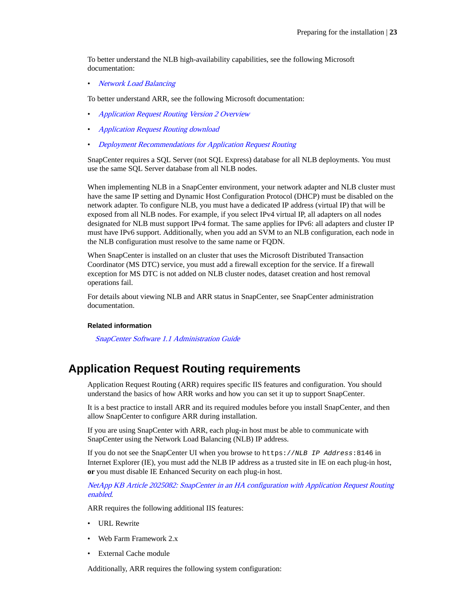<span id="page-22-0"></span>To better understand the NLB high-availability capabilities, see the following Microsoft documentation:

• [Network Load Balancing](https://technet.microsoft.com/en-us/library/cc770558.aspx)

To better understand ARR, see the following Microsoft documentation:

- [Application Request Routing Version 2 Overview](http://www.iis.net/learn/extensions/planning-for-arr/application-request-routing-version-2-overview)
- [Application Request Routing download](http://www.iis.net/downloads/microsoft/application-request-routing)
- [Deployment Recommendations for Application Request Routing](http://www.iis.net/learn/extensions/installing-application-request-routing-%28arr%29/deployment-recommendations-for-application-request-routing)

SnapCenter requires a SQL Server (not SQL Express) database for all NLB deployments. You must use the same SQL Server database from all NLB nodes.

When implementing NLB in a SnapCenter environment, your network adapter and NLB cluster must have the same IP setting and Dynamic Host Configuration Protocol (DHCP) must be disabled on the network adapter. To configure NLB, you must have a dedicated IP address (virtual IP) that will be exposed from all NLB nodes. For example, if you select IPv4 virtual IP, all adapters on all nodes designated for NLB must support IPv4 format. The same applies for IPv6: all adapters and cluster IP must have IPv6 support. Additionally, when you add an SVM to an NLB configuration, each node in the NLB configuration must resolve to the same name or FQDN.

When SnapCenter is installed on an cluster that uses the Microsoft Distributed Transaction Coordinator (MS DTC) service, you must add a firewall exception for the service. If a firewall exception for MS DTC is not added on NLB cluster nodes, dataset creation and host removal operations fail.

For details about viewing NLB and ARR status in SnapCenter, see SnapCenter administration documentation.

#### **Related information**

[SnapCenter Software 1.1 Administration Guide](https://library.netapp.com/ecm/ecm_download_file/ECMLP2439718)

### **Application Request Routing requirements**

Application Request Routing (ARR) requires specific IIS features and configuration. You should understand the basics of how ARR works and how you can set it up to support SnapCenter.

It is a best practice to install ARR and its required modules before you install SnapCenter, and then allow SnapCenter to configure ARR during installation.

If you are using SnapCenter with ARR, each plug-in host must be able to communicate with SnapCenter using the Network Load Balancing (NLB) IP address.

If you do not see the SnapCenter UI when you browse to https://NLB IP Address:8146 in Internet Explorer (IE), you must add the NLB IP address as a trusted site in IE on each plug-in host, **or** you must disable IE Enhanced Security on each plug-in host.

[NetApp KB Article 2025082: SnapCenter in an HA configuration with Application Request Routing](https://kb.netapp.com/support/index?page=content&id=2025082) [enabled](https://kb.netapp.com/support/index?page=content&id=2025082).

ARR requires the following additional IIS features:

- URL Rewrite
- Web Farm Framework 2.x
- External Cache module

Additionally, ARR requires the following system configuration: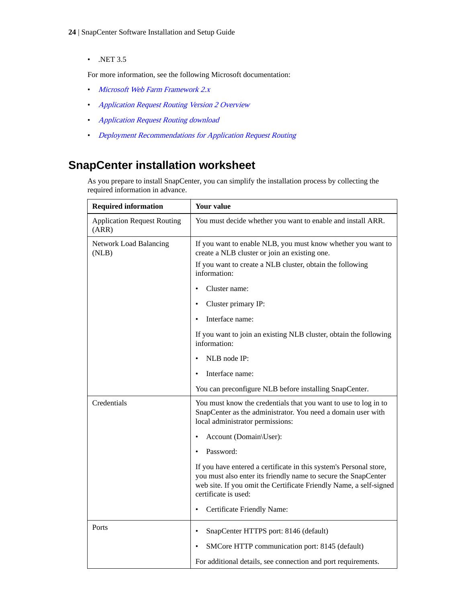- <span id="page-23-0"></span>**24** | SnapCenter Software Installation and Setup Guide
	- .NET 3.5

For more information, see the following Microsoft documentation:

- [Microsoft Web Farm Framework 2.x](http://www.iis.net/downloads/microsoft/web-farm-framework)
- [Application Request Routing Version 2 Overview](http://www.iis.net/learn/extensions/planning-for-arr/application-request-routing-version-2-overview)
- [Application Request Routing download](http://www.iis.net/downloads/microsoft/application-request-routing)
- [Deployment Recommendations for Application Request Routing](http://www.iis.net/learn/extensions/installing-application-request-routing-%28arr%29/deployment-recommendations-for-application-request-routing)

# **SnapCenter installation worksheet**

As you prepare to install SnapCenter, you can simplify the installation process by collecting the required information in advance.

| <b>Required information</b>                 | <b>Your value</b>                                                                                                                                                                                                                  |
|---------------------------------------------|------------------------------------------------------------------------------------------------------------------------------------------------------------------------------------------------------------------------------------|
| <b>Application Request Routing</b><br>(ARR) | You must decide whether you want to enable and install ARR.                                                                                                                                                                        |
| <b>Network Load Balancing</b><br>(NLB)      | If you want to enable NLB, you must know whether you want to<br>create a NLB cluster or join an existing one.                                                                                                                      |
|                                             | If you want to create a NLB cluster, obtain the following<br>information:                                                                                                                                                          |
|                                             | Cluster name:                                                                                                                                                                                                                      |
|                                             | Cluster primary IP:                                                                                                                                                                                                                |
|                                             | Interface name:                                                                                                                                                                                                                    |
|                                             | If you want to join an existing NLB cluster, obtain the following<br>information:                                                                                                                                                  |
|                                             | NLB node IP:                                                                                                                                                                                                                       |
|                                             | Interface name:                                                                                                                                                                                                                    |
|                                             | You can preconfigure NLB before installing SnapCenter.                                                                                                                                                                             |
| Credentials                                 | You must know the credentials that you want to use to log in to<br>SnapCenter as the administrator. You need a domain user with<br>local administrator permissions:                                                                |
|                                             | Account (Domain\User):                                                                                                                                                                                                             |
|                                             | Password:                                                                                                                                                                                                                          |
|                                             | If you have entered a certificate in this system's Personal store,<br>you must also enter its friendly name to secure the SnapCenter<br>web site. If you omit the Certificate Friendly Name, a self-signed<br>certificate is used: |
|                                             | Certificate Friendly Name:                                                                                                                                                                                                         |
| Ports                                       | SnapCenter HTTPS port: 8146 (default)<br>$\bullet$                                                                                                                                                                                 |
|                                             | SMCore HTTP communication port: 8145 (default)                                                                                                                                                                                     |
|                                             | For additional details, see connection and port requirements.                                                                                                                                                                      |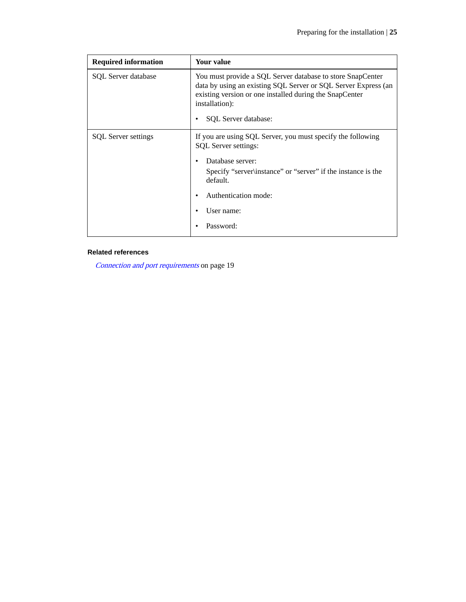| <b>Required information</b> | Your value                                                                                                                                                                                                                             |  |
|-----------------------------|----------------------------------------------------------------------------------------------------------------------------------------------------------------------------------------------------------------------------------------|--|
| <b>SQL</b> Server database  | You must provide a SQL Server database to store SnapCenter<br>data by using an existing SQL Server or SQL Server Express (an<br>existing version or one installed during the SnapCenter<br>installation):<br>SQL Server database:<br>٠ |  |
| <b>SQL</b> Server settings  | If you are using SQL Server, you must specify the following<br>SQL Server settings:                                                                                                                                                    |  |
|                             | Database server:<br>Specify "server\instance" or "server" if the instance is the<br>default.                                                                                                                                           |  |
|                             | Authentication mode:                                                                                                                                                                                                                   |  |
|                             | User name:                                                                                                                                                                                                                             |  |
|                             | Password:                                                                                                                                                                                                                              |  |

### **Related references**

[Connection and port requirements](#page-18-0) on page 19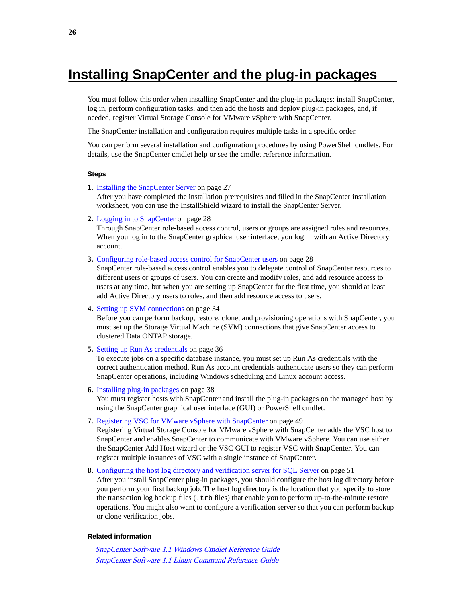# <span id="page-25-0"></span>**Installing SnapCenter and the plug-in packages**

You must follow this order when installing SnapCenter and the plug-in packages: install SnapCenter, log in, perform configuration tasks, and then add the hosts and deploy plug-in packages, and, if needed, register Virtual Storage Console for VMware vSphere with SnapCenter.

The SnapCenter installation and configuration requires multiple tasks in a specific order.

You can perform several installation and configuration procedures by using PowerShell cmdlets. For details, use the SnapCenter cmdlet help or see the cmdlet reference information.

#### **Steps**

**1.** [Installing the SnapCenter Server](#page-26-0) on page 27

After you have completed the installation prerequisites and filled in the SnapCenter installation worksheet, you can use the InstallShield wizard to install the SnapCenter Server.

**2.** [Logging in to SnapCenter](#page-27-0) on page 28

Through SnapCenter role-based access control, users or groups are assigned roles and resources. When you log in to the SnapCenter graphical user interface, you log in with an Active Directory account.

**3.** [Configuring role-based access control for SnapCenter users](#page-27-0) on page 28

SnapCenter role-based access control enables you to delegate control of SnapCenter resources to different users or groups of users. You can create and modify roles, and add resource access to users at any time, but when you are setting up SnapCenter for the first time, you should at least add Active Directory users to roles, and then add resource access to users.

**4.** [Setting up SVM connections](#page-33-0) on page 34

Before you can perform backup, restore, clone, and provisioning operations with SnapCenter, you must set up the Storage Virtual Machine (SVM) connections that give SnapCenter access to clustered Data ONTAP storage.

**5.** [Setting up Run As credentials](#page-35-0) on page 36

To execute jobs on a specific database instance, you must set up Run As credentials with the correct authentication method. Run As account credentials authenticate users so they can perform SnapCenter operations, including Windows scheduling and Linux account access.

- **6.** [Installing plug-in packages](#page-37-0) on page 38 You must register hosts with SnapCenter and install the plug-in packages on the managed host by using the SnapCenter graphical user interface (GUI) or PowerShell cmdlet.
- **7.** [Registering VSC for VMware vSphere with SnapCenter](#page-48-0) on page 49

Registering Virtual Storage Console for VMware vSphere with SnapCenter adds the VSC host to SnapCenter and enables SnapCenter to communicate with VMware vSphere. You can use either the SnapCenter Add Host wizard or the VSC GUI to register VSC with SnapCenter. You can register multiple instances of VSC with a single instance of SnapCenter.

**8.** [Configuring the host log directory and verification server for SQL Server](#page-50-0) on page 51

After you install SnapCenter plug-in packages, you should configure the host log directory before you perform your first backup job. The host log directory is the location that you specify to store the transaction log backup files (.trb files) that enable you to perform up-to-the-minute restore operations. You might also want to configure a verification server so that you can perform backup or clone verification jobs.

#### **Related information**

[SnapCenter Software 1.1 Windows Cmdlet Reference Guide](https://library.netapp.com/ecm/ecm_download_file/ECMLP2440057) [SnapCenter Software 1.1 Linux Command Reference Guide](https://library.netapp.com/ecm/ecm_download_file/ECMLP2440332)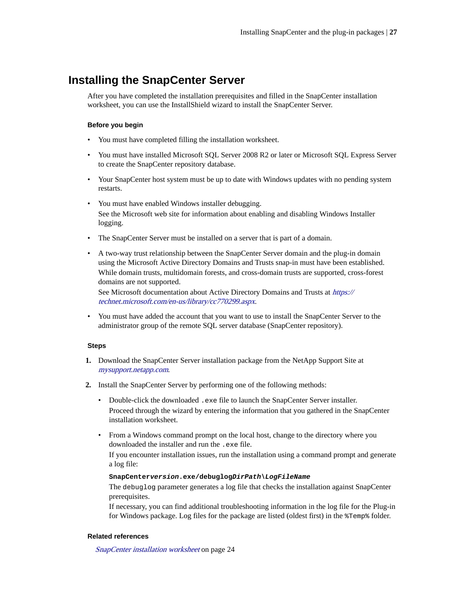### <span id="page-26-0"></span>**Installing the SnapCenter Server**

After you have completed the installation prerequisites and filled in the SnapCenter installation worksheet, you can use the InstallShield wizard to install the SnapCenter Server.

#### **Before you begin**

- You must have completed filling the installation worksheet.
- You must have installed Microsoft SQL Server 2008 R2 or later or Microsoft SQL Express Server to create the SnapCenter repository database.
- Your SnapCenter host system must be up to date with Windows updates with no pending system restarts.
- You must have enabled Windows installer debugging. See the Microsoft web site for information about enabling and disabling Windows Installer logging.
- The SnapCenter Server must be installed on a server that is part of a domain.
- A two-way trust relationship between the SnapCenter Server domain and the plug-in domain using the Microsoft Active Directory Domains and Trusts snap-in must have been established. While domain trusts, multidomain forests, and cross-domain trusts are supported, cross-forest domains are not supported.

See Microsoft documentation about Active Directory Domains and Trusts at [https://](https://technet.microsoft.com/en-us/library/cc770299.aspx) [technet.microsoft.com/en-us/library/cc770299.aspx](https://technet.microsoft.com/en-us/library/cc770299.aspx).

• You must have added the account that you want to use to install the SnapCenter Server to the administrator group of the remote SQL server database (SnapCenter repository).

#### **Steps**

- **1.** Download the SnapCenter Server installation package from the NetApp Support Site at [mysupport.netapp.com](http://mysupport.netapp.com/).
- **2.** Install the SnapCenter Server by performing one of the following methods:
	- Double-click the downloaded .exe file to launch the SnapCenter Server installer. Proceed through the wizard by entering the information that you gathered in the SnapCenter installation worksheet.
	- From a Windows command prompt on the local host, change to the directory where you downloaded the installer and run the .exe file.

If you encounter installation issues, run the installation using a command prompt and generate a log file:

#### **SnapCenterversion.exe/debuglogDirPath\LogFileName**

The debuglog parameter generates a log file that checks the installation against SnapCenter prerequisites.

If necessary, you can find additional troubleshooting information in the log file for the Plug-in for Windows package. Log files for the package are listed (oldest first) in the %Temp% folder.

#### **Related references**

[SnapCenter installation worksheet](#page-23-0) on page 24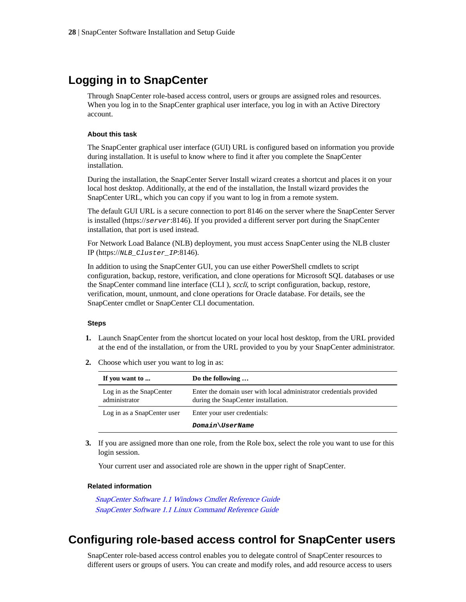## <span id="page-27-0"></span>**Logging in to SnapCenter**

Through SnapCenter role-based access control, users or groups are assigned roles and resources. When you log in to the SnapCenter graphical user interface, you log in with an Active Directory account.

#### **About this task**

The SnapCenter graphical user interface (GUI) URL is configured based on information you provide during installation. It is useful to know where to find it after you complete the SnapCenter installation.

During the installation, the SnapCenter Server Install wizard creates a shortcut and places it on your local host desktop. Additionally, at the end of the installation, the Install wizard provides the SnapCenter URL, which you can copy if you want to log in from a remote system.

The default GUI URL is a secure connection to port 8146 on the server where the SnapCenter Server is installed (https://server:8146). If you provided a different server port during the SnapCenter installation, that port is used instead.

For Network Load Balance (NLB) deployment, you must access SnapCenter using the NLB cluster IP (https://NLB\_Cluster\_IP:8146).

In addition to using the SnapCenter GUI, you can use either PowerShell cmdlets to script configuration, backup, restore, verification, and clone operations for Microsoft SQL databases or use the SnapCenter command line interface (CLI ), sccli, to script configuration, backup, restore, verification, mount, unmount, and clone operations for Oracle database. For details, see the SnapCenter cmdlet or SnapCenter CLI documentation.

#### **Steps**

- **1.** Launch SnapCenter from the shortcut located on your local host desktop, from the URL provided at the end of the installation, or from the URL provided to you by your SnapCenter administrator.
- **2.** Choose which user you want to log in as:

| If you want to                            | Do the following                                                                                           |
|-------------------------------------------|------------------------------------------------------------------------------------------------------------|
| Log in as the SnapCenter<br>administrator | Enter the domain user with local administrator credentials provided<br>during the SnapCenter installation. |
| Log in as a SnapCenter user               | Enter your user credentials:                                                                               |
|                                           | Domain\UserName                                                                                            |

**3.** If you are assigned more than one role, from the Role box, select the role you want to use for this login session.

Your current user and associated role are shown in the upper right of SnapCenter.

#### **Related information**

[SnapCenter Software 1.1 Windows Cmdlet Reference Guide](https://library.netapp.com/ecm/ecm_download_file/ECMLP2440057) [SnapCenter Software 1.1 Linux Command Reference Guide](https://library.netapp.com/ecm/ecm_download_file/ECMLP2440332)

## **Configuring role-based access control for SnapCenter users**

SnapCenter role-based access control enables you to delegate control of SnapCenter resources to different users or groups of users. You can create and modify roles, and add resource access to users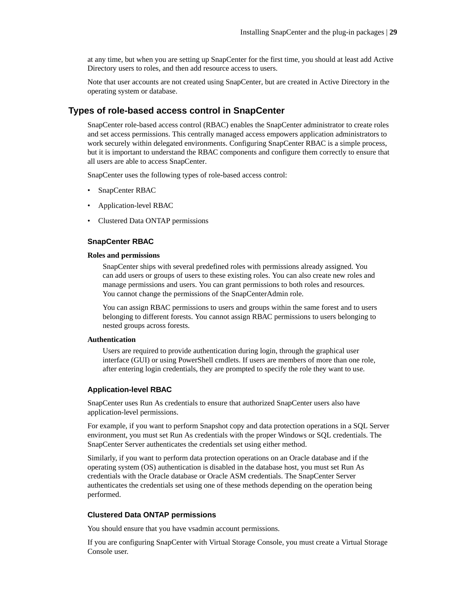<span id="page-28-0"></span>at any time, but when you are setting up SnapCenter for the first time, you should at least add Active Directory users to roles, and then add resource access to users.

Note that user accounts are not created using SnapCenter, but are created in Active Directory in the operating system or database.

### **Types of role-based access control in SnapCenter**

SnapCenter role-based access control (RBAC) enables the SnapCenter administrator to create roles and set access permissions. This centrally managed access empowers application administrators to work securely within delegated environments. Configuring SnapCenter RBAC is a simple process, but it is important to understand the RBAC components and configure them correctly to ensure that all users are able to access SnapCenter.

SnapCenter uses the following types of role-based access control:

- SnapCenter RBAC
- Application-level RBAC
- Clustered Data ONTAP permissions

#### **SnapCenter RBAC**

#### **Roles and permissions**

SnapCenter ships with several predefined roles with permissions already assigned. You can add users or groups of users to these existing roles. You can also create new roles and manage permissions and users. You can grant permissions to both roles and resources. You cannot change the permissions of the SnapCenterAdmin role.

You can assign RBAC permissions to users and groups within the same forest and to users belonging to different forests. You cannot assign RBAC permissions to users belonging to nested groups across forests.

#### **Authentication**

Users are required to provide authentication during login, through the graphical user interface (GUI) or using PowerShell cmdlets. If users are members of more than one role, after entering login credentials, they are prompted to specify the role they want to use.

#### **Application-level RBAC**

SnapCenter uses Run As credentials to ensure that authorized SnapCenter users also have application-level permissions.

For example, if you want to perform Snapshot copy and data protection operations in a SQL Server environment, you must set Run As credentials with the proper Windows or SQL credentials. The SnapCenter Server authenticates the credentials set using either method.

Similarly, if you want to perform data protection operations on an Oracle database and if the operating system (OS) authentication is disabled in the database host, you must set Run As credentials with the Oracle database or Oracle ASM credentials. The SnapCenter Server authenticates the credentials set using one of these methods depending on the operation being performed.

#### **Clustered Data ONTAP permissions**

You should ensure that you have vsadmin account permissions.

If you are configuring SnapCenter with Virtual Storage Console, you must create a Virtual Storage Console user.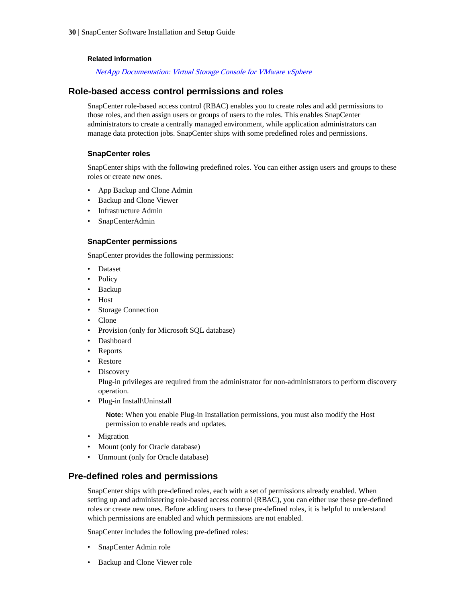#### <span id="page-29-0"></span>**Related information**

[NetApp Documentation: Virtual Storage Console for VMware vSphere](http://mysupport.netapp.com/documentation/productlibrary/index.html?productID=30048)

### **Role-based access control permissions and roles**

SnapCenter role-based access control (RBAC) enables you to create roles and add permissions to those roles, and then assign users or groups of users to the roles. This enables SnapCenter administrators to create a centrally managed environment, while application administrators can manage data protection jobs. SnapCenter ships with some predefined roles and permissions.

#### **SnapCenter roles**

SnapCenter ships with the following predefined roles. You can either assign users and groups to these roles or create new ones.

- App Backup and Clone Admin
- Backup and Clone Viewer
- Infrastructure Admin
- SnapCenterAdmin

#### **SnapCenter permissions**

SnapCenter provides the following permissions:

- Dataset
- Policy
- Backup
- Host
- Storage Connection
- Clone
- Provision (only for Microsoft SQL database)
- Dashboard
- Reports
- Restore
- Discovery

Plug-in privileges are required from the administrator for non-administrators to perform discovery operation.

• Plug-in Install\Uninstall

**Note:** When you enable Plug-in Installation permissions, you must also modify the Host permission to enable reads and updates.

- Migration
- Mount (only for Oracle database)
- Unmount (only for Oracle database)

### **Pre-defined roles and permissions**

SnapCenter ships with pre-defined roles, each with a set of permissions already enabled. When setting up and administering role-based access control (RBAC), you can either use these pre-defined roles or create new ones. Before adding users to these pre-defined roles, it is helpful to understand which permissions are enabled and which permissions are not enabled.

SnapCenter includes the following pre-defined roles:

- SnapCenter Admin role
- Backup and Clone Viewer role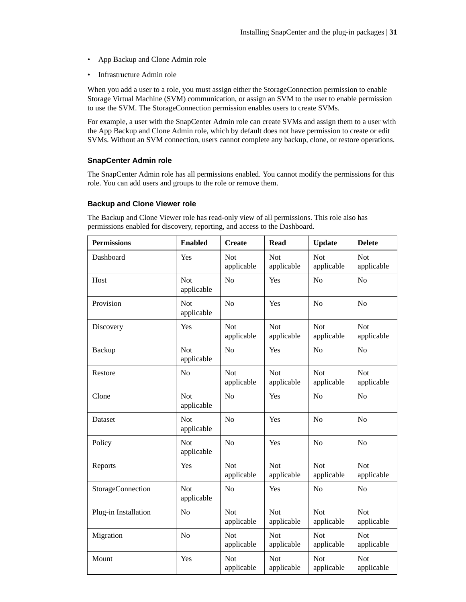- App Backup and Clone Admin role
- Infrastructure Admin role

When you add a user to a role, you must assign either the StorageConnection permission to enable Storage Virtual Machine (SVM) communication, or assign an SVM to the user to enable permission to use the SVM. The StorageConnection permission enables users to create SVMs.

For example, a user with the SnapCenter Admin role can create SVMs and assign them to a user with the App Backup and Clone Admin role, which by default does not have permission to create or edit SVMs. Without an SVM connection, users cannot complete any backup, clone, or restore operations.

#### **SnapCenter Admin role**

The SnapCenter Admin role has all permissions enabled. You cannot modify the permissions for this role. You can add users and groups to the role or remove them.

#### **Backup and Clone Viewer role**

The Backup and Clone Viewer role has read-only view of all permissions. This role also has permissions enabled for discovery, reporting, and access to the Dashboard.

| <b>Permissions</b>   | <b>Enabled</b>           | <b>Create</b>            | <b>Read</b>              | <b>Update</b>            | <b>Delete</b>            |
|----------------------|--------------------------|--------------------------|--------------------------|--------------------------|--------------------------|
| Dashboard            | Yes                      | Not<br>applicable        | Not<br>applicable        | <b>Not</b><br>applicable | Not<br>applicable        |
| Host                 | <b>Not</b><br>applicable | N <sub>o</sub>           | Yes                      | N <sub>o</sub>           | N <sub>o</sub>           |
| Provision            | Not<br>applicable        | N <sub>o</sub>           | Yes                      | N <sub>o</sub>           | N <sub>o</sub>           |
| Discovery            | Yes                      | <b>Not</b><br>applicable | Not<br>applicable        | Not<br>applicable        | <b>Not</b><br>applicable |
| Backup               | Not<br>applicable        | No                       | Yes                      | N <sub>o</sub>           | No                       |
| Restore              | No                       | <b>Not</b><br>applicable | <b>Not</b><br>applicable | <b>Not</b><br>applicable | <b>Not</b><br>applicable |
| Clone                | Not<br>applicable        | No                       | Yes                      | No                       | N <sub>o</sub>           |
| Dataset              | <b>Not</b><br>applicable | N <sub>o</sub>           | Yes                      | N <sub>o</sub>           | N <sub>o</sub>           |
| Policy               | <b>Not</b><br>applicable | N <sub>o</sub>           | Yes                      | N <sub>o</sub>           | N <sub>o</sub>           |
| Reports              | Yes                      | <b>Not</b><br>applicable | <b>Not</b><br>applicable | <b>Not</b><br>applicable | <b>Not</b><br>applicable |
| StorageConnection    | Not<br>applicable        | N <sub>o</sub>           | Yes                      | No                       | N <sub>o</sub>           |
| Plug-in Installation | N <sub>o</sub>           | <b>Not</b><br>applicable | <b>Not</b><br>applicable | <b>Not</b><br>applicable | <b>Not</b><br>applicable |
| Migration            | No                       | <b>Not</b><br>applicable | Not<br>applicable        | Not<br>applicable        | Not<br>applicable        |
| Mount                | Yes                      | Not<br>applicable        | Not<br>applicable        | Not<br>applicable        | Not<br>applicable        |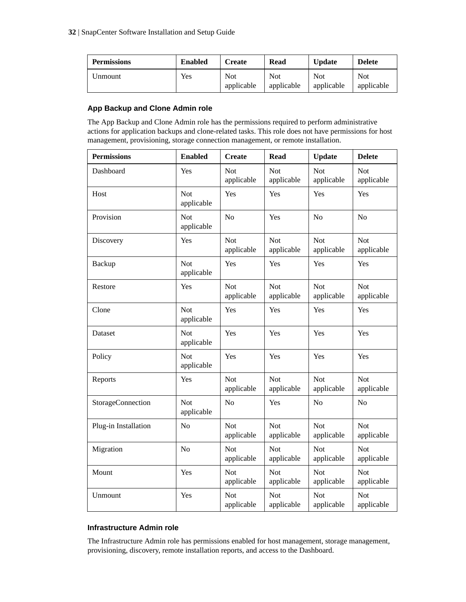| <b>Permissions</b> | <b>Enabled</b> | <b>Create</b>     | Read                     | <b>Update</b>     | <b>Delete</b>            |
|--------------------|----------------|-------------------|--------------------------|-------------------|--------------------------|
| Jnmount            | <b>Yes</b>     | Not<br>applicable | <b>Not</b><br>applicable | Not<br>applicable | <b>Not</b><br>applicable |

### **App Backup and Clone Admin role**

The App Backup and Clone Admin role has the permissions required to perform administrative actions for application backups and clone-related tasks. This role does not have permissions for host management, provisioning, storage connection management, or remote installation.

| <b>Permissions</b>   | <b>Enabled</b>           | <b>Create</b>            | <b>Read</b>              | <b>Update</b>            | <b>Delete</b>            |
|----------------------|--------------------------|--------------------------|--------------------------|--------------------------|--------------------------|
| Dashboard            | Yes                      | <b>Not</b><br>applicable | <b>Not</b><br>applicable | <b>Not</b><br>applicable | <b>Not</b><br>applicable |
| Host                 | <b>Not</b><br>applicable | Yes                      | Yes                      | Yes                      | Yes                      |
| Provision            | <b>Not</b><br>applicable | No                       | Yes                      | N <sub>o</sub>           | N <sub>o</sub>           |
| Discovery            | Yes                      | <b>Not</b><br>applicable | <b>Not</b><br>applicable | <b>Not</b><br>applicable | <b>Not</b><br>applicable |
| Backup               | <b>Not</b><br>applicable | Yes                      | Yes                      | Yes                      | Yes                      |
| Restore              | Yes                      | Not<br>applicable        | Not<br>applicable        | Not<br>applicable        | <b>Not</b><br>applicable |
| Clone                | Not<br>applicable        | Yes                      | Yes                      | Yes                      | Yes                      |
| Dataset              | <b>Not</b><br>applicable | Yes                      | Yes                      | Yes                      | Yes                      |
| Policy               | <b>Not</b><br>applicable | Yes                      | Yes                      | Yes                      | Yes                      |
| Reports              | Yes                      | Not<br>applicable        | Not<br>applicable        | Not<br>applicable        | <b>Not</b><br>applicable |
| StorageConnection    | Not<br>applicable        | N <sub>o</sub>           | Yes                      | No                       | N <sub>o</sub>           |
| Plug-in Installation | No                       | <b>Not</b><br>applicable | <b>Not</b><br>applicable | <b>Not</b><br>applicable | <b>Not</b><br>applicable |
| Migration            | N <sub>o</sub>           | Not<br>applicable        | Not<br>applicable        | <b>Not</b><br>applicable | Not<br>applicable        |
| Mount                | Yes                      | <b>Not</b><br>applicable | <b>Not</b><br>applicable | <b>Not</b><br>applicable | <b>Not</b><br>applicable |
| Unmount              | Yes                      | <b>Not</b><br>applicable | <b>Not</b><br>applicable | <b>Not</b><br>applicable | Not<br>applicable        |

### **Infrastructure Admin role**

The Infrastructure Admin role has permissions enabled for host management, storage management, provisioning, discovery, remote installation reports, and access to the Dashboard.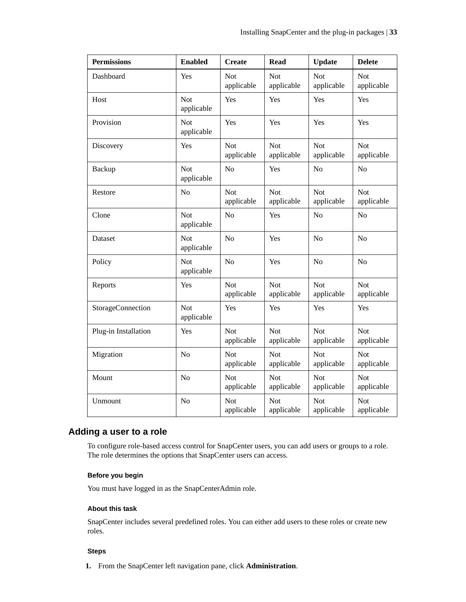<span id="page-32-0"></span>

| <b>Permissions</b>   | <b>Enabled</b>           | <b>Create</b>            | <b>Read</b>              | <b>Update</b>            | <b>Delete</b>            |
|----------------------|--------------------------|--------------------------|--------------------------|--------------------------|--------------------------|
| Dashboard            | Yes                      | Not<br>applicable        | <b>Not</b><br>applicable | Not<br>applicable        | Not<br>applicable        |
| Host                 | Not<br>applicable        | Yes                      | Yes                      | Yes                      | Yes                      |
| Provision            | Not<br>applicable        | Yes                      | Yes                      | Yes                      | Yes                      |
| Discovery            | Yes                      | <b>Not</b><br>applicable | <b>Not</b><br>applicable | <b>Not</b><br>applicable | Not<br>applicable        |
| Backup               | Not<br>applicable        | No                       | Yes                      | N <sub>o</sub>           | N <sub>o</sub>           |
| Restore              | No                       | Not<br>applicable        | <b>Not</b><br>applicable | Not<br>applicable        | Not<br>applicable        |
| Clone                | Not<br>applicable        | No                       | Yes                      | No                       | No                       |
| Dataset              | Not<br>applicable        | No                       | Yes                      | N <sub>o</sub>           | N <sub>o</sub>           |
| Policy               | <b>Not</b><br>applicable | No                       | Yes                      | N <sub>o</sub>           | N <sub>o</sub>           |
| Reports              | Yes                      | Not<br>applicable        | <b>Not</b><br>applicable | <b>Not</b><br>applicable | Not<br>applicable        |
| StorageConnection    | <b>Not</b><br>applicable | Yes                      | Yes                      | Yes                      | Yes                      |
| Plug-in Installation | Yes                      | <b>Not</b><br>applicable | <b>Not</b><br>applicable | Not<br>applicable        | <b>Not</b><br>applicable |
| Migration            | N <sub>o</sub>           | Not<br>applicable        | <b>Not</b><br>applicable | Not<br>applicable        | Not<br>applicable        |
| Mount                | N <sub>o</sub>           | <b>Not</b><br>applicable | <b>Not</b><br>applicable | <b>Not</b><br>applicable | Not<br>applicable        |
| Unmount              | No                       | Not<br>applicable        | <b>Not</b><br>applicable | <b>Not</b><br>applicable | Not<br>applicable        |

### **Adding a user to a role**

To configure role-based access control for SnapCenter users, you can add users or groups to a role. The role determines the options that SnapCenter users can access.

#### **Before you begin**

You must have logged in as the SnapCenterAdmin role.

#### **About this task**

SnapCenter includes several predefined roles. You can either add users to these roles or create new roles.

#### **Steps**

**1.** From the SnapCenter left navigation pane, click **Administration**.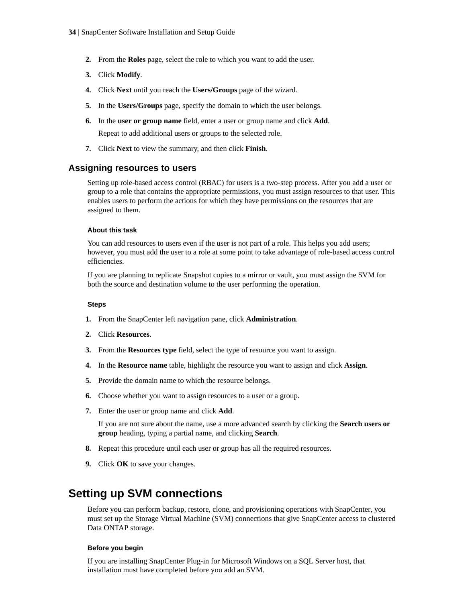- <span id="page-33-0"></span>**2.** From the **Roles** page, select the role to which you want to add the user.
- **3.** Click **Modify**.
- **4.** Click **Next** until you reach the **Users/Groups** page of the wizard.
- **5.** In the **Users/Groups** page, specify the domain to which the user belongs.
- **6.** In the **user or group name** field, enter a user or group name and click **Add**. Repeat to add additional users or groups to the selected role.
- **7.** Click **Next** to view the summary, and then click **Finish**.

#### **Assigning resources to users**

Setting up role-based access control (RBAC) for users is a two-step process. After you add a user or group to a role that contains the appropriate permissions, you must assign resources to that user. This enables users to perform the actions for which they have permissions on the resources that are assigned to them.

#### **About this task**

You can add resources to users even if the user is not part of a role. This helps you add users; however, you must add the user to a role at some point to take advantage of role-based access control efficiencies.

If you are planning to replicate Snapshot copies to a mirror or vault, you must assign the SVM for both the source and destination volume to the user performing the operation.

#### **Steps**

- **1.** From the SnapCenter left navigation pane, click **Administration**.
- **2.** Click **Resources**.
- **3.** From the **Resources type** field, select the type of resource you want to assign.
- **4.** In the **Resource name** table, highlight the resource you want to assign and click **Assign**.
- **5.** Provide the domain name to which the resource belongs.
- **6.** Choose whether you want to assign resources to a user or a group.
- **7.** Enter the user or group name and click **Add**.

If you are not sure about the name, use a more advanced search by clicking the **Search users or group** heading, typing a partial name, and clicking **Search**.

- **8.** Repeat this procedure until each user or group has all the required resources.
- **9.** Click **OK** to save your changes.

### **Setting up SVM connections**

Before you can perform backup, restore, clone, and provisioning operations with SnapCenter, you must set up the Storage Virtual Machine (SVM) connections that give SnapCenter access to clustered Data ONTAP storage.

#### **Before you begin**

If you are installing SnapCenter Plug-in for Microsoft Windows on a SQL Server host, that installation must have completed before you add an SVM.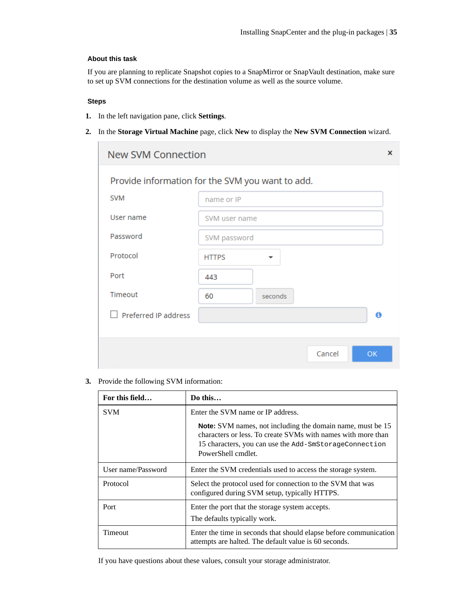#### **About this task**

If you are planning to replicate Snapshot copies to a SnapMirror or SnapVault destination, make sure to set up SVM connections for the destination volume as well as the source volume.

#### **Steps**

 $\sim$ 

- **1.** In the left navigation pane, click **Settings**.
- **2.** In the **Storage Virtual Machine** page, click **New** to display the **New SVM Connection** wizard.

| <b>SVM</b>           | name or IP                               | Provide information for the SVM you want to add. |
|----------------------|------------------------------------------|--------------------------------------------------|
|                      |                                          |                                                  |
| User name            | SVM user name                            |                                                  |
| Password             | SVM password                             |                                                  |
| Protocol             | <b>HTTPS</b><br>$\overline{\phantom{a}}$ |                                                  |
| Port                 | 443                                      |                                                  |
| Timeout              | 60<br>seconds                            |                                                  |
| Preferred IP address |                                          | 0                                                |

**3.** Provide the following SVM information:

| For this field     | Do this                                                                                                                                                                                                           |  |
|--------------------|-------------------------------------------------------------------------------------------------------------------------------------------------------------------------------------------------------------------|--|
| <b>SVM</b>         | Enter the SVM name or IP address.                                                                                                                                                                                 |  |
|                    | <b>Note:</b> SVM names, not including the domain name, must be 15<br>characters or less. To create SVMs with names with more than<br>15 characters, you can use the Add-SmStorageConnection<br>PowerShell cmdlet. |  |
| User name/Password | Enter the SVM credentials used to access the storage system.                                                                                                                                                      |  |
| Protocol           | Select the protocol used for connection to the SVM that was<br>configured during SVM setup, typically HTTPS.                                                                                                      |  |
| Port               | Enter the port that the storage system accepts.<br>The defaults typically work.                                                                                                                                   |  |
| Timeout            | Enter the time in seconds that should elapse before communication<br>attempts are halted. The default value is 60 seconds.                                                                                        |  |

If you have questions about these values, consult your storage administrator.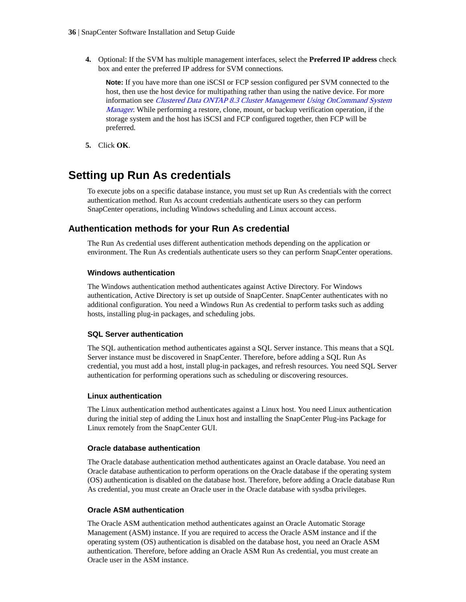<span id="page-35-0"></span>**4.** Optional: If the SVM has multiple management interfaces, select the **Preferred IP address** check box and enter the preferred IP address for SVM connections.

**Note:** If you have more than one iSCSI or FCP session configured per SVM connected to the host, then use the host device for multipathing rather than using the native device. For more information see [Clustered Data ONTAP 8.3 Cluster Management Using OnCommand System](https://library.netapp.com/ecm/ecm_download_file/ECMLP2348041) [Manager](https://library.netapp.com/ecm/ecm_download_file/ECMLP2348041). While performing a restore, clone, mount, or backup verification operation, if the storage system and the host has iSCSI and FCP configured together, then FCP will be preferred.

**5.** Click **OK**.

## **Setting up Run As credentials**

To execute jobs on a specific database instance, you must set up Run As credentials with the correct authentication method. Run As account credentials authenticate users so they can perform SnapCenter operations, including Windows scheduling and Linux account access.

### **Authentication methods for your Run As credential**

The Run As credential uses different authentication methods depending on the application or environment. The Run As credentials authenticate users so they can perform SnapCenter operations.

#### **Windows authentication**

The Windows authentication method authenticates against Active Directory. For Windows authentication, Active Directory is set up outside of SnapCenter. SnapCenter authenticates with no additional configuration. You need a Windows Run As credential to perform tasks such as adding hosts, installing plug-in packages, and scheduling jobs.

#### **SQL Server authentication**

The SQL authentication method authenticates against a SQL Server instance. This means that a SQL Server instance must be discovered in SnapCenter. Therefore, before adding a SQL Run As credential, you must add a host, install plug-in packages, and refresh resources. You need SQL Server authentication for performing operations such as scheduling or discovering resources.

#### **Linux authentication**

The Linux authentication method authenticates against a Linux host. You need Linux authentication during the initial step of adding the Linux host and installing the SnapCenter Plug-ins Package for Linux remotely from the SnapCenter GUI.

#### **Oracle database authentication**

The Oracle database authentication method authenticates against an Oracle database. You need an Oracle database authentication to perform operations on the Oracle database if the operating system (OS) authentication is disabled on the database host. Therefore, before adding a Oracle database Run As credential, you must create an Oracle user in the Oracle database with sysdba privileges.

#### **Oracle ASM authentication**

The Oracle ASM authentication method authenticates against an Oracle Automatic Storage Management (ASM) instance. If you are required to access the Oracle ASM instance and if the operating system (OS) authentication is disabled on the database host, you need an Oracle ASM authentication. Therefore, before adding an Oracle ASM Run As credential, you must create an Oracle user in the ASM instance.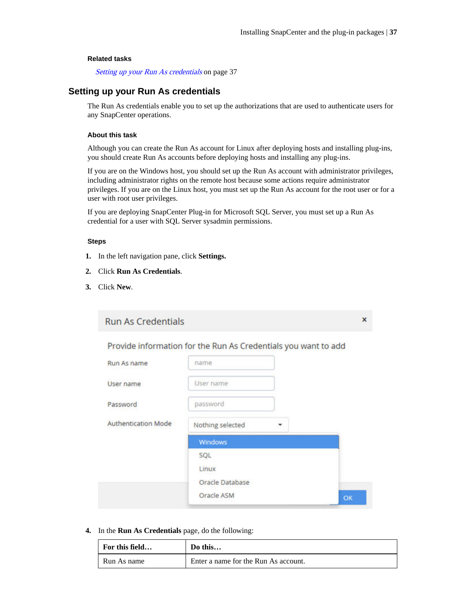$\mathbf{x}$ 

### <span id="page-36-0"></span>**Related tasks**

Setting up your Run As credentials on page 37

### **Setting up your Run As credentials**

The Run As credentials enable you to set up the authorizations that are used to authenticate users for any SnapCenter operations.

### **About this task**

Although you can create the Run As account for Linux after deploying hosts and installing plug-ins, you should create Run As accounts before deploying hosts and installing any plug-ins.

If you are on the Windows host, you should set up the Run As account with administrator privileges, including administrator rights on the remote host because some actions require administrator privileges. If you are on the Linux host, you must set up the Run As account for the root user or for a user with root user privileges.

If you are deploying SnapCenter Plug-in for Microsoft SQL Server, you must set up a Run As credential for a user with SQL Server sysadmin permissions.

### **Steps**

- **1.** In the left navigation pane, click **Settings.**
- **2.** Click **Run As Credentials**.
- **3.** Click **New**.

|  |  |  | Run As Credentials |  |  |  |
|--|--|--|--------------------|--|--|--|
|--|--|--|--------------------|--|--|--|

Provide information for the Run As Credentials you want to add

| Run As name                | name             |   |    |
|----------------------------|------------------|---|----|
| User name                  | User name        |   |    |
| Password                   | password         |   |    |
| <b>Authentication Mode</b> | Nothing selected | × |    |
|                            | Windows          |   |    |
|                            | SQL              |   |    |
|                            | Linux            |   |    |
|                            | Oracle Database  |   |    |
|                            | Oracle ASM       |   | ОK |

**4.** In the **Run As Credentials** page, do the following:

| For this field | Do this                              |
|----------------|--------------------------------------|
| Run As name    | Enter a name for the Run As account. |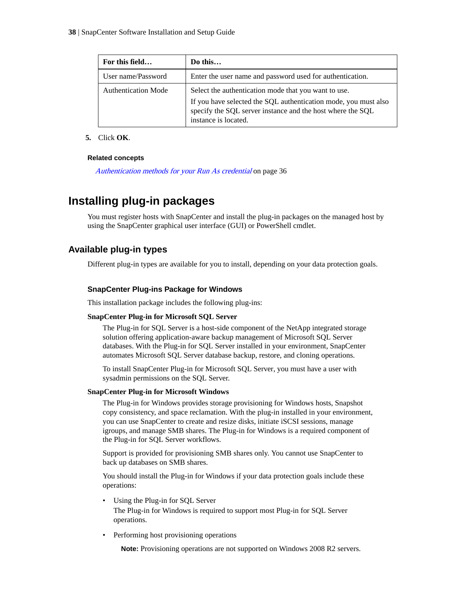| For this field             | Do this                                                                                                                                                                                                       |
|----------------------------|---------------------------------------------------------------------------------------------------------------------------------------------------------------------------------------------------------------|
| User name/Password         | Enter the user name and password used for authentication.                                                                                                                                                     |
| <b>Authentication Mode</b> | Select the authentication mode that you want to use.<br>If you have selected the SQL authentication mode, you must also<br>specify the SQL server instance and the host where the SQL<br>instance is located. |

### **5.** Click **OK**.

### **Related concepts**

[Authentication methods for your Run As credential](#page-35-0) on page 36

# **Installing plug-in packages**

You must register hosts with SnapCenter and install the plug-in packages on the managed host by using the SnapCenter graphical user interface (GUI) or PowerShell cmdlet.

### **Available plug-in types**

Different plug-in types are available for you to install, depending on your data protection goals.

### **SnapCenter Plug-ins Package for Windows**

This installation package includes the following plug-ins:

### **SnapCenter Plug-in for Microsoft SQL Server**

The Plug-in for SQL Server is a host-side component of the NetApp integrated storage solution offering application-aware backup management of Microsoft SQL Server databases. With the Plug-in for SQL Server installed in your environment, SnapCenter automates Microsoft SQL Server database backup, restore, and cloning operations.

To install SnapCenter Plug-in for Microsoft SQL Server, you must have a user with sysadmin permissions on the SQL Server.

### **SnapCenter Plug-in for Microsoft Windows**

The Plug-in for Windows provides storage provisioning for Windows hosts, Snapshot copy consistency, and space reclamation. With the plug-in installed in your environment, you can use SnapCenter to create and resize disks, initiate iSCSI sessions, manage igroups, and manage SMB shares. The Plug-in for Windows is a required component of the Plug-in for SQL Server workflows.

Support is provided for provisioning SMB shares only. You cannot use SnapCenter to back up databases on SMB shares.

You should install the Plug-in for Windows if your data protection goals include these operations:

- Using the Plug-in for SQL Server The Plug-in for Windows is required to support most Plug-in for SQL Server operations.
- Performing host provisioning operations

**Note:** Provisioning operations are not supported on Windows 2008 R2 servers.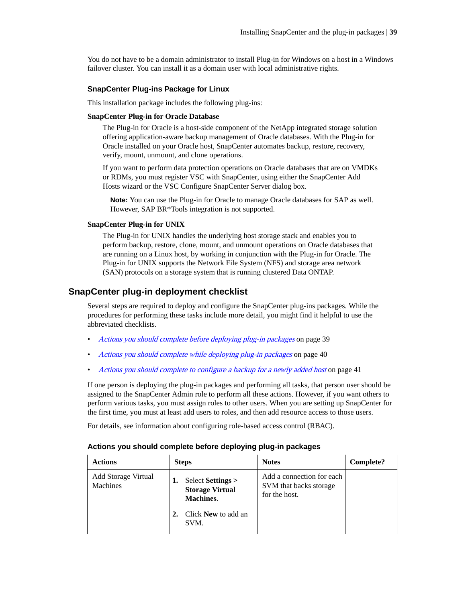You do not have to be a domain administrator to install Plug-in for Windows on a host in a Windows failover cluster. You can install it as a domain user with local administrative rights.

### **SnapCenter Plug-ins Package for Linux**

This installation package includes the following plug-ins:

### **SnapCenter Plug-in for Oracle Database**

The Plug-in for Oracle is a host-side component of the NetApp integrated storage solution offering application-aware backup management of Oracle databases. With the Plug-in for Oracle installed on your Oracle host, SnapCenter automates backup, restore, recovery, verify, mount, unmount, and clone operations.

If you want to perform data protection operations on Oracle databases that are on VMDKs or RDMs, you must register VSC with SnapCenter, using either the SnapCenter Add Hosts wizard or the VSC Configure SnapCenter Server dialog box.

**Note:** You can use the Plug-in for Oracle to manage Oracle databases for SAP as well. However, SAP BR\*Tools integration is not supported.

### **SnapCenter Plug-in for UNIX**

The Plug-in for UNIX handles the underlying host storage stack and enables you to perform backup, restore, clone, mount, and unmount operations on Oracle databases that are running on a Linux host, by working in conjunction with the Plug-in for Oracle. The Plug-in for UNIX supports the Network File System (NFS) and storage area network (SAN) protocols on a storage system that is running clustered Data ONTAP.

### **SnapCenter plug-in deployment checklist**

Several steps are required to deploy and configure the SnapCenter plug-ins packages. While the procedures for performing these tasks include more detail, you might find it helpful to use the abbreviated checklists.

- Actions you should complete before deploying plug-in packages on page 39
- [Actions you should complete while deploying plug-in packages](#page-39-0) on page 40
- [Actions you should complete to configure a backup for a newly added host](#page-40-0) on page 41

If one person is deploying the plug-in packages and performing all tasks, that person user should be assigned to the SnapCenter Admin role to perform all these actions. However, if you want others to perform various tasks, you must assign roles to other users. When you are setting up SnapCenter for the first time, you must at least add users to roles, and then add resource access to those users.

For details, see information about configuring role-based access control (RBAC).

| <b>Actions</b>                         | <b>Steps</b>                                                    | <b>Notes</b>                                                         | Complete? |
|----------------------------------------|-----------------------------------------------------------------|----------------------------------------------------------------------|-----------|
| <b>Add Storage Virtual</b><br>Machines | Select Settings ><br><b>Storage Virtual</b><br><b>Machines.</b> | Add a connection for each<br>SVM that backs storage<br>for the host. |           |
|                                        | Click New to add an<br>SVM.                                     |                                                                      |           |

### **Actions you should complete before deploying plug-in packages**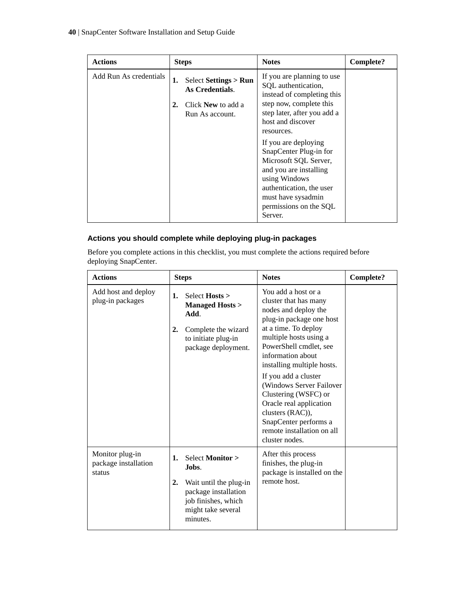<span id="page-39-0"></span>

| <b>Actions</b>         |    | <b>Steps</b>                                 | <b>Notes</b>                                                                                                      | <b>Complete?</b> |
|------------------------|----|----------------------------------------------|-------------------------------------------------------------------------------------------------------------------|------------------|
| Add Run As credentials | 1. | Select Settings $>$ Run<br>As Credentials.   | If you are planning to use<br>SQL authentication,<br>instead of completing this                                   |                  |
|                        | 2. | Click <b>New</b> to add a<br>Run As account. | step now, complete this<br>step later, after you add a<br>host and discover<br>resources.<br>If you are deploying |                  |
|                        |    |                                              | SnapCenter Plug-in for<br>Microsoft SQL Server,<br>and you are installing<br>using Windows                        |                  |
|                        |    |                                              | authentication, the user<br>must have sysadmin<br>permissions on the SQL<br>Server.                               |                  |

### **Actions you should complete while deploying plug-in packages**

Before you complete actions in this checklist, you must complete the actions required before deploying SnapCenter.

| <b>Actions</b>                                    | <b>Steps</b>                                                                                                                                            | <b>Notes</b>                                                                                                                                                                                                                                                                                                                                                                                                                        | Complete? |
|---------------------------------------------------|---------------------------------------------------------------------------------------------------------------------------------------------------------|-------------------------------------------------------------------------------------------------------------------------------------------------------------------------------------------------------------------------------------------------------------------------------------------------------------------------------------------------------------------------------------------------------------------------------------|-----------|
| Add host and deploy<br>plug-in packages           | Select Hosts ><br>1.<br><b>Managed Hosts &gt;</b><br>Add.<br>2.<br>Complete the wizard<br>to initiate plug-in<br>package deployment.                    | You add a host or a<br>cluster that has many<br>nodes and deploy the<br>plug-in package one host<br>at a time. To deploy<br>multiple hosts using a<br>PowerShell cmdlet, see<br>information about<br>installing multiple hosts.<br>If you add a cluster<br>(Windows Server Failover<br>Clustering (WSFC) or<br>Oracle real application<br>clusters (RAC)),<br>SnapCenter performs a<br>remote installation on all<br>cluster nodes. |           |
| Monitor plug-in<br>package installation<br>status | Select <b>Monitor</b> ><br>1.<br>Jobs.<br>2.<br>Wait until the plug-in<br>package installation<br>job finishes, which<br>might take several<br>minutes. | After this process<br>finishes, the plug-in<br>package is installed on the<br>remote host.                                                                                                                                                                                                                                                                                                                                          |           |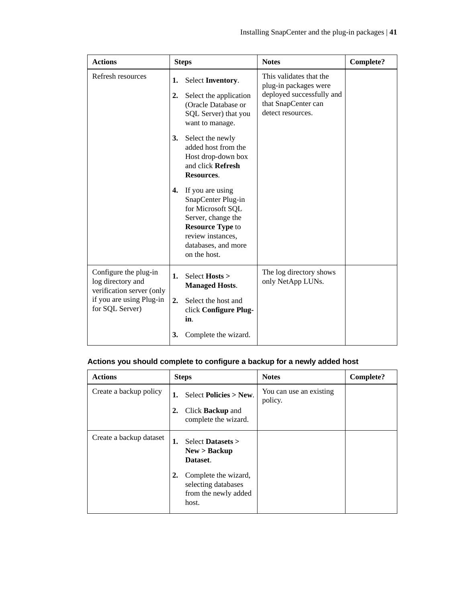<span id="page-40-0"></span>

| <b>Actions</b>                                                                                                         | <b>Steps</b>                                                                                                                                                                   | <b>Notes</b>                                                                                                              | <b>Complete?</b> |
|------------------------------------------------------------------------------------------------------------------------|--------------------------------------------------------------------------------------------------------------------------------------------------------------------------------|---------------------------------------------------------------------------------------------------------------------------|------------------|
| Refresh resources                                                                                                      | Select Inventory.<br>1.<br>2.<br>Select the application<br>(Oracle Database or<br>SQL Server) that you<br>want to manage.                                                      | This validates that the<br>plug-in packages were<br>deployed successfully and<br>that SnapCenter can<br>detect resources. |                  |
|                                                                                                                        | Select the newly<br>3.<br>added host from the<br>Host drop-down box<br>and click Refresh<br>Resources.                                                                         |                                                                                                                           |                  |
|                                                                                                                        | If you are using<br>4.<br>SnapCenter Plug-in<br>for Microsoft SQL<br>Server, change the<br><b>Resource Type to</b><br>review instances,<br>databases, and more<br>on the host. |                                                                                                                           |                  |
| Configure the plug-in<br>log directory and<br>verification server (only<br>if you are using Plug-in<br>for SQL Server) | Select Hosts ><br>1.<br><b>Managed Hosts.</b><br>Select the host and<br>2.<br>click Configure Plug-<br>in.                                                                     | The log directory shows<br>only NetApp LUNs.                                                                              |                  |
|                                                                                                                        | Complete the wizard.<br>3.                                                                                                                                                     |                                                                                                                           |                  |

## **Actions you should complete to configure a backup for a newly added host**

| <b>Actions</b>          | <b>Steps</b>                                                                            | <b>Notes</b>                       | <b>Complete?</b> |
|-------------------------|-----------------------------------------------------------------------------------------|------------------------------------|------------------|
| Create a backup policy  | Select Policies $>$ New.<br>1.<br>Click <b>Backup</b> and<br>2.<br>complete the wizard. | You can use an existing<br>policy. |                  |
| Create a backup dataset | 1.<br>Select Datasets $>$<br>New > Backup<br>Dataset.                                   |                                    |                  |
|                         | Complete the wizard,<br>2.<br>selecting databases<br>from the newly added<br>host.      |                                    |                  |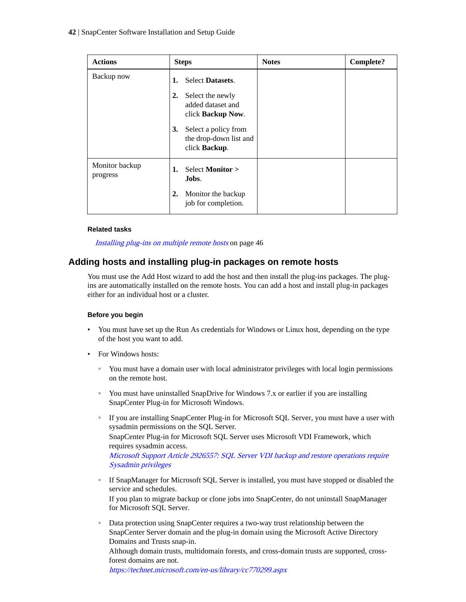| <b>Actions</b>             | <b>Steps</b>                                                                                                                                      | <b>Notes</b> | <b>Complete?</b> |
|----------------------------|---------------------------------------------------------------------------------------------------------------------------------------------------|--------------|------------------|
| Backup now                 | <b>Select Datasets.</b><br>1.                                                                                                                     |              |                  |
|                            | Select the newly<br>2.<br>added dataset and<br>click Backup Now.<br>Select a policy from<br>3.<br>the drop-down list and<br>click <b>Backup</b> . |              |                  |
| Monitor backup<br>progress | <b>Select Monitor &gt;</b><br>1.<br>Jobs.                                                                                                         |              |                  |
|                            | Monitor the backup<br>2.<br>job for completion.                                                                                                   |              |                  |

### **Related tasks**

[Installing plug-ins on multiple remote hosts](#page-45-0) on page 46

### **Adding hosts and installing plug-in packages on remote hosts**

You must use the Add Host wizard to add the host and then install the plug-ins packages. The plugins are automatically installed on the remote hosts. You can add a host and install plug-in packages either for an individual host or a cluster.

### **Before you begin**

- You must have set up the Run As credentials for Windows or Linux host, depending on the type of the host you want to add.
- For Windows hosts:
	- You must have a domain user with local administrator privileges with local login permissions on the remote host.
	- You must have uninstalled SnapDrive for Windows 7.x or earlier if you are installing SnapCenter Plug-in for Microsoft Windows.
	- If you are installing SnapCenter Plug-in for Microsoft SQL Server, you must have a user with sysadmin permissions on the SQL Server. SnapCenter Plug-in for Microsoft SQL Server uses Microsoft VDI Framework, which requires sysadmin access. [Microsoft Support Article 2926557: SQL Server VDI backup and restore operations require](http://support.microsoft.com/kb/2926557/) [Sysadmin privileges](http://support.microsoft.com/kb/2926557/)
	- If SnapManager for Microsoft SQL Server is installed, you must have stopped or disabled the service and schedules. If you plan to migrate backup or clone jobs into SnapCenter, do not uninstall SnapManager for Microsoft SQL Server.
	- Data protection using SnapCenter requires a two-way trust relationship between the SnapCenter Server domain and the plug-in domain using the Microsoft Active Directory Domains and Trusts snap-in.

Although domain trusts, multidomain forests, and cross-domain trusts are supported, crossforest domains are not.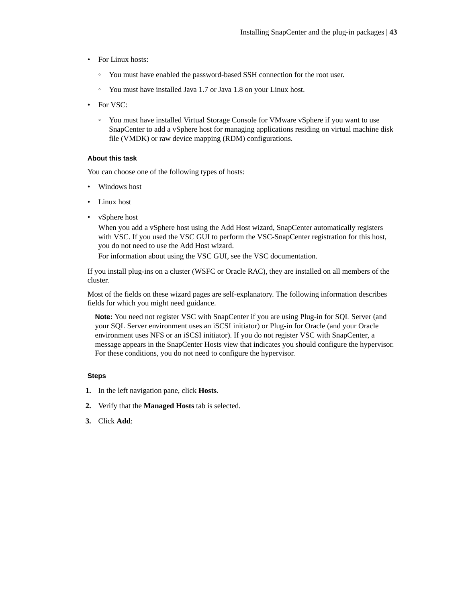- For Linux hosts:
	- You must have enabled the password-based SSH connection for the root user.
	- You must have installed Java 1.7 or Java 1.8 on your Linux host.
- For VSC:
	- You must have installed Virtual Storage Console for VMware vSphere if you want to use SnapCenter to add a vSphere host for managing applications residing on virtual machine disk file (VMDK) or raw device mapping (RDM) configurations.

### **About this task**

You can choose one of the following types of hosts:

- Windows host
- Linux host
- vSphere host

When you add a vSphere host using the Add Host wizard, SnapCenter automatically registers with VSC. If you used the VSC GUI to perform the VSC-SnapCenter registration for this host, you do not need to use the Add Host wizard.

For information about using the VSC GUI, see the VSC documentation.

If you install plug-ins on a cluster (WSFC or Oracle RAC), they are installed on all members of the cluster.

Most of the fields on these wizard pages are self-explanatory. The following information describes fields for which you might need guidance.

**Note:** You need not register VSC with SnapCenter if you are using Plug-in for SQL Server (and your SQL Server environment uses an iSCSI initiator) or Plug-in for Oracle (and your Oracle environment uses NFS or an iSCSI initiator). If you do not register VSC with SnapCenter, a message appears in the SnapCenter Hosts view that indicates you should configure the hypervisor. For these conditions, you do not need to configure the hypervisor.

- **1.** In the left navigation pane, click **Hosts**.
- **2.** Verify that the **Managed Hosts** tab is selected.
- **3.** Click **Add**: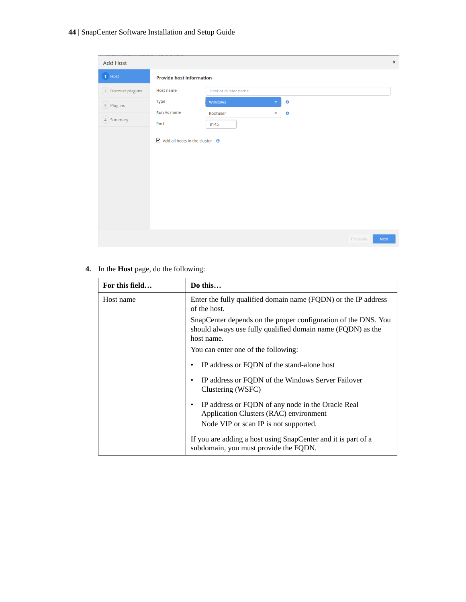### **44** | SnapCenter Software Installation and Setup Guide

| <b>Add Host</b>     |                                                            |                          |           |                  | $\pmb{\times}$ |
|---------------------|------------------------------------------------------------|--------------------------|-----------|------------------|----------------|
| 1 Host              | <b>Provide host information</b>                            |                          |           |                  |                |
| 2 Discover plug-ins | Host name                                                  | Host or cluster name     |           |                  |                |
| 3 Plug-ins          | Type                                                       | Windows                  | $\bullet$ |                  |                |
|                     | Run As name                                                | Rootuser<br>$\mathbf{v}$ | $\bullet$ |                  |                |
| 4 Summary           | Port                                                       | 8145                     |           |                  |                |
|                     | $\blacksquare$ Add all hosts in the cluster $\blacksquare$ |                          |           |                  |                |
|                     |                                                            |                          |           | Next<br>Previous |                |

### **4.** In the **Host** page, do the following:

| For this field | Do this                                                                                                                                     |
|----------------|---------------------------------------------------------------------------------------------------------------------------------------------|
| Host name      | Enter the fully qualified domain name (FQDN) or the IP address<br>of the host.                                                              |
|                | SnapCenter depends on the proper configuration of the DNS. You<br>should always use fully qualified domain name (FQDN) as the<br>host name. |
|                | You can enter one of the following:                                                                                                         |
|                | IP address or FQDN of the stand-alone host                                                                                                  |
|                | IP address or FQDN of the Windows Server Failover<br>Clustering (WSFC)                                                                      |
|                | IP address or FQDN of any node in the Oracle Real<br>Application Clusters (RAC) environment<br>Node VIP or scan IP is not supported.        |
|                | If you are adding a host using SnapCenter and it is part of a<br>subdomain, you must provide the FQDN.                                      |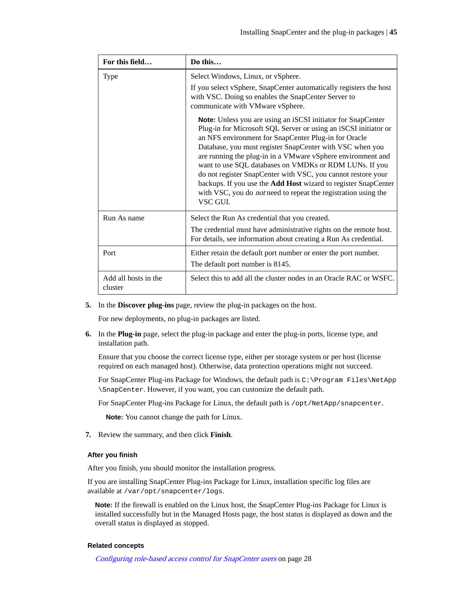| For this field                  | Do this                                                                                                                                                                                                                                                                                                                                                                                                                                                                                                                                                                                            |
|---------------------------------|----------------------------------------------------------------------------------------------------------------------------------------------------------------------------------------------------------------------------------------------------------------------------------------------------------------------------------------------------------------------------------------------------------------------------------------------------------------------------------------------------------------------------------------------------------------------------------------------------|
| <b>Type</b>                     | Select Windows, Linux, or vSphere.                                                                                                                                                                                                                                                                                                                                                                                                                                                                                                                                                                 |
|                                 | If you select vSphere, SnapCenter automatically registers the host<br>with VSC. Doing so enables the SnapCenter Server to<br>communicate with VMware vSphere.                                                                                                                                                                                                                                                                                                                                                                                                                                      |
|                                 | Note: Unless you are using an iSCSI initiator for SnapCenter<br>Plug-in for Microsoft SQL Server or using an iSCSI initiator or<br>an NFS environment for SnapCenter Plug-in for Oracle<br>Database, you must register SnapCenter with VSC when you<br>are running the plug-in in a VMware vSphere environment and<br>want to use SQL databases on VMDKs or RDM LUNs. If you<br>do not register SnapCenter with VSC, you cannot restore your<br>backups. If you use the Add Host wizard to register SnapCenter<br>with VSC, you do <i>not</i> need to repeat the registration using the<br>VSC GUL |
| Run As name                     | Select the Run As credential that you created.                                                                                                                                                                                                                                                                                                                                                                                                                                                                                                                                                     |
|                                 | The credential must have administrative rights on the remote host.<br>For details, see information about creating a Run As credential.                                                                                                                                                                                                                                                                                                                                                                                                                                                             |
| Port                            | Either retain the default port number or enter the port number.                                                                                                                                                                                                                                                                                                                                                                                                                                                                                                                                    |
|                                 | The default port number is 8145.                                                                                                                                                                                                                                                                                                                                                                                                                                                                                                                                                                   |
| Add all hosts in the<br>cluster | Select this to add all the cluster nodes in an Oracle RAC or WSFC.                                                                                                                                                                                                                                                                                                                                                                                                                                                                                                                                 |

**5.** In the **Discover plug-ins** page, review the plug-in packages on the host.

For new deployments, no plug-in packages are listed.

**6.** In the **Plug-in** page, select the plug-in package and enter the plug-in ports, license type, and installation path.

Ensure that you choose the correct license type, either per storage system or per host (license required on each managed host). Otherwise, data protection operations might not succeed.

For SnapCenter Plug-ins Package for Windows, the default path is C:\Program Files\NetApp \SnapCenter. However, if you want, you can customize the default path.

For SnapCenter Plug-ins Package for Linux, the default path is /opt/NetApp/snapcenter.

**Note:** You cannot change the path for Linux.

**7.** Review the summary, and then click **Finish**.

### **After you finish**

After you finish, you should monitor the installation progress.

If you are installing SnapCenter Plug-ins Package for Linux, installation specific log files are available at /var/opt/snapcenter/logs.

**Note:** If the firewall is enabled on the Linux host, the SnapCenter Plug-ins Package for Linux is installed successfully but in the Managed Hosts page, the host status is displayed as down and the overall status is displayed as stopped.

### **Related concepts**

[Configuring role-based access control for SnapCenter users](#page-27-0) on page 28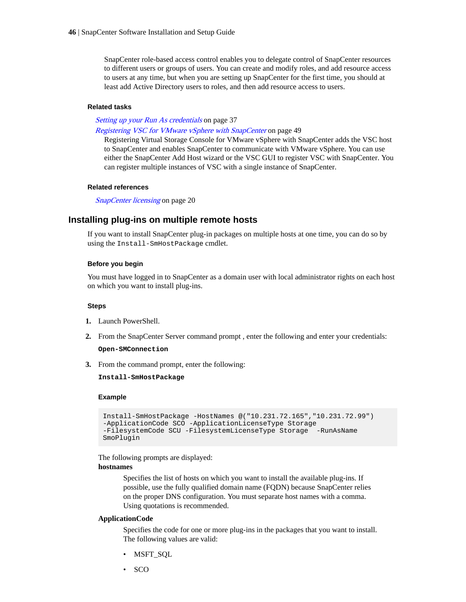<span id="page-45-0"></span>SnapCenter role-based access control enables you to delegate control of SnapCenter resources to different users or groups of users. You can create and modify roles, and add resource access to users at any time, but when you are setting up SnapCenter for the first time, you should at least add Active Directory users to roles, and then add resource access to users.

#### **Related tasks**

[Setting up your Run As credentials](#page-36-0) on page 37

[Registering VSC for VMware vSphere with SnapCenter](#page-48-0) on page 49

Registering Virtual Storage Console for VMware vSphere with SnapCenter adds the VSC host to SnapCenter and enables SnapCenter to communicate with VMware vSphere. You can use either the SnapCenter Add Host wizard or the VSC GUI to register VSC with SnapCenter. You can register multiple instances of VSC with a single instance of SnapCenter.

### **Related references**

[SnapCenter licensing](#page-19-0) on page 20

### **Installing plug-ins on multiple remote hosts**

If you want to install SnapCenter plug-in packages on multiple hosts at one time, you can do so by using the Install-SmHostPackage cmdlet.

### **Before you begin**

You must have logged in to SnapCenter as a domain user with local administrator rights on each host on which you want to install plug-ins.

#### **Steps**

- **1.** Launch PowerShell.
- **2.** From the SnapCenter Server command prompt , enter the following and enter your credentials: **Open-SMConnection**
- **3.** From the command prompt, enter the following:

**Install-SmHostPackage**

### **Example**

```
Install-SmHostPackage -HostNames @("10.231.72.165","10.231.72.99") 
-ApplicationCode SCO -ApplicationLicenseType Storage 
-FilesystemCode SCU -FilesystemLicenseType Storage -RunAsName 
SmoPlugin
```
The following prompts are displayed:

### **hostnames**

Specifies the list of hosts on which you want to install the available plug-ins. If possible, use the fully qualified domain name (FQDN) because SnapCenter relies on the proper DNS configuration. You must separate host names with a comma. Using quotations is recommended.

### **ApplicationCode**

Specifies the code for one or more plug-ins in the packages that you want to install. The following values are valid:

- MSFT\_SQL
- SCO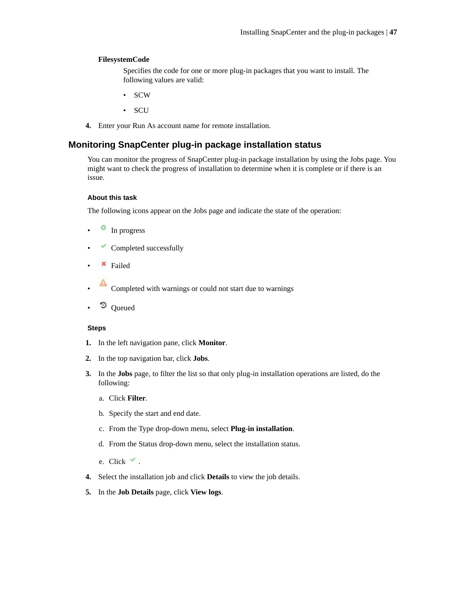### **FilesystemCode**

Specifies the code for one or more plug-in packages that you want to install. The following values are valid:

- SCW
- SCU
- **4.** Enter your Run As account name for remote installation.

### **Monitoring SnapCenter plug-in package installation status**

You can monitor the progress of SnapCenter plug-in package installation by using the Jobs page. You might want to check the progress of installation to determine when it is complete or if there is an issue.

### **About this task**

The following icons appear on the Jobs page and indicate the state of the operation:

- In progress
- Completed successfully
- Failed
- Completed with warnings or could not start due to warnings
- Queued

- **1.** In the left navigation pane, click **Monitor**.
- **2.** In the top navigation bar, click **Jobs**.
- **3.** In the **Jobs** page, to filter the list so that only plug-in installation operations are listed, do the following:
	- a. Click **Filter**.
	- b. Specify the start and end date.
	- c. From the Type drop-down menu, select **Plug-in installation**.
	- d. From the Status drop-down menu, select the installation status.
	- e. Click  $\checkmark$ .
- **4.** Select the installation job and click **Details** to view the job details.
- **5.** In the **Job Details** page, click **View logs**.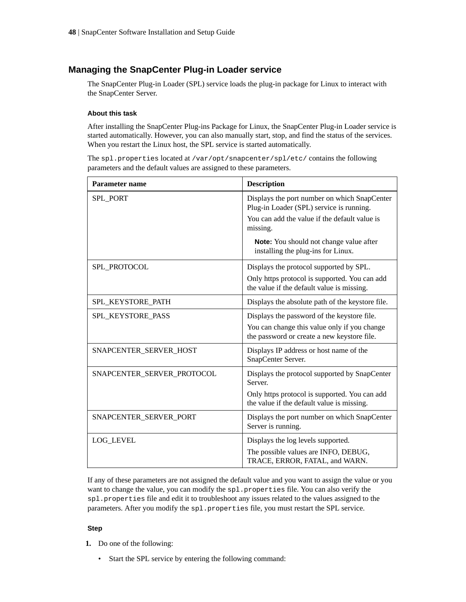### **Managing the SnapCenter Plug-in Loader service**

The SnapCenter Plug-in Loader (SPL) service loads the plug-in package for Linux to interact with the SnapCenter Server.

### **About this task**

After installing the SnapCenter Plug-ins Package for Linux, the SnapCenter Plug-in Loader service is started automatically. However, you can also manually start, stop, and find the status of the services. When you restart the Linux host, the SPL service is started automatically.

The spl.properties located at /var/opt/snapcenter/spl/etc/ contains the following parameters and the default values are assigned to these parameters.

| <b>Parameter name</b>      | <b>Description</b>                                                                          |
|----------------------------|---------------------------------------------------------------------------------------------|
| SPL_PORT                   | Displays the port number on which SnapCenter<br>Plug-in Loader (SPL) service is running.    |
|                            | You can add the value if the default value is<br>missing.                                   |
|                            | Note: You should not change value after<br>installing the plug-ins for Linux.               |
| SPL PROTOCOL               | Displays the protocol supported by SPL.                                                     |
|                            | Only https protocol is supported. You can add<br>the value if the default value is missing. |
| SPL_KEYSTORE_PATH          | Displays the absolute path of the keystore file.                                            |
| SPL KEYSTORE PASS          | Displays the password of the keystore file.                                                 |
|                            | You can change this value only if you change<br>the password or create a new keystore file. |
| SNAPCENTER_SERVER_HOST     | Displays IP address or host name of the<br>SnapCenter Server.                               |
| SNAPCENTER_SERVER_PROTOCOL | Displays the protocol supported by SnapCenter<br>Server.                                    |
|                            | Only https protocol is supported. You can add<br>the value if the default value is missing. |
| SNAPCENTER_SERVER_PORT     | Displays the port number on which SnapCenter<br>Server is running.                          |
| <b>LOG_LEVEL</b>           | Displays the log levels supported.                                                          |
|                            | The possible values are INFO, DEBUG,<br>TRACE, ERROR, FATAL, and WARN.                      |

If any of these parameters are not assigned the default value and you want to assign the value or you want to change the value, you can modify the spl.properties file. You can also verify the spl.properties file and edit it to troubleshoot any issues related to the values assigned to the parameters. After you modify the spl.properties file, you must restart the SPL service.

### **Step**

- **1.** Do one of the following:
	- Start the SPL service by entering the following command: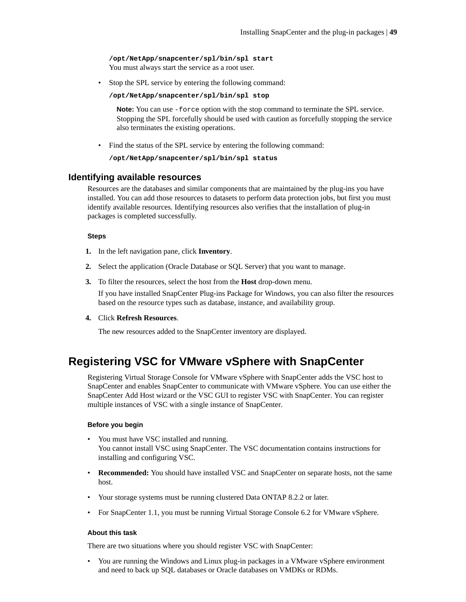<span id="page-48-0"></span>**/opt/NetApp/snapcenter/spl/bin/spl start** You must always start the service as a root user.

• Stop the SPL service by entering the following command:

**/opt/NetApp/snapcenter/spl/bin/spl stop**

**Note:** You can use -force option with the stop command to terminate the SPL service. Stopping the SPL forcefully should be used with caution as forcefully stopping the service also terminates the existing operations.

• Find the status of the SPL service by entering the following command:

**/opt/NetApp/snapcenter/spl/bin/spl status**

### **Identifying available resources**

Resources are the databases and similar components that are maintained by the plug-ins you have installed. You can add those resources to datasets to perform data protection jobs, but first you must identify available resources. Identifying resources also verifies that the installation of plug-in packages is completed successfully.

### **Steps**

- **1.** In the left navigation pane, click **Inventory**.
- **2.** Select the application (Oracle Database or SQL Server) that you want to manage.
- **3.** To filter the resources, select the host from the **Host** drop-down menu.

If you have installed SnapCenter Plug-ins Package for Windows, you can also filter the resources based on the resource types such as database, instance, and availability group.

**4.** Click **Refresh Resources**.

The new resources added to the SnapCenter inventory are displayed.

## **Registering VSC for VMware vSphere with SnapCenter**

Registering Virtual Storage Console for VMware vSphere with SnapCenter adds the VSC host to SnapCenter and enables SnapCenter to communicate with VMware vSphere. You can use either the SnapCenter Add Host wizard or the VSC GUI to register VSC with SnapCenter. You can register multiple instances of VSC with a single instance of SnapCenter.

### **Before you begin**

- You must have VSC installed and running. You cannot install VSC using SnapCenter. The VSC documentation contains instructions for installing and configuring VSC.
- **Recommended:** You should have installed VSC and SnapCenter on separate hosts, not the same host.
- Your storage systems must be running clustered Data ONTAP 8.2.2 or later.
- For SnapCenter 1.1, you must be running Virtual Storage Console 6.2 for VMware vSphere.

### **About this task**

There are two situations where you should register VSC with SnapCenter:

• You are running the Windows and Linux plug-in packages in a VMware vSphere environment and need to back up SQL databases or Oracle databases on VMDKs or RDMs.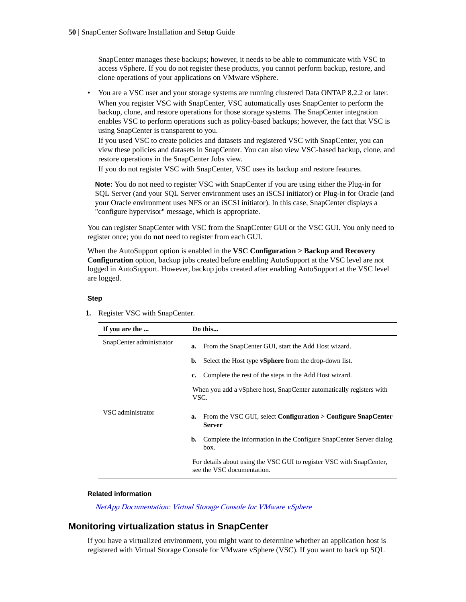SnapCenter manages these backups; however, it needs to be able to communicate with VSC to access vSphere. If you do not register these products, you cannot perform backup, restore, and clone operations of your applications on VMware vSphere.

• You are a VSC user and your storage systems are running clustered Data ONTAP 8.2.2 or later. When you register VSC with SnapCenter, VSC automatically uses SnapCenter to perform the backup, clone, and restore operations for those storage systems. The SnapCenter integration enables VSC to perform operations such as policy-based backups; however, the fact that VSC is using SnapCenter is transparent to you.

If you used VSC to create policies and datasets and registered VSC with SnapCenter, you can view these policies and datasets in SnapCenter. You can also view VSC-based backup, clone, and restore operations in the SnapCenter Jobs view.

If you do not register VSC with SnapCenter, VSC uses its backup and restore features.

**Note:** You do not need to register VSC with SnapCenter if you are using either the Plug-in for SQL Server (and your SQL Server environment uses an iSCSI initiator) or Plug-in for Oracle (and your Oracle environment uses NFS or an iSCSI initiator). In this case, SnapCenter displays a "configure hypervisor" message, which is appropriate.

You can register SnapCenter with VSC from the SnapCenter GUI or the VSC GUI. You only need to register once; you do **not** need to register from each GUI.

When the AutoSupport option is enabled in the **VSC Configuration > Backup and Recovery Configuration** option, backup jobs created before enabling AutoSupport at the VSC level are not logged in AutoSupport. However, backup jobs created after enabling AutoSupport at the VSC level are logged.

### **Step**

**1.** Register VSC with SnapCenter.

| If you are the           | Do this                                                                                            |
|--------------------------|----------------------------------------------------------------------------------------------------|
| SnapCenter administrator | From the SnapCenter GUI, start the Add Host wizard.<br>a.                                          |
|                          | Select the Host type <b>vSphere</b> from the drop-down list.<br>b.                                 |
|                          | Complete the rest of the steps in the Add Host wizard.<br>c.                                       |
|                          | When you add a vSphere host, SnapCenter automatically registers with<br>VSC.                       |
| VSC administrator        | From the VSC GUI, select <b>Configuration &gt; Configure SnapCenter</b><br>a.<br><b>Server</b>     |
|                          | Complete the information in the Configure SnapCenter Server dialog<br>b.<br>box.                   |
|                          | For details about using the VSC GUI to register VSC with SnapCenter,<br>see the VSC documentation. |

#### **Related information**

[NetApp Documentation: Virtual Storage Console for VMware vSphere](http://mysupport.netapp.com/documentation/productlibrary/index.html?productID=30048)

### **Monitoring virtualization status in SnapCenter**

If you have a virtualized environment, you might want to determine whether an application host is registered with Virtual Storage Console for VMware vSphere (VSC). If you want to back up SQL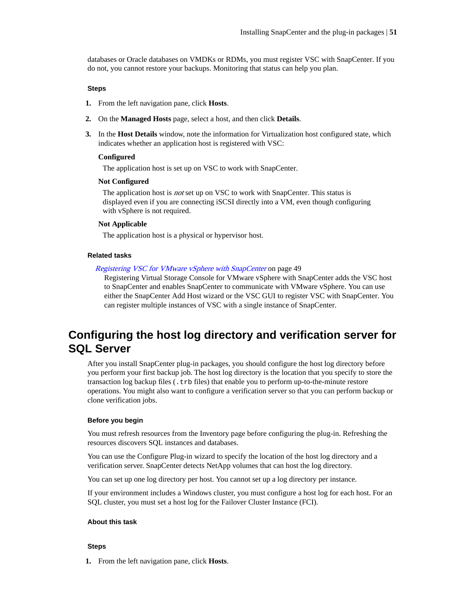databases or Oracle databases on VMDKs or RDMs, you must register VSC with SnapCenter. If you do not, you cannot restore your backups. Monitoring that status can help you plan.

### **Steps**

- **1.** From the left navigation pane, click **Hosts**.
- **2.** On the **Managed Hosts** page, select a host, and then click **Details**.
- **3.** In the **Host Details** window, note the information for Virtualization host configured state, which indicates whether an application host is registered with VSC:

#### **Configured**

The application host is set up on VSC to work with SnapCenter.

### **Not Configured**

The application host is *not* set up on VSC to work with SnapCenter. This status is displayed even if you are connecting iSCSI directly into a VM, even though configuring with vSphere is not required.

#### **Not Applicable**

The application host is a physical or hypervisor host.

#### **Related tasks**

### [Registering VSC for VMware vSphere with SnapCenter](#page-48-0) on page 49

Registering Virtual Storage Console for VMware vSphere with SnapCenter adds the VSC host to SnapCenter and enables SnapCenter to communicate with VMware vSphere. You can use either the SnapCenter Add Host wizard or the VSC GUI to register VSC with SnapCenter. You can register multiple instances of VSC with a single instance of SnapCenter.

## **Configuring the host log directory and verification server for SQL Server**

After you install SnapCenter plug-in packages, you should configure the host log directory before you perform your first backup job. The host log directory is the location that you specify to store the transaction log backup files (.trb files) that enable you to perform up-to-the-minute restore operations. You might also want to configure a verification server so that you can perform backup or clone verification jobs.

#### **Before you begin**

You must refresh resources from the Inventory page before configuring the plug-in. Refreshing the resources discovers SQL instances and databases.

You can use the Configure Plug-in wizard to specify the location of the host log directory and a verification server. SnapCenter detects NetApp volumes that can host the log directory.

You can set up one log directory per host. You cannot set up a log directory per instance.

If your environment includes a Windows cluster, you must configure a host log for each host. For an SQL cluster, you must set a host log for the Failover Cluster Instance (FCI).

### **About this task**

#### **Steps**

**1.** From the left navigation pane, click **Hosts**.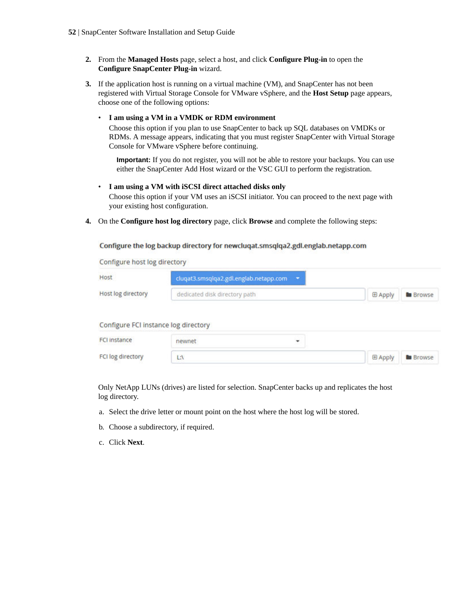- **2.** From the **Managed Hosts** page, select a host, and click **Configure Plug-in** to open the **Configure SnapCenter Plug-in** wizard.
- **3.** If the application host is running on a virtual machine (VM), and SnapCenter has not been registered with Virtual Storage Console for VMware vSphere, and the **Host Setup** page appears, choose one of the following options:

### • **I am using a VM in a VMDK or RDM environment**

Choose this option if you plan to use SnapCenter to back up SQL databases on VMDKs or RDMs. A message appears, indicating that you must register SnapCenter with Virtual Storage Console for VMware vSphere before continuing.

**Important:** If you do not register, you will not be able to restore your backups. You can use either the SnapCenter Add Host wizard or the VSC GUI to perform the registration.

### • **I am using a VM with iSCSI direct attached disks only**

Choose this option if your VM uses an iSCSI initiator. You can proceed to the next page with your existing host configuration.

**4.** On the **Configure host log directory** page, click **Browse** and complete the following steps:

Configure the log backup directory for newcluqat.smsqlqa2.gdl.englab.netapp.com

Configure host log directory

| Host                                 | cluqat3.smsqlqa2.gdl.englab.netapp.com - |                |                 |
|--------------------------------------|------------------------------------------|----------------|-----------------|
| <b>Host log directory</b>            | dedicated disk directory path            | <b>E Apply</b> | <b>B</b> Browse |
| Configure FCI instance log directory |                                          |                |                 |
| <b>FCI instance</b>                  | newnet<br>۰                              |                |                 |
| FCI log directory                    | LA                                       | <b>E Apply</b> | <b>B</b> Browse |

Only NetApp LUNs (drives) are listed for selection. SnapCenter backs up and replicates the host log directory.

- a. Select the drive letter or mount point on the host where the host log will be stored.
- b. Choose a subdirectory, if required.
- c. Click **Next**.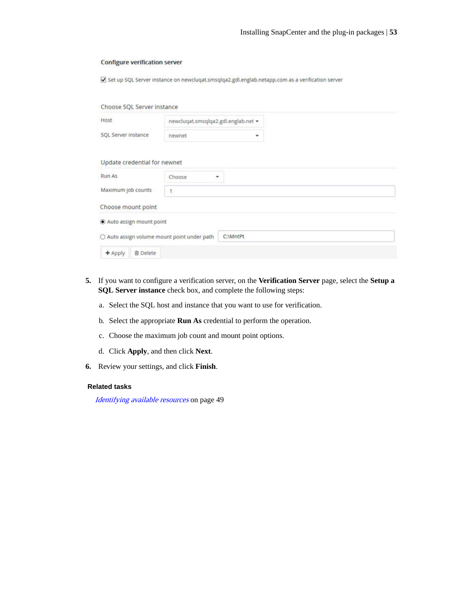#### **Configure verification server**

Set up SQL Server instance on newcluqat.smsqlqa2.gdl.englab.netapp.com as a verification server

| Choose SQL Server instance                  |                                     |          |  |  |
|---------------------------------------------|-------------------------------------|----------|--|--|
| Host                                        | newcluqat.smsqlqa2.gdl.englab.net = |          |  |  |
| SQL Server instance                         | newnet                              | ٠        |  |  |
| Update credential for newnet                |                                     |          |  |  |
| <b>Run As</b>                               | Choose<br>σ                         |          |  |  |
| Maximum job counts                          | $\overline{1}$                      |          |  |  |
| Choose mount point                          |                                     |          |  |  |
| Auto assign mount point                     |                                     |          |  |  |
| ○ Auto assign volume mount point under path |                                     | C:\MntPt |  |  |
| <b>音 Delete</b><br>$+$ Apply                |                                     |          |  |  |

- **5.** If you want to configure a verification server, on the **Verification Server** page, select the **Setup a SQL Server instance** check box, and complete the following steps:
	- a. Select the SQL host and instance that you want to use for verification.
	- b. Select the appropriate **Run As** credential to perform the operation.
	- c. Choose the maximum job count and mount point options.
	- d. Click **Apply**, and then click **Next**.
- **6.** Review your settings, and click **Finish**.

### **Related tasks**

[Identifying available resources](#page-48-0) on page 49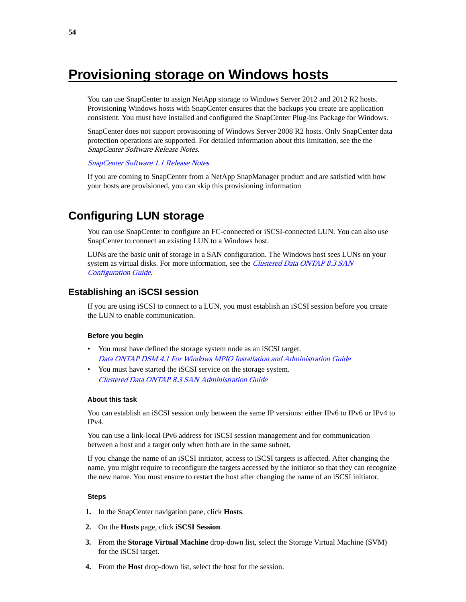# <span id="page-53-0"></span>**Provisioning storage on Windows hosts**

You can use SnapCenter to assign NetApp storage to Windows Server 2012 and 2012 R2 hosts. Provisioning Windows hosts with SnapCenter ensures that the backups you create are application consistent. You must have installed and configured the SnapCenter Plug-ins Package for Windows.

SnapCenter does not support provisioning of Windows Server 2008 R2 hosts. Only SnapCenter data protection operations are supported. For detailed information about this limitation, see the the SnapCenter Software Release Notes.

#### [SnapCenter Software 1.1 Release Notes](https://library.netapp.com/ecm/ecm_download_file/ECMLP2439715)

If you are coming to SnapCenter from a NetApp SnapManager product and are satisfied with how your hosts are provisioned, you can skip this provisioning information

## **Configuring LUN storage**

You can use SnapCenter to configure an FC-connected or iSCSI-connected LUN. You can also use SnapCenter to connect an existing LUN to a Windows host.

LUNs are the basic unit of storage in a SAN configuration. The Windows host sees LUNs on your system as virtual disks. For more information, see the *[Clustered Data ONTAP 8.3 SAN](https://library.netapp.com/ecm/ecm_download_file/ECMP12458217)* [Configuration Guide](https://library.netapp.com/ecm/ecm_download_file/ECMP12458217).

### **Establishing an iSCSI session**

If you are using iSCSI to connect to a LUN, you must establish an iSCSI session before you create the LUN to enable communication.

### **Before you begin**

- You must have defined the storage system node as an iSCSI target. [Data ONTAP DSM 4.1 For Windows MPIO Installation and Administration Guide](https://library.netapp.com/ecm/ecm_download_file/ECMP1307349)
- You must have started the iSCSI service on the storage system. [Clustered Data ONTAP 8.3 SAN Administration Guide](https://library.netapp.com/ecm/ecm_download_file/ECMLP2348030)

### **About this task**

You can establish an iSCSI session only between the same IP versions: either IPv6 to IPv6 or IPv4 to IPv4.

You can use a link-local IPv6 address for iSCSI session management and for communication between a host and a target only when both are in the same subnet.

If you change the name of an iSCSI initiator, access to iSCSI targets is affected. After changing the name, you might require to reconfigure the targets accessed by the initiator so that they can recognize the new name. You must ensure to restart the host after changing the name of an iSCSI initiator.

- **1.** In the SnapCenter navigation pane, click **Hosts**.
- **2.** On the **Hosts** page, click **iSCSI Session**.
- **3.** From the **Storage Virtual Machine** drop-down list, select the Storage Virtual Machine (SVM) for the iSCSI target.
- **4.** From the **Host** drop-down list, select the host for the session.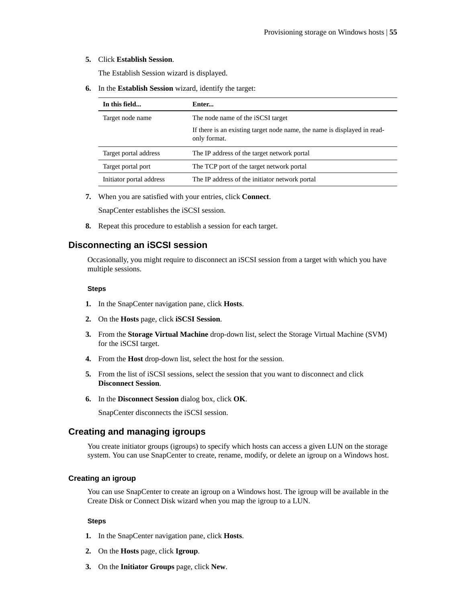### **5.** Click **Establish Session**.

The Establish Session wizard is displayed.

**6.** In the **Establish Session** wizard, identify the target:

| In this field            | Enter                                                                                    |
|--------------------------|------------------------------------------------------------------------------------------|
| Target node name         | The node name of the <i>iSCSI</i> target                                                 |
|                          | If there is an existing target node name, the name is displayed in read-<br>only format. |
| Target portal address    | The IP address of the target network portal                                              |
| Target portal port       | The TCP port of the target network portal                                                |
| Initiator portal address | The IP address of the initiator network portal                                           |

**7.** When you are satisfied with your entries, click **Connect**.

SnapCenter establishes the iSCSI session.

**8.** Repeat this procedure to establish a session for each target.

### **Disconnecting an iSCSI session**

Occasionally, you might require to disconnect an iSCSI session from a target with which you have multiple sessions.

### **Steps**

- **1.** In the SnapCenter navigation pane, click **Hosts**.
- **2.** On the **Hosts** page, click **iSCSI Session**.
- **3.** From the **Storage Virtual Machine** drop-down list, select the Storage Virtual Machine (SVM) for the iSCSI target.
- **4.** From the **Host** drop-down list, select the host for the session.
- **5.** From the list of iSCSI sessions, select the session that you want to disconnect and click **Disconnect Session**.
- **6.** In the **Disconnect Session** dialog box, click **OK**.

SnapCenter disconnects the iSCSI session.

### **Creating and managing igroups**

You create initiator groups (igroups) to specify which hosts can access a given LUN on the storage system. You can use SnapCenter to create, rename, modify, or delete an igroup on a Windows host.

### **Creating an igroup**

You can use SnapCenter to create an igroup on a Windows host. The igroup will be available in the Create Disk or Connect Disk wizard when you map the igroup to a LUN.

- **1.** In the SnapCenter navigation pane, click **Hosts**.
- **2.** On the **Hosts** page, click **Igroup**.
- **3.** On the **Initiator Groups** page, click **New**.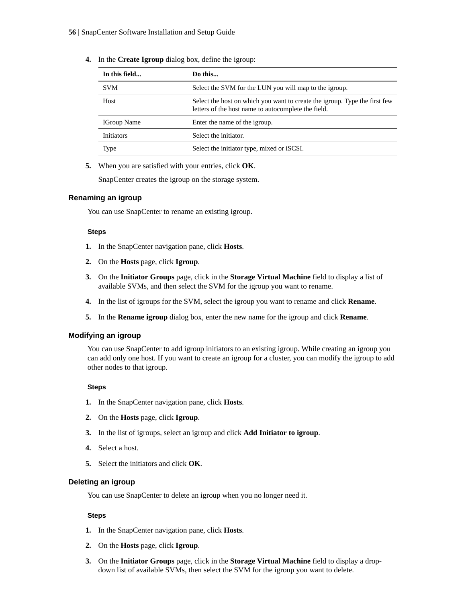| In this field      | Do this                                                                                                                           |
|--------------------|-----------------------------------------------------------------------------------------------------------------------------------|
| <b>SVM</b>         | Select the SVM for the LUN you will map to the igroup.                                                                            |
| Host               | Select the host on which you want to create the igroup. Type the first few<br>letters of the host name to autocomplete the field. |
| <b>IGroup Name</b> | Enter the name of the igroup.                                                                                                     |
| <b>Initiators</b>  | Select the initiator.                                                                                                             |
| Type               | Select the initiator type, mixed or iSCSI.                                                                                        |

**4.** In the **Create Igroup** dialog box, define the igroup:

**5.** When you are satisfied with your entries, click **OK**.

SnapCenter creates the igroup on the storage system.

### **Renaming an igroup**

You can use SnapCenter to rename an existing igroup.

### **Steps**

- **1.** In the SnapCenter navigation pane, click **Hosts**.
- **2.** On the **Hosts** page, click **Igroup**.
- **3.** On the **Initiator Groups** page, click in the **Storage Virtual Machine** field to display a list of available SVMs, and then select the SVM for the igroup you want to rename.
- **4.** In the list of igroups for the SVM, select the igroup you want to rename and click **Rename**.
- **5.** In the **Rename igroup** dialog box, enter the new name for the igroup and click **Rename**.

### **Modifying an igroup**

You can use SnapCenter to add igroup initiators to an existing igroup. While creating an igroup you can add only one host. If you want to create an igroup for a cluster, you can modify the igroup to add other nodes to that igroup.

#### **Steps**

- **1.** In the SnapCenter navigation pane, click **Hosts**.
- **2.** On the **Hosts** page, click **Igroup**.
- **3.** In the list of igroups, select an igroup and click **Add Initiator to igroup**.
- **4.** Select a host.
- **5.** Select the initiators and click **OK**.

### **Deleting an igroup**

You can use SnapCenter to delete an igroup when you no longer need it.

- **1.** In the SnapCenter navigation pane, click **Hosts**.
- **2.** On the **Hosts** page, click **Igroup**.
- **3.** On the **Initiator Groups** page, click in the **Storage Virtual Machine** field to display a dropdown list of available SVMs, then select the SVM for the igroup you want to delete.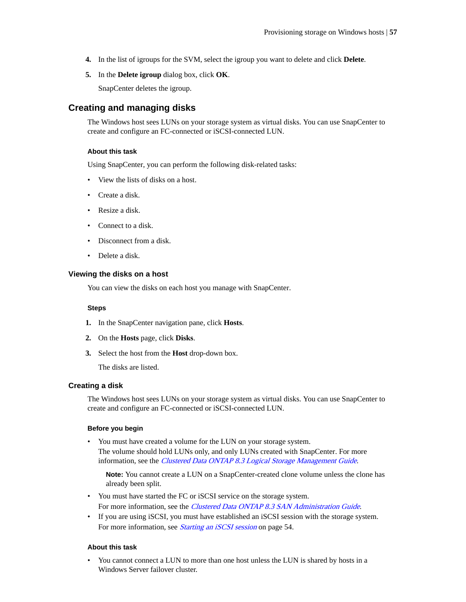- <span id="page-56-0"></span>**4.** In the list of igroups for the SVM, select the igroup you want to delete and click **Delete**.
- **5.** In the **Delete igroup** dialog box, click **OK**.

SnapCenter deletes the igroup.

### **Creating and managing disks**

The Windows host sees LUNs on your storage system as virtual disks. You can use SnapCenter to create and configure an FC-connected or iSCSI-connected LUN.

### **About this task**

Using SnapCenter, you can perform the following disk-related tasks:

- View the lists of disks on a host.
- Create a disk.
- Resize a disk.
- Connect to a disk.
- Disconnect from a disk.
- Delete a disk.

### **Viewing the disks on a host**

You can view the disks on each host you manage with SnapCenter.

#### **Steps**

- **1.** In the SnapCenter navigation pane, click **Hosts**.
- **2.** On the **Hosts** page, click **Disks**.
- **3.** Select the host from the **Host** drop-down box.

The disks are listed.

### **Creating a disk**

The Windows host sees LUNs on your storage system as virtual disks. You can use SnapCenter to create and configure an FC-connected or iSCSI-connected LUN.

### **Before you begin**

• You must have created a volume for the LUN on your storage system. The volume should hold LUNs only, and only LUNs created with SnapCenter. For more information, see the [Clustered Data ONTAP 8.3 Logical Storage Management Guide](https://library.netapp.com/ecm/ecm_download_file/ECMLP2348026).

**Note:** You cannot create a LUN on a SnapCenter-created clone volume unless the clone has already been split.

- You must have started the FC or iSCSI service on the storage system. For more information, see the *[Clustered Data ONTAP 8.3 SAN Administration Guide](https://library.netapp.com/ecm/ecm_download_file/ECMLP2348030)*.
- If you are using iSCSI, you must have established an iSCSI session with the storage system. For more information, see *[Starting an iSCSI session](#page-53-0)* on page 54.

### **About this task**

You cannot connect a LUN to more than one host unless the LUN is shared by hosts in a Windows Server failover cluster.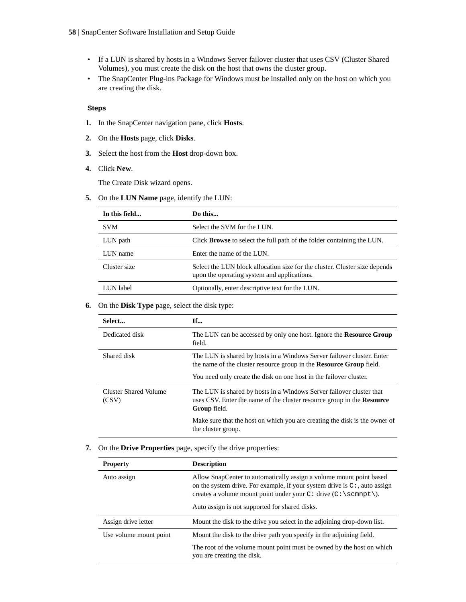- If a LUN is shared by hosts in a Windows Server failover cluster that uses CSV (Cluster Shared Volumes), you must create the disk on the host that owns the cluster group.
- The SnapCenter Plug-ins Package for Windows must be installed only on the host on which you are creating the disk.

### **Steps**

- **1.** In the SnapCenter navigation pane, click **Hosts**.
- **2.** On the **Hosts** page, click **Disks**.
- **3.** Select the host from the **Host** drop-down box.
- **4.** Click **New**.

The Create Disk wizard opens.

**5.** On the **LUN Name** page, identify the LUN:

| In this field | Do this                                                                                                                   |
|---------------|---------------------------------------------------------------------------------------------------------------------------|
| <b>SVM</b>    | Select the SVM for the LUN.                                                                                               |
| LUN path      | Click <b>Browse</b> to select the full path of the folder containing the LUN.                                             |
| LUN name      | Enter the name of the LUN.                                                                                                |
| Cluster size  | Select the LUN block allocation size for the cluster. Cluster size depends<br>upon the operating system and applications. |
| LUN label     | Optionally, enter descriptive text for the LUN.                                                                           |

### **6.** On the **Disk Type** page, select the disk type:

| Select                         | <b>If</b>                                                                                                                                                      |
|--------------------------------|----------------------------------------------------------------------------------------------------------------------------------------------------------------|
| Dedicated disk                 | The LUN can be accessed by only one host. Ignore the <b>Resource Group</b><br>field.                                                                           |
| Shared disk                    | The LUN is shared by hosts in a Windows Server failover cluster. Enter<br>the name of the cluster resource group in the <b>Resource Group</b> field.           |
|                                | You need only create the disk on one host in the failover cluster.                                                                                             |
| Cluster Shared Volume<br>(CSV) | The LUN is shared by hosts in a Windows Server failover cluster that<br>uses CSV. Enter the name of the cluster resource group in the Resource<br>Group field. |
|                                | Make sure that the host on which you are creating the disk is the owner of<br>the cluster group.                                                               |

### **7.** On the **Drive Properties** page, specify the drive properties:

| <b>Property</b>        | <b>Description</b>                                                                                                                                                                                                                                                          |
|------------------------|-----------------------------------------------------------------------------------------------------------------------------------------------------------------------------------------------------------------------------------------------------------------------------|
| Auto assign            | Allow SnapCenter to automatically assign a volume mount point based<br>on the system drive. For example, if your system drive is $C^*$ , auto assign<br>creates a volume mount point under your $C:$ drive $(C:\sempt)$ .<br>Auto assign is not supported for shared disks. |
| Assign drive letter    | Mount the disk to the drive you select in the adjoining drop-down list.                                                                                                                                                                                                     |
| Use volume mount point | Mount the disk to the drive path you specify in the adjoining field.                                                                                                                                                                                                        |
|                        | The root of the volume mount point must be owned by the host on which<br>you are creating the disk.                                                                                                                                                                         |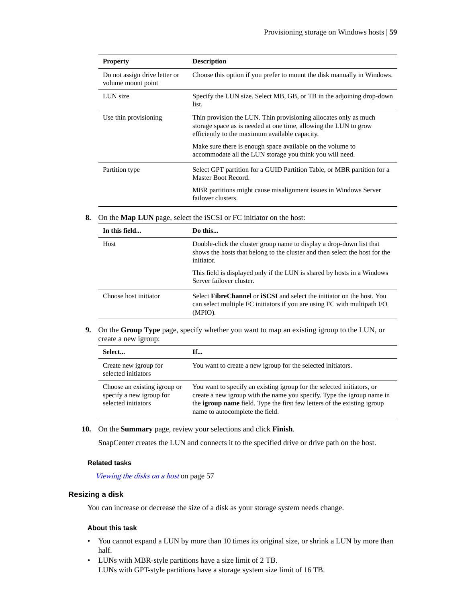| <b>Property</b>                                     | <b>Description</b>                                                                                                                                                                     |
|-----------------------------------------------------|----------------------------------------------------------------------------------------------------------------------------------------------------------------------------------------|
| Do not assign drive letter or<br>volume mount point | Choose this option if you prefer to mount the disk manually in Windows.                                                                                                                |
| LUN size                                            | Specify the LUN size. Select MB, GB, or TB in the adjoining drop-down<br>list.                                                                                                         |
| Use thin provisioning                               | Thin provision the LUN. Thin provisioning allocates only as much<br>storage space as is needed at one time, allowing the LUN to grow<br>efficiently to the maximum available capacity. |
|                                                     | Make sure there is enough space available on the volume to<br>accommodate all the LUN storage you think you will need.                                                                 |
| Partition type                                      | Select GPT partition for a GUID Partition Table, or MBR partition for a<br>Master Boot Record.                                                                                         |
|                                                     | MBR partitions might cause misalignment issues in Windows Server<br>failover clusters.                                                                                                 |

**8.** On the **Map LUN** page, select the iSCSI or FC initiator on the host:

| In this field         | Do this                                                                                                                                                                     |
|-----------------------|-----------------------------------------------------------------------------------------------------------------------------------------------------------------------------|
| Host                  | Double-click the cluster group name to display a drop-down list that<br>shows the hosts that belong to the cluster and then select the host for the<br>initiator.           |
|                       | This field is displayed only if the LUN is shared by hosts in a Windows<br>Server failover cluster.                                                                         |
| Choose host initiator | Select <b>FibreChannel</b> or <b>iSCSI</b> and select the initiator on the host. You<br>can select multiple FC initiators if you are using FC with multipath I/O<br>(MPIO). |

**9.** On the **Group Type** page, specify whether you want to map an existing igroup to the LUN, or create a new igroup:

| Select                                                                          | If                                                                                                                                                                                                                                                                     |
|---------------------------------------------------------------------------------|------------------------------------------------------------------------------------------------------------------------------------------------------------------------------------------------------------------------------------------------------------------------|
| Create new igroup for<br>selected initiators                                    | You want to create a new igroup for the selected initiators.                                                                                                                                                                                                           |
| Choose an existing igroup or<br>specify a new igroup for<br>selected initiators | You want to specify an existing igroup for the selected initiators, or<br>create a new igroup with the name you specify. Type the igroup name in<br>the <b>igroup name</b> field. Type the first few letters of the existing igroup<br>name to autocomplete the field. |

**10.** On the **Summary** page, review your selections and click **Finish**.

SnapCenter creates the LUN and connects it to the specified drive or drive path on the host.

### **Related tasks**

[Viewing the disks on a host](#page-56-0) on page 57

### **Resizing a disk**

You can increase or decrease the size of a disk as your storage system needs change.

### **About this task**

- You cannot expand a LUN by more than 10 times its original size, or shrink a LUN by more than half.
- LUNs with MBR-style partitions have a size limit of 2 TB. LUNs with GPT-style partitions have a storage system size limit of 16 TB.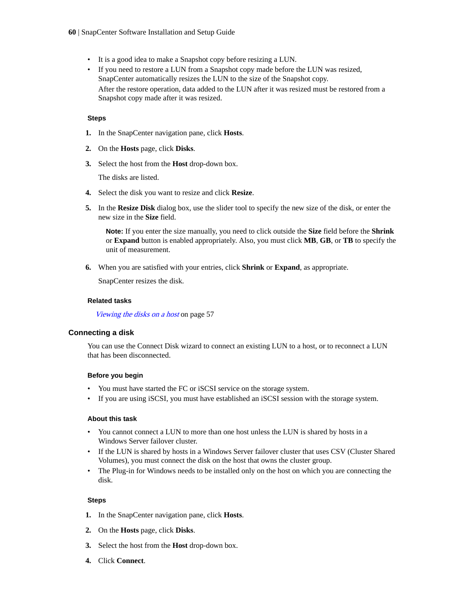- It is a good idea to make a Snapshot copy before resizing a LUN.
- If you need to restore a LUN from a Snapshot copy made before the LUN was resized, SnapCenter automatically resizes the LUN to the size of the Snapshot copy. After the restore operation, data added to the LUN after it was resized must be restored from a Snapshot copy made after it was resized.

### **Steps**

- **1.** In the SnapCenter navigation pane, click **Hosts**.
- **2.** On the **Hosts** page, click **Disks**.
- **3.** Select the host from the **Host** drop-down box.

The disks are listed.

- **4.** Select the disk you want to resize and click **Resize**.
- **5.** In the **Resize Disk** dialog box, use the slider tool to specify the new size of the disk, or enter the new size in the **Size** field.

**Note:** If you enter the size manually, you need to click outside the **Size** field before the **Shrink** or **Expand** button is enabled appropriately. Also, you must click **MB**, **GB**, or **TB** to specify the unit of measurement.

**6.** When you are satisfied with your entries, click **Shrink** or **Expand**, as appropriate.

SnapCenter resizes the disk.

### **Related tasks**

[Viewing the disks on a host](#page-56-0) on page 57

### **Connecting a disk**

You can use the Connect Disk wizard to connect an existing LUN to a host, or to reconnect a LUN that has been disconnected.

### **Before you begin**

- You must have started the FC or iSCSI service on the storage system.
- If you are using iSCSI, you must have established an iSCSI session with the storage system.

### **About this task**

- You cannot connect a LUN to more than one host unless the LUN is shared by hosts in a Windows Server failover cluster.
- If the LUN is shared by hosts in a Windows Server failover cluster that uses CSV (Cluster Shared Volumes), you must connect the disk on the host that owns the cluster group.
- The Plug-in for Windows needs to be installed only on the host on which you are connecting the disk.

- **1.** In the SnapCenter navigation pane, click **Hosts**.
- **2.** On the **Hosts** page, click **Disks**.
- **3.** Select the host from the **Host** drop-down box.
- **4.** Click **Connect**.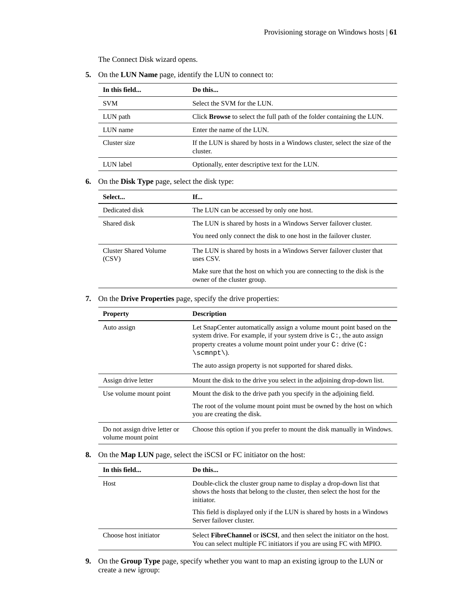The Connect Disk wizard opens.

**5.** On the **LUN Name** page, identify the LUN to connect to:

| In this field | Do this                                                                                |
|---------------|----------------------------------------------------------------------------------------|
| <b>SVM</b>    | Select the SVM for the LUN.                                                            |
| LUN path      | Click <b>Browse</b> to select the full path of the folder containing the LUN.          |
| LUN name      | Enter the name of the LUN.                                                             |
| Cluster size  | If the LUN is shared by hosts in a Windows cluster, select the size of the<br>cluster. |
| LUN label     | Optionally, enter descriptive text for the LUN.                                        |

### **6.** On the **Disk Type** page, select the disk type:

| Select                         | If                                                                                                    |
|--------------------------------|-------------------------------------------------------------------------------------------------------|
| Dedicated disk                 | The LUN can be accessed by only one host.                                                             |
| Shared disk                    | The LUN is shared by hosts in a Windows Server failover cluster.                                      |
|                                | You need only connect the disk to one host in the failover cluster.                                   |
| Cluster Shared Volume<br>(CSV) | The LUN is shared by hosts in a Windows Server failover cluster that<br>uses CSV.                     |
|                                | Make sure that the host on which you are connecting to the disk is the<br>owner of the cluster group. |

### **7.** On the **Drive Properties** page, specify the drive properties:

| <b>Property</b>                                     | <b>Description</b>                                                                                                                                                                                                                                                                                    |
|-----------------------------------------------------|-------------------------------------------------------------------------------------------------------------------------------------------------------------------------------------------------------------------------------------------------------------------------------------------------------|
| Auto assign                                         | Let SnapCenter automatically assign a volume mount point based on the<br>system drive. For example, if your system drive is $C^*$ , the auto assign<br>property creates a volume mount point under your $C:$ drive $(C:$<br>\scmnpt\).<br>The auto assign property is not supported for shared disks. |
| Assign drive letter                                 | Mount the disk to the drive you select in the adjoining drop-down list.                                                                                                                                                                                                                               |
| Use volume mount point                              | Mount the disk to the drive path you specify in the adjoining field.                                                                                                                                                                                                                                  |
|                                                     | The root of the volume mount point must be owned by the host on which<br>you are creating the disk.                                                                                                                                                                                                   |
| Do not assign drive letter or<br>volume mount point | Choose this option if you prefer to mount the disk manually in Windows.                                                                                                                                                                                                                               |

### **8.** On the **Map LUN** page, select the iSCSI or FC initiator on the host:

| In this field         | Do this                                                                                                                                                        |
|-----------------------|----------------------------------------------------------------------------------------------------------------------------------------------------------------|
| Host                  | Double-click the cluster group name to display a drop-down list that<br>shows the hosts that belong to the cluster, then select the host for the<br>initiator. |
|                       | This field is displayed only if the LUN is shared by hosts in a Windows<br>Server failover cluster.                                                            |
| Choose host initiator | Select FibreChannel or iSCSI, and then select the initiator on the host.<br>You can select multiple FC initiators if you are using FC with MPIO.               |

**9.** On the **Group Type** page, specify whether you want to map an existing igroup to the LUN or create a new igroup: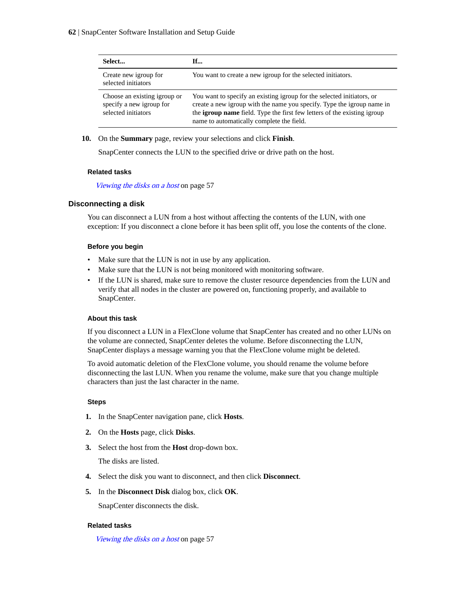| Select                                                                          | If                                                                                                                                                                                                                                                                        |
|---------------------------------------------------------------------------------|---------------------------------------------------------------------------------------------------------------------------------------------------------------------------------------------------------------------------------------------------------------------------|
| Create new igroup for<br>selected initiators                                    | You want to create a new igroup for the selected initiators.                                                                                                                                                                                                              |
| Choose an existing igroup or<br>specify a new igroup for<br>selected initiators | You want to specify an existing igroup for the selected initiators, or<br>create a new igroup with the name you specify. Type the igroup name in<br>the igroup name field. Type the first few letters of the existing igroup<br>name to automatically complete the field. |

**10.** On the **Summary** page, review your selections and click **Finish**.

SnapCenter connects the LUN to the specified drive or drive path on the host.

### **Related tasks**

[Viewing the disks on a host](#page-56-0) on page 57

### **Disconnecting a disk**

You can disconnect a LUN from a host without affecting the contents of the LUN, with one exception: If you disconnect a clone before it has been split off, you lose the contents of the clone.

### **Before you begin**

- Make sure that the LUN is not in use by any application.
- Make sure that the LUN is not being monitored with monitoring software.
- If the LUN is shared, make sure to remove the cluster resource dependencies from the LUN and verify that all nodes in the cluster are powered on, functioning properly, and available to SnapCenter.

### **About this task**

If you disconnect a LUN in a FlexClone volume that SnapCenter has created and no other LUNs on the volume are connected, SnapCenter deletes the volume. Before disconnecting the LUN, SnapCenter displays a message warning you that the FlexClone volume might be deleted.

To avoid automatic deletion of the FlexClone volume, you should rename the volume before disconnecting the last LUN. When you rename the volume, make sure that you change multiple characters than just the last character in the name.

### **Steps**

- **1.** In the SnapCenter navigation pane, click **Hosts**.
- **2.** On the **Hosts** page, click **Disks**.
- **3.** Select the host from the **Host** drop-down box.

The disks are listed.

- **4.** Select the disk you want to disconnect, and then click **Disconnect**.
- **5.** In the **Disconnect Disk** dialog box, click **OK**.

SnapCenter disconnects the disk.

### **Related tasks**

[Viewing the disks on a host](#page-56-0) on page 57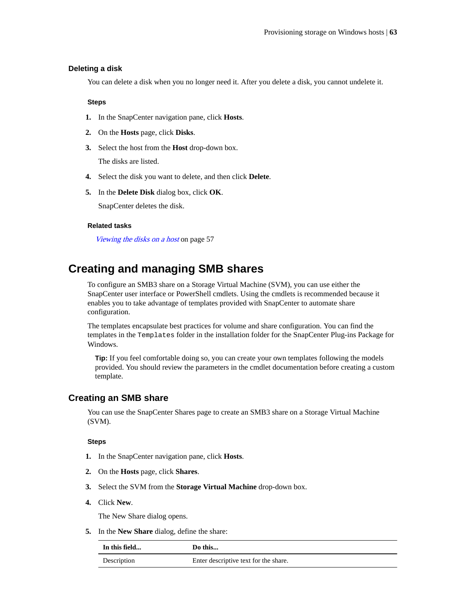### **Deleting a disk**

You can delete a disk when you no longer need it. After you delete a disk, you cannot undelete it.

### **Steps**

- **1.** In the SnapCenter navigation pane, click **Hosts**.
- **2.** On the **Hosts** page, click **Disks**.
- **3.** Select the host from the **Host** drop-down box.

The disks are listed.

- **4.** Select the disk you want to delete, and then click **Delete**.
- **5.** In the **Delete Disk** dialog box, click **OK**.

SnapCenter deletes the disk.

### **Related tasks**

[Viewing the disks on a host](#page-56-0) on page 57

## **Creating and managing SMB shares**

To configure an SMB3 share on a Storage Virtual Machine (SVM), you can use either the SnapCenter user interface or PowerShell cmdlets. Using the cmdlets is recommended because it enables you to take advantage of templates provided with SnapCenter to automate share configuration.

The templates encapsulate best practices for volume and share configuration. You can find the templates in the Templates folder in the installation folder for the SnapCenter Plug-ins Package for Windows.

**Tip:** If you feel comfortable doing so, you can create your own templates following the models provided. You should review the parameters in the cmdlet documentation before creating a custom template.

### **Creating an SMB share**

You can use the SnapCenter Shares page to create an SMB3 share on a Storage Virtual Machine (SVM).

### **Steps**

- **1.** In the SnapCenter navigation pane, click **Hosts**.
- **2.** On the **Hosts** page, click **Shares**.
- **3.** Select the SVM from the **Storage Virtual Machine** drop-down box.
- **4.** Click **New**.

The New Share dialog opens.

**5.** In the **New Share** dialog, define the share:

| In this field | Do this                               |
|---------------|---------------------------------------|
| Description   | Enter descriptive text for the share. |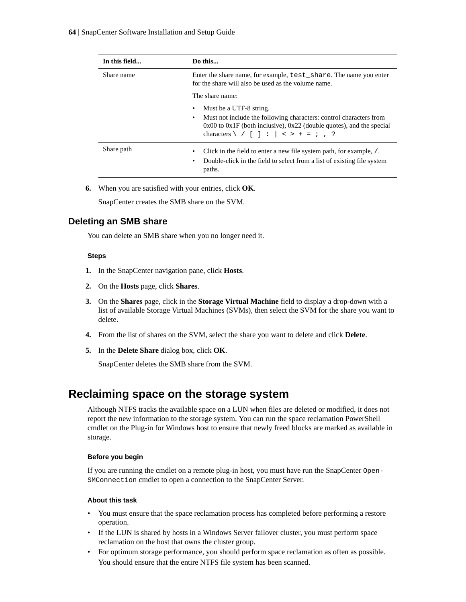| In this field | Do this                                                                                                                                                                                                                                 |
|---------------|-----------------------------------------------------------------------------------------------------------------------------------------------------------------------------------------------------------------------------------------|
| Share name    | Enter the share name, for example, test_share. The name you enter<br>for the share will also be used as the volume name.                                                                                                                |
|               | The share name:                                                                                                                                                                                                                         |
|               | Must be a UTF-8 string.<br>Must not include the following characters: control characters from<br>٠<br>$0x00$ to $0x1F$ (both inclusive), $0x22$ (double quotes), and the special<br>characters $\setminus$ / [ ] : $  \leq$ > + = ; , ? |
| Share path    | Click in the field to enter a new file system path, for example, /.<br>٠<br>Double-click in the field to select from a list of existing file system<br>$\bullet$<br>paths.                                                              |

**6.** When you are satisfied with your entries, click **OK**.

SnapCenter creates the SMB share on the SVM.

### **Deleting an SMB share**

You can delete an SMB share when you no longer need it.

### **Steps**

- **1.** In the SnapCenter navigation pane, click **Hosts**.
- **2.** On the **Hosts** page, click **Shares**.
- **3.** On the **Shares** page, click in the **Storage Virtual Machine** field to display a drop-down with a list of available Storage Virtual Machines (SVMs), then select the SVM for the share you want to delete.
- **4.** From the list of shares on the SVM, select the share you want to delete and click **Delete**.
- **5.** In the **Delete Share** dialog box, click **OK**.

SnapCenter deletes the SMB share from the SVM.

## **Reclaiming space on the storage system**

Although NTFS tracks the available space on a LUN when files are deleted or modified, it does not report the new information to the storage system. You can run the space reclamation PowerShell cmdlet on the Plug-in for Windows host to ensure that newly freed blocks are marked as available in storage.

### **Before you begin**

If you are running the cmdlet on a remote plug-in host, you must have run the SnapCenter Open-SMConnection cmdlet to open a connection to the SnapCenter Server.

### **About this task**

- You must ensure that the space reclamation process has completed before performing a restore operation.
- If the LUN is shared by hosts in a Windows Server failover cluster, you must perform space reclamation on the host that owns the cluster group.
- For optimum storage performance, you should perform space reclamation as often as possible. You should ensure that the entire NTFS file system has been scanned.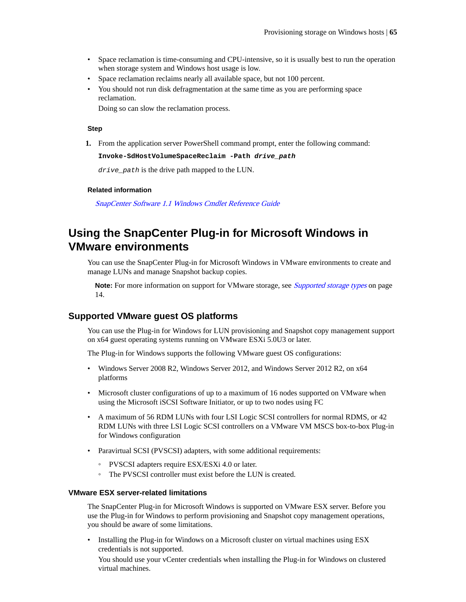- Space reclamation is time-consuming and CPU-intensive, so it is usually best to run the operation when storage system and Windows host usage is low.
- Space reclamation reclaims nearly all available space, but not 100 percent.
- You should not run disk defragmentation at the same time as you are performing space reclamation.

Doing so can slow the reclamation process.

### **Step**

**1.** From the application server PowerShell command prompt, enter the following command:

```
Invoke-SdHostVolumeSpaceReclaim -Path drive_path
```
drive\_path is the drive path mapped to the LUN.

#### **Related information**

[SnapCenter Software 1.1 Windows Cmdlet Reference Guide](https://library.netapp.com/ecm/ecm_download_file/ECMLP2440057)

## **Using the SnapCenter Plug-in for Microsoft Windows in VMware environments**

You can use the SnapCenter Plug-in for Microsoft Windows in VMware environments to create and manage LUNs and manage Snapshot backup copies.

**Note:** For more information on support for VMware storage, see *[Supported storage types](#page-13-0)* on page 14.

### **Supported VMware guest OS platforms**

You can use the Plug-in for Windows for LUN provisioning and Snapshot copy management support on x64 guest operating systems running on VMware ESXi 5.0U3 or later.

The Plug-in for Windows supports the following VMware guest OS configurations:

- Windows Server 2008 R2, Windows Server 2012, and Windows Server 2012 R2, on x64 platforms
- Microsoft cluster configurations of up to a maximum of 16 nodes supported on VMware when using the Microsoft iSCSI Software Initiator, or up to two nodes using FC
- A maximum of 56 RDM LUNs with four LSI Logic SCSI controllers for normal RDMS, or 42 RDM LUNs with three LSI Logic SCSI controllers on a VMware VM MSCS box-to-box Plug-in for Windows configuration
- Paravirtual SCSI (PVSCSI) adapters, with some additional requirements:
	- PVSCSI adapters require ESX/ESXi 4.0 or later.
	- The PVSCSI controller must exist before the LUN is created.

### **VMware ESX server-related limitations**

The SnapCenter Plug-in for Microsoft Windows is supported on VMware ESX server. Before you use the Plug-in for Windows to perform provisioning and Snapshot copy management operations, you should be aware of some limitations.

• Installing the Plug-in for Windows on a Microsoft cluster on virtual machines using ESX credentials is not supported.

You should use your vCenter credentials when installing the Plug-in for Windows on clustered virtual machines.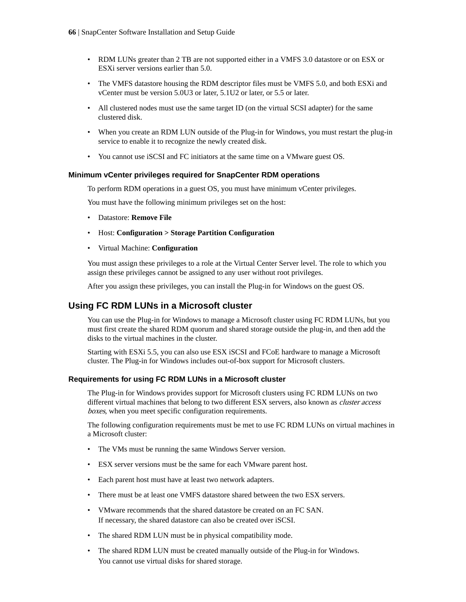- RDM LUNs greater than 2 TB are not supported either in a VMFS 3.0 datastore or on ESX or ESXi server versions earlier than 5.0.
- The VMFS datastore housing the RDM descriptor files must be VMFS 5.0, and both ESXi and vCenter must be version 5.0U3 or later, 5.1U2 or later, or 5.5 or later.
- All clustered nodes must use the same target ID (on the virtual SCSI adapter) for the same clustered disk.
- When you create an RDM LUN outside of the Plug-in for Windows, you must restart the plug-in service to enable it to recognize the newly created disk.
- You cannot use iSCSI and FC initiators at the same time on a VMware guest OS.

### **Minimum vCenter privileges required for SnapCenter RDM operations**

To perform RDM operations in a guest OS, you must have minimum vCenter privileges.

You must have the following minimum privileges set on the host:

- Datastore: **Remove File**
- Host: **Configuration > Storage Partition Configuration**
- Virtual Machine: **Configuration**

You must assign these privileges to a role at the Virtual Center Server level. The role to which you assign these privileges cannot be assigned to any user without root privileges.

After you assign these privileges, you can install the Plug-in for Windows on the guest OS.

### **Using FC RDM LUNs in a Microsoft cluster**

You can use the Plug-in for Windows to manage a Microsoft cluster using FC RDM LUNs, but you must first create the shared RDM quorum and shared storage outside the plug-in, and then add the disks to the virtual machines in the cluster.

Starting with ESXi 5.5, you can also use ESX iSCSI and FCoE hardware to manage a Microsoft cluster. The Plug-in for Windows includes out-of-box support for Microsoft clusters.

### **Requirements for using FC RDM LUNs in a Microsoft cluster**

The Plug-in for Windows provides support for Microsoft clusters using FC RDM LUNs on two different virtual machines that belong to two different ESX servers, also known as *cluster access* boxes, when you meet specific configuration requirements.

The following configuration requirements must be met to use FC RDM LUNs on virtual machines in a Microsoft cluster:

- The VMs must be running the same Windows Server version.
- ESX server versions must be the same for each VMware parent host.
- Each parent host must have at least two network adapters.
- There must be at least one VMFS datastore shared between the two ESX servers.
- VMware recommends that the shared datastore be created on an FC SAN. If necessary, the shared datastore can also be created over iSCSI.
- The shared RDM LUN must be in physical compatibility mode.
- The shared RDM LUN must be created manually outside of the Plug-in for Windows. You cannot use virtual disks for shared storage.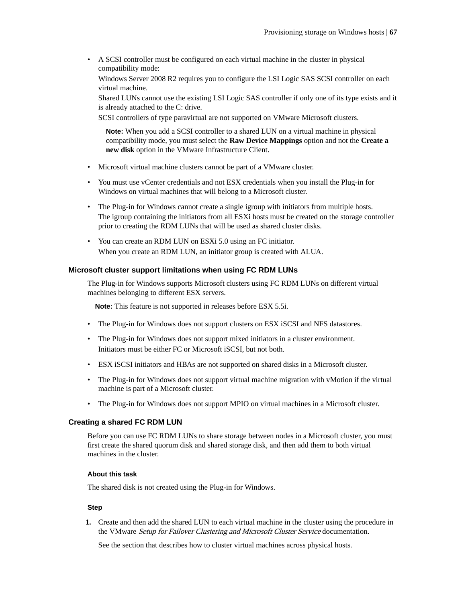• A SCSI controller must be configured on each virtual machine in the cluster in physical compatibility mode:

Windows Server 2008 R2 requires you to configure the LSI Logic SAS SCSI controller on each virtual machine.

Shared LUNs cannot use the existing LSI Logic SAS controller if only one of its type exists and it is already attached to the C: drive.

SCSI controllers of type paravirtual are not supported on VMware Microsoft clusters.

**Note:** When you add a SCSI controller to a shared LUN on a virtual machine in physical compatibility mode, you must select the **Raw Device Mappings** option and not the **Create a new disk** option in the VMware Infrastructure Client.

- Microsoft virtual machine clusters cannot be part of a VMware cluster.
- You must use vCenter credentials and not ESX credentials when you install the Plug-in for Windows on virtual machines that will belong to a Microsoft cluster.
- The Plug-in for Windows cannot create a single igroup with initiators from multiple hosts. The igroup containing the initiators from all ESXi hosts must be created on the storage controller prior to creating the RDM LUNs that will be used as shared cluster disks.
- You can create an RDM LUN on ESXi 5.0 using an FC initiator. When you create an RDM LUN, an initiator group is created with ALUA.

### **Microsoft cluster support limitations when using FC RDM LUNs**

The Plug-in for Windows supports Microsoft clusters using FC RDM LUNs on different virtual machines belonging to different ESX servers.

**Note:** This feature is not supported in releases before ESX 5.5i.

- The Plug-in for Windows does not support clusters on ESX iSCSI and NFS datastores.
- The Plug-in for Windows does not support mixed initiators in a cluster environment. Initiators must be either FC or Microsoft iSCSI, but not both.
- ESX iSCSI initiators and HBAs are not supported on shared disks in a Microsoft cluster.
- The Plug-in for Windows does not support virtual machine migration with vMotion if the virtual machine is part of a Microsoft cluster.
- The Plug-in for Windows does not support MPIO on virtual machines in a Microsoft cluster.

### **Creating a shared FC RDM LUN**

Before you can use FC RDM LUNs to share storage between nodes in a Microsoft cluster, you must first create the shared quorum disk and shared storage disk, and then add them to both virtual machines in the cluster.

### **About this task**

The shared disk is not created using the Plug-in for Windows.

### **Step**

**1.** Create and then add the shared LUN to each virtual machine in the cluster using the procedure in the VMware Setup for Failover Clustering and Microsoft Cluster Service documentation.

See the section that describes how to cluster virtual machines across physical hosts.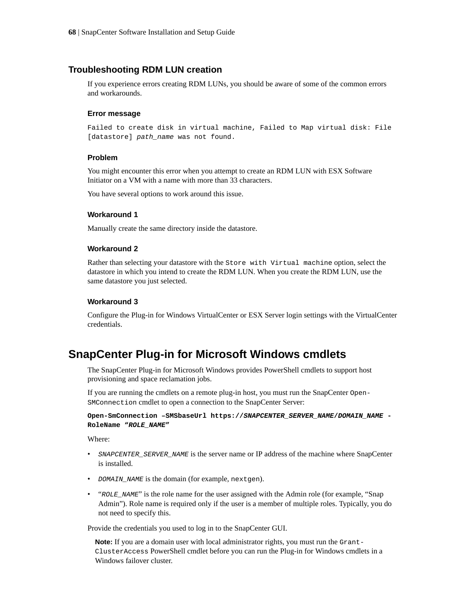### **Troubleshooting RDM LUN creation**

If you experience errors creating RDM LUNs, you should be aware of some of the common errors and workarounds.

#### **Error message**

Failed to create disk in virtual machine, Failed to Map virtual disk: File [datastore] path\_name was not found.

### **Problem**

You might encounter this error when you attempt to create an RDM LUN with ESX Software Initiator on a VM with a name with more than 33 characters.

You have several options to work around this issue.

#### **Workaround 1**

Manually create the same directory inside the datastore.

### **Workaround 2**

Rather than selecting your datastore with the Store with Virtual machine option, select the datastore in which you intend to create the RDM LUN. When you create the RDM LUN, use the same datastore you just selected.

### **Workaround 3**

Configure the Plug-in for Windows VirtualCenter or ESX Server login settings with the VirtualCenter credentials.

## **SnapCenter Plug-in for Microsoft Windows cmdlets**

The SnapCenter Plug-in for Microsoft Windows provides PowerShell cmdlets to support host provisioning and space reclamation jobs.

If you are running the cmdlets on a remote plug-in host, you must run the SnapCenter Open-SMConnection cmdlet to open a connection to the SnapCenter Server:

**Open-SmConnection –SMSbaseUrl https://SNAPCENTER\_SERVER\_NAME/DOMAIN\_NAME - RoleName "ROLE\_NAME"**

Where:

- SNAPCENTER\_SERVER\_NAME is the server name or IP address of the machine where SnapCenter is installed.
- DOMAIN\_NAME is the domain (for example, nextgen).
- "ROLE\_NAME" is the role name for the user assigned with the Admin role (for example, "Snap") Admin"). Role name is required only if the user is a member of multiple roles. Typically, you do not need to specify this.

Provide the credentials you used to log in to the SnapCenter GUI.

**Note:** If you are a domain user with local administrator rights, you must run the Grant-ClusterAccess PowerShell cmdlet before you can run the Plug-in for Windows cmdlets in a Windows failover cluster.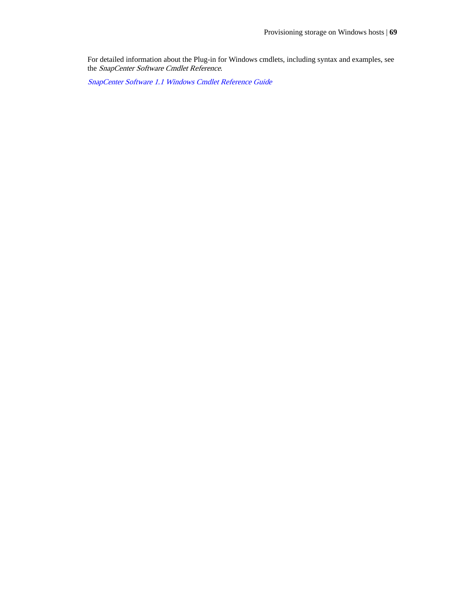For detailed information about the Plug-in for Windows cmdlets, including syntax and examples, see the SnapCenter Software Cmdlet Reference.

[SnapCenter Software 1.1 Windows Cmdlet Reference Guide](https://library.netapp.com/ecm/ecm_download_file/ECMLP2440057)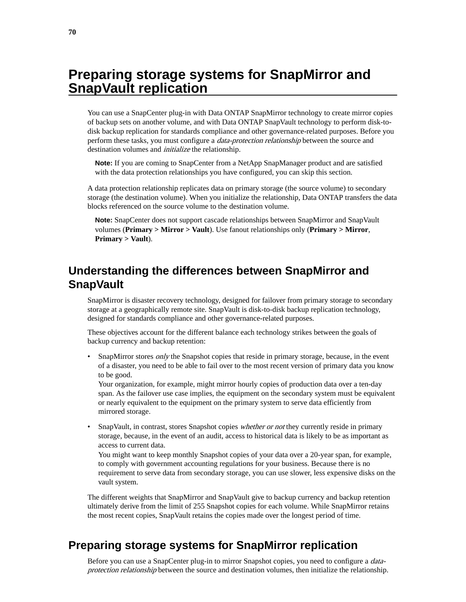# **Preparing storage systems for SnapMirror and SnapVault replication**

You can use a SnapCenter plug-in with Data ONTAP SnapMirror technology to create mirror copies of backup sets on another volume, and with Data ONTAP SnapVault technology to perform disk-todisk backup replication for standards compliance and other governance-related purposes. Before you perform these tasks, you must configure a data-protection relationship between the source and destination volumes and *initialize* the relationship.

**Note:** If you are coming to SnapCenter from a NetApp SnapManager product and are satisfied with the data protection relationships you have configured, you can skip this section.

A data protection relationship replicates data on primary storage (the source volume) to secondary storage (the destination volume). When you initialize the relationship, Data ONTAP transfers the data blocks referenced on the source volume to the destination volume.

**Note:** SnapCenter does not support cascade relationships between SnapMirror and SnapVault volumes (**Primary > Mirror > Vault**). Use fanout relationships only (**Primary > Mirror**, **Primary > Vault**).

## **Understanding the differences between SnapMirror and SnapVault**

SnapMirror is disaster recovery technology, designed for failover from primary storage to secondary storage at a geographically remote site. SnapVault is disk-to-disk backup replication technology, designed for standards compliance and other governance-related purposes.

These objectives account for the different balance each technology strikes between the goals of backup currency and backup retention:

SnapMirror stores *only* the Snapshot copies that reside in primary storage, because, in the event of a disaster, you need to be able to fail over to the most recent version of primary data you know to be good.

Your organization, for example, might mirror hourly copies of production data over a ten-day span. As the failover use case implies, the equipment on the secondary system must be equivalent or nearly equivalent to the equipment on the primary system to serve data efficiently from mirrored storage.

SnapVault, in contrast, stores Snapshot copies whether or not they currently reside in primary storage, because, in the event of an audit, access to historical data is likely to be as important as access to current data.

You might want to keep monthly Snapshot copies of your data over a 20-year span, for example, to comply with government accounting regulations for your business. Because there is no requirement to serve data from secondary storage, you can use slower, less expensive disks on the vault system.

The different weights that SnapMirror and SnapVault give to backup currency and backup retention ultimately derive from the limit of 255 Snapshot copies for each volume. While SnapMirror retains the most recent copies, SnapVault retains the copies made over the longest period of time.

## **Preparing storage systems for SnapMirror replication**

Before you can use a SnapCenter plug-in to mirror Snapshot copies, you need to configure a *data*protection relationship between the source and destination volumes, then initialize the relationship.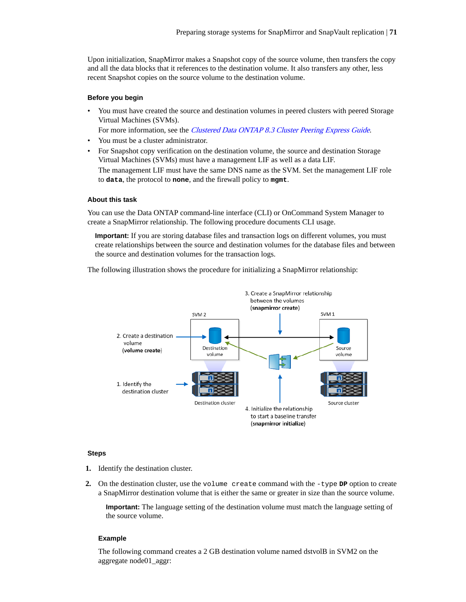Upon initialization, SnapMirror makes a Snapshot copy of the source volume, then transfers the copy and all the data blocks that it references to the destination volume. It also transfers any other, less recent Snapshot copies on the source volume to the destination volume.

#### **Before you begin**

• You must have created the source and destination volumes in peered clusters with peered Storage Virtual Machines (SVMs).

For more information, see the *[Clustered Data ONTAP 8.3 Cluster Peering Express Guide](https://library.netapp.com/ecm/ecm_download_file/ECMP1547469)*.

- You must be a cluster administrator.
- For Snapshot copy verification on the destination volume, the source and destination Storage Virtual Machines (SVMs) must have a management LIF as well as a data LIF.

The management LIF must have the same DNS name as the SVM. Set the management LIF role to **data**, the protocol to **none**, and the firewall policy to **mgmt**.

### **About this task**

You can use the Data ONTAP command-line interface (CLI) or OnCommand System Manager to create a SnapMirror relationship. The following procedure documents CLI usage.

**Important:** If you are storing database files and transaction logs on different volumes, you must create relationships between the source and destination volumes for the database files and between the source and destination volumes for the transaction logs.

The following illustration shows the procedure for initializing a SnapMirror relationship:



#### **Steps**

- **1.** Identify the destination cluster.
- **2.** On the destination cluster, use the volume create command with the  $-type$  **DP** option to create a SnapMirror destination volume that is either the same or greater in size than the source volume.

**Important:** The language setting of the destination volume must match the language setting of the source volume.

#### **Example**

The following command creates a 2 GB destination volume named dstvolB in SVM2 on the aggregate node01\_aggr: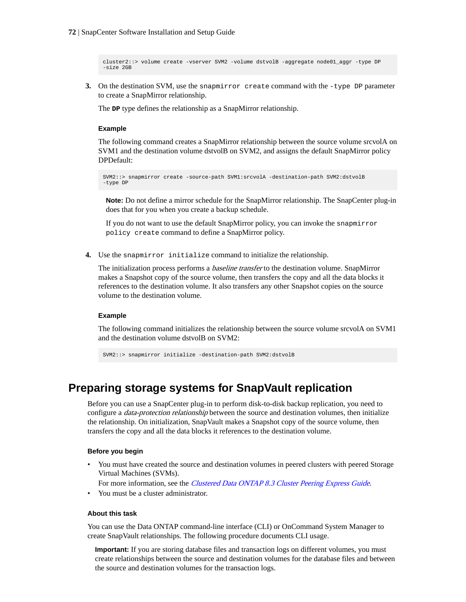cluster2::> volume create -vserver SVM2 -volume dstvolB -aggregate node01\_aggr -type DP  $-$ size 2GB

**3.** On the destination SVM, use the snapmirror create command with the -type DP parameter to create a SnapMirror relationship.

The **DP** type defines the relationship as a SnapMirror relationship.

### **Example**

The following command creates a SnapMirror relationship between the source volume srcvolA on SVM1 and the destination volume dstvolB on SVM2, and assigns the default SnapMirror policy DPDefault:

SVM2::> snapmirror create -source-path SVM1:srcvolA -destination-path SVM2:dstvolB -type DP

**Note:** Do not define a mirror schedule for the SnapMirror relationship. The SnapCenter plug-in does that for you when you create a backup schedule.

If you do not want to use the default SnapMirror policy, you can invoke the snapmirror policy create command to define a SnapMirror policy.

**4.** Use the snapmirror initialize command to initialize the relationship.

The initialization process performs a *baseline transfer* to the destination volume. SnapMirror makes a Snapshot copy of the source volume, then transfers the copy and all the data blocks it references to the destination volume. It also transfers any other Snapshot copies on the source volume to the destination volume.

### **Example**

The following command initializes the relationship between the source volume srcvolA on SVM1 and the destination volume dstvolB on SVM2:

SVM2::> snapmirror initialize -destination-path SVM2:dstvolB

## **Preparing storage systems for SnapVault replication**

Before you can use a SnapCenter plug-in to perform disk-to-disk backup replication, you need to configure a *data-protection relationship* between the source and destination volumes, then initialize the relationship. On initialization, SnapVault makes a Snapshot copy of the source volume, then transfers the copy and all the data blocks it references to the destination volume.

### **Before you begin**

• You must have created the source and destination volumes in peered clusters with peered Storage Virtual Machines (SVMs).

For more information, see the *[Clustered Data ONTAP 8.3 Cluster Peering Express Guide](https://library.netapp.com/ecm/ecm_download_file/ECMP1547469)*.

• You must be a cluster administrator.

### **About this task**

You can use the Data ONTAP command-line interface (CLI) or OnCommand System Manager to create SnapVault relationships. The following procedure documents CLI usage.

**Important:** If you are storing database files and transaction logs on different volumes, you must create relationships between the source and destination volumes for the database files and between the source and destination volumes for the transaction logs.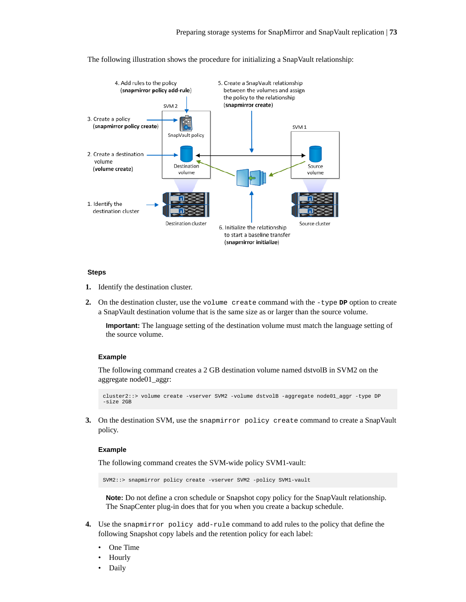

The following illustration shows the procedure for initializing a SnapVault relationship:

#### **Steps**

- **1.** Identify the destination cluster.
- **2.** On the destination cluster, use the volume create command with the -type **DP** option to create a SnapVault destination volume that is the same size as or larger than the source volume.

**Important:** The language setting of the destination volume must match the language setting of the source volume.

#### **Example**

The following command creates a 2 GB destination volume named dstvolB in SVM2 on the aggregate node01\_aggr:

```
cluster2::> volume create -vserver SVM2 -volume dstvolB -aggregate node01_aggr -type DP 
-size 2GB
```
**3.** On the destination SVM, use the snapmirror policy create command to create a SnapVault policy.

#### **Example**

The following command creates the SVM-wide policy SVM1-vault:

SVM2::> snapmirror policy create -vserver SVM2 -policy SVM1-vault

**Note:** Do not define a cron schedule or Snapshot copy policy for the SnapVault relationship. The SnapCenter plug-in does that for you when you create a backup schedule.

- **4.** Use the snapmirror policy add-rule command to add rules to the policy that define the following Snapshot copy labels and the retention policy for each label:
	- One Time
	- Hourly
	- Daily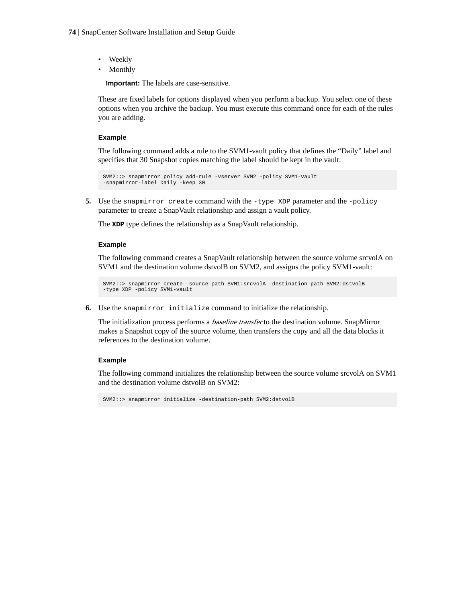- Weekly
- Monthly

**Important:** The labels are case-sensitive.

These are fixed labels for options displayed when you perform a backup. You select one of these options when you archive the backup. You must execute this command once for each of the rules you are adding.

#### **Example**

The following command adds a rule to the SVM1-vault policy that defines the "Daily" label and specifies that 30 Snapshot copies matching the label should be kept in the vault:

```
SVM2::> snapmirror policy add-rule -vserver SVM2 -policy SVM1-vault 
-snapmirror-label Daily -keep 30
```
**5.** Use the snapmirror create command with the -type XDP parameter and the -policy parameter to create a SnapVault relationship and assign a vault policy.

The **XDP** type defines the relationship as a SnapVault relationship.

#### **Example**

The following command creates a SnapVault relationship between the source volume srcvolA on SVM1 and the destination volume dstvolB on SVM2, and assigns the policy SVM1-vault:

```
SVM2::> snapmirror create -source-path SVM1:srcvolA -destination-path SVM2:dstvolB 
-type XDP -policy SVM1-vault
```
**6.** Use the snapmirror initialize command to initialize the relationship.

The initialization process performs a baseline transfer to the destination volume. SnapMirror makes a Snapshot copy of the source volume, then transfers the copy and all the data blocks it references to the destination volume.

#### **Example**

The following command initializes the relationship between the source volume srcvolA on SVM1 and the destination volume dstvolB on SVM2:

SVM2::> snapmirror initialize -destination-path SVM2:dstvolB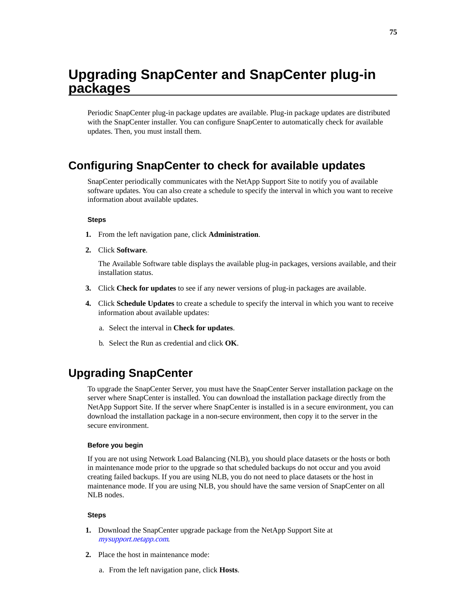# <span id="page-74-0"></span>**Upgrading SnapCenter and SnapCenter plug-in packages**

Periodic SnapCenter plug-in package updates are available. Plug-in package updates are distributed with the SnapCenter installer. You can configure SnapCenter to automatically check for available updates. Then, you must install them.

## **Configuring SnapCenter to check for available updates**

SnapCenter periodically communicates with the NetApp Support Site to notify you of available software updates. You can also create a schedule to specify the interval in which you want to receive information about available updates.

#### **Steps**

- **1.** From the left navigation pane, click **Administration**.
- **2.** Click **Software**.

The Available Software table displays the available plug-in packages, versions available, and their installation status.

- **3.** Click **Check for updates** to see if any newer versions of plug-in packages are available.
- **4.** Click **Schedule Updates** to create a schedule to specify the interval in which you want to receive information about available updates:
	- a. Select the interval in **Check for updates**.
	- b. Select the Run as credential and click **OK**.

# **Upgrading SnapCenter**

To upgrade the SnapCenter Server, you must have the SnapCenter Server installation package on the server where SnapCenter is installed. You can download the installation package directly from the NetApp Support Site. If the server where SnapCenter is installed is in a secure environment, you can download the installation package in a non-secure environment, then copy it to the server in the secure environment.

#### **Before you begin**

If you are not using Network Load Balancing (NLB), you should place datasets or the hosts or both in maintenance mode prior to the upgrade so that scheduled backups do not occur and you avoid creating failed backups. If you are using NLB, you do not need to place datasets or the host in maintenance mode. If you are using NLB, you should have the same version of SnapCenter on all NLB nodes.

#### **Steps**

- **1.** Download the SnapCenter upgrade package from the NetApp Support Site at [mysupport.netapp.com](http://mysupport.netapp.com/).
- **2.** Place the host in maintenance mode:
	- a. From the left navigation pane, click **Hosts**.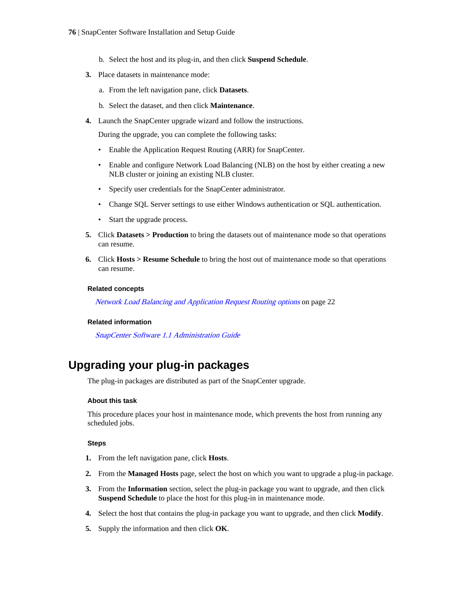#### <span id="page-75-0"></span>**76** | SnapCenter Software Installation and Setup Guide

- b. Select the host and its plug-in, and then click **Suspend Schedule**.
- **3.** Place datasets in maintenance mode:
	- a. From the left navigation pane, click **Datasets**.
	- b. Select the dataset, and then click **Maintenance**.
- **4.** Launch the SnapCenter upgrade wizard and follow the instructions.

During the upgrade, you can complete the following tasks:

- Enable the Application Request Routing (ARR) for SnapCenter.
- Enable and configure Network Load Balancing (NLB) on the host by either creating a new NLB cluster or joining an existing NLB cluster.
- Specify user credentials for the SnapCenter administrator.
- Change SQL Server settings to use either Windows authentication or SQL authentication.
- Start the upgrade process.
- **5.** Click **Datasets > Production** to bring the datasets out of maintenance mode so that operations can resume.
- **6.** Click **Hosts > Resume Schedule** to bring the host out of maintenance mode so that operations can resume.

#### **Related concepts**

[Network Load Balancing and Application Request Routing options](#page-21-0) on page 22

#### **Related information**

[SnapCenter Software 1.1 Administration Guide](https://library.netapp.com/ecm/ecm_download_file/ECMLP2439718)

# **Upgrading your plug-in packages**

The plug-in packages are distributed as part of the SnapCenter upgrade.

#### **About this task**

This procedure places your host in maintenance mode, which prevents the host from running any scheduled jobs.

#### **Steps**

- **1.** From the left navigation pane, click **Hosts**.
- **2.** From the **Managed Hosts** page, select the host on which you want to upgrade a plug-in package.
- **3.** From the **Information** section, select the plug-in package you want to upgrade, and then click **Suspend Schedule** to place the host for this plug-in in maintenance mode.
- **4.** Select the host that contains the plug-in package you want to upgrade, and then click **Modify**.
- **5.** Supply the information and then click **OK**.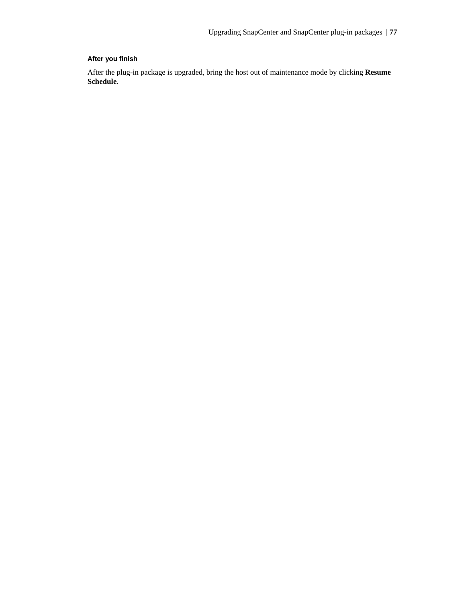## **After you finish**

After the plug-in package is upgraded, bring the host out of maintenance mode by clicking **Resume Schedule**.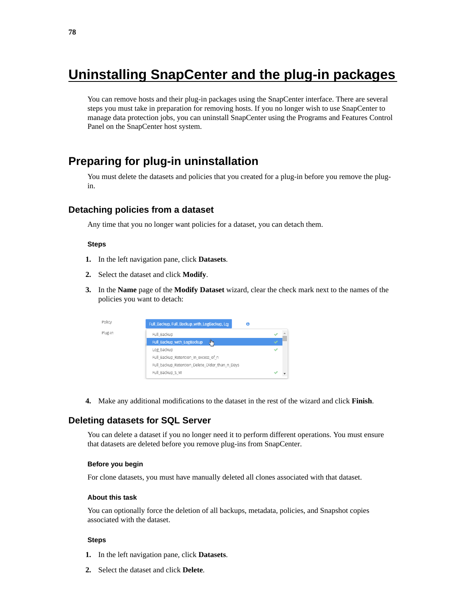# <span id="page-77-0"></span>**Uninstalling SnapCenter and the plug-in packages**

You can remove hosts and their plug-in packages using the SnapCenter interface. There are several steps you must take in preparation for removing hosts. If you no longer wish to use SnapCenter to manage data protection jobs, you can uninstall SnapCenter using the Programs and Features Control Panel on the SnapCenter host system.

## **Preparing for plug-in uninstallation**

You must delete the datasets and policies that you created for a plug-in before you remove the plugin.

### **Detaching policies from a dataset**

Any time that you no longer want policies for a dataset, you can detach them.

#### **Steps**

- **1.** In the left navigation pane, click **Datasets**.
- **2.** Select the dataset and click **Modify**.
- **3.** In the **Name** page of the **Modify Dataset** wizard, clear the check mark next to the names of the policies you want to detach:



**4.** Make any additional modifications to the dataset in the rest of the wizard and click **Finish**.

## **Deleting datasets for SQL Server**

You can delete a dataset if you no longer need it to perform different operations. You must ensure that datasets are deleted before you remove plug-ins from SnapCenter.

#### **Before you begin**

For clone datasets, you must have manually deleted all clones associated with that dataset.

#### **About this task**

You can optionally force the deletion of all backups, metadata, policies, and Snapshot copies associated with the dataset.

#### **Steps**

- **1.** In the left navigation pane, click **Datasets**.
- **2.** Select the dataset and click **Delete**.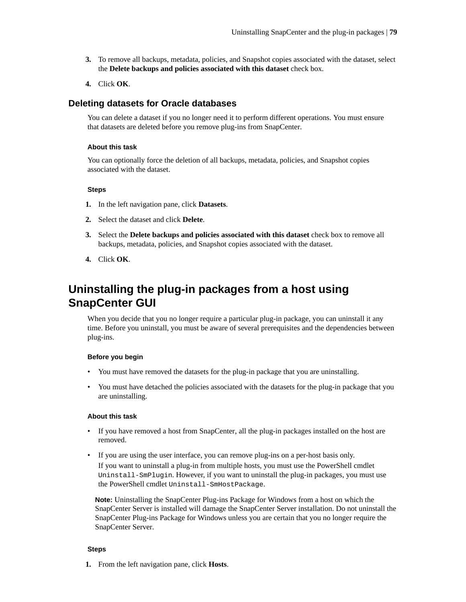- <span id="page-78-0"></span>**3.** To remove all backups, metadata, policies, and Snapshot copies associated with the dataset, select the **Delete backups and policies associated with this dataset** check box.
- **4.** Click **OK**.

## **Deleting datasets for Oracle databases**

You can delete a dataset if you no longer need it to perform different operations. You must ensure that datasets are deleted before you remove plug-ins from SnapCenter.

#### **About this task**

You can optionally force the deletion of all backups, metadata, policies, and Snapshot copies associated with the dataset.

#### **Steps**

- **1.** In the left navigation pane, click **Datasets**.
- **2.** Select the dataset and click **Delete**.
- **3.** Select the **Delete backups and policies associated with this dataset** check box to remove all backups, metadata, policies, and Snapshot copies associated with the dataset.
- **4.** Click **OK**.

# **Uninstalling the plug-in packages from a host using SnapCenter GUI**

When you decide that you no longer require a particular plug-in package, you can uninstall it any time. Before you uninstall, you must be aware of several prerequisites and the dependencies between plug-ins.

#### **Before you begin**

- You must have removed the datasets for the plug-in package that you are uninstalling.
- You must have detached the policies associated with the datasets for the plug-in package that you are uninstalling.

#### **About this task**

- If you have removed a host from SnapCenter, all the plug-in packages installed on the host are removed.
- If you are using the user interface, you can remove plug-ins on a per-host basis only. If you want to uninstall a plug-in from multiple hosts, you must use the PowerShell cmdlet Uninstall-SmPlugin. However, if you want to uninstall the plug-in packages, you must use the PowerShell cmdlet Uninstall-SmHostPackage.

**Note:** Uninstalling the SnapCenter Plug-ins Package for Windows from a host on which the SnapCenter Server is installed will damage the SnapCenter Server installation. Do not uninstall the SnapCenter Plug-ins Package for Windows unless you are certain that you no longer require the SnapCenter Server.

#### **Steps**

**1.** From the left navigation pane, click **Hosts**.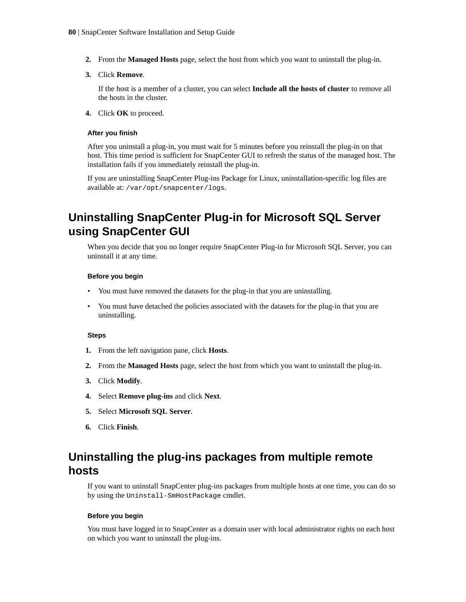- <span id="page-79-0"></span>**2.** From the **Managed Hosts** page, select the host from which you want to uninstall the plug-in.
- **3.** Click **Remove**.

If the host is a member of a cluster, you can select **Include all the hosts of cluster** to remove all the hosts in the cluster.

**4.** Click **OK** to proceed.

#### **After you finish**

After you uninstall a plug-in, you must wait for 5 minutes before you reinstall the plug-in on that host. This time period is sufficient for SnapCenter GUI to refresh the status of the managed host. The installation fails if you immediately reinstall the plug-in.

If you are uninstalling SnapCenter Plug-ins Package for Linux, uninstallation-specific log files are available at: /var/opt/snapcenter/logs.

# **Uninstalling SnapCenter Plug-in for Microsoft SQL Server using SnapCenter GUI**

When you decide that you no longer require SnapCenter Plug-in for Microsoft SQL Server, you can uninstall it at any time.

#### **Before you begin**

- You must have removed the datasets for the plug-in that you are uninstalling.
- You must have detached the policies associated with the datasets for the plug-in that you are uninstalling.

#### **Steps**

- **1.** From the left navigation pane, click **Hosts**.
- **2.** From the **Managed Hosts** page, select the host from which you want to uninstall the plug-in.
- **3.** Click **Modify**.
- **4.** Select **Remove plug-ins** and click **Next**.
- **5.** Select **Microsoft SQL Server**.
- **6.** Click **Finish**.

# **Uninstalling the plug-ins packages from multiple remote hosts**

If you want to uninstall SnapCenter plug-ins packages from multiple hosts at one time, you can do so by using the Uninstall-SmHostPackage cmdlet.

#### **Before you begin**

You must have logged in to SnapCenter as a domain user with local administrator rights on each host on which you want to uninstall the plug-ins.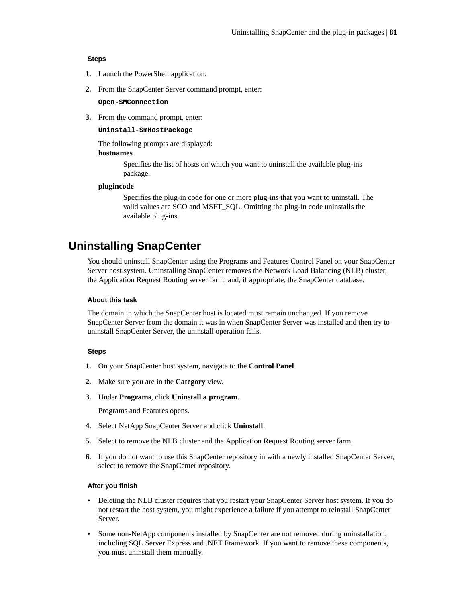#### <span id="page-80-0"></span>**Steps**

- **1.** Launch the PowerShell application.
- **2.** From the SnapCenter Server command prompt, enter:

**Open-SMConnection**

**3.** From the command prompt, enter:

#### **Uninstall-SmHostPackage**

The following prompts are displayed:

#### **hostnames**

Specifies the list of hosts on which you want to uninstall the available plug-ins package.

#### **plugincode**

Specifies the plug-in code for one or more plug-ins that you want to uninstall. The valid values are SCO and MSFT\_SQL. Omitting the plug-in code uninstalls the available plug-ins.

## **Uninstalling SnapCenter**

You should uninstall SnapCenter using the Programs and Features Control Panel on your SnapCenter Server host system. Uninstalling SnapCenter removes the Network Load Balancing (NLB) cluster, the Application Request Routing server farm, and, if appropriate, the SnapCenter database.

#### **About this task**

The domain in which the SnapCenter host is located must remain unchanged. If you remove SnapCenter Server from the domain it was in when SnapCenter Server was installed and then try to uninstall SnapCenter Server, the uninstall operation fails.

#### **Steps**

- **1.** On your SnapCenter host system, navigate to the **Control Panel**.
- **2.** Make sure you are in the **Category** view.
- **3.** Under **Programs**, click **Uninstall a program**.

Programs and Features opens.

- **4.** Select NetApp SnapCenter Server and click **Uninstall**.
- **5.** Select to remove the NLB cluster and the Application Request Routing server farm.
- **6.** If you do not want to use this SnapCenter repository in with a newly installed SnapCenter Server, select to remove the SnapCenter repository.

#### **After you finish**

- Deleting the NLB cluster requires that you restart your SnapCenter Server host system. If you do not restart the host system, you might experience a failure if you attempt to reinstall SnapCenter Server.
- Some non-NetApp components installed by SnapCenter are not removed during uninstallation, including SQL Server Express and .NET Framework. If you want to remove these components, you must uninstall them manually.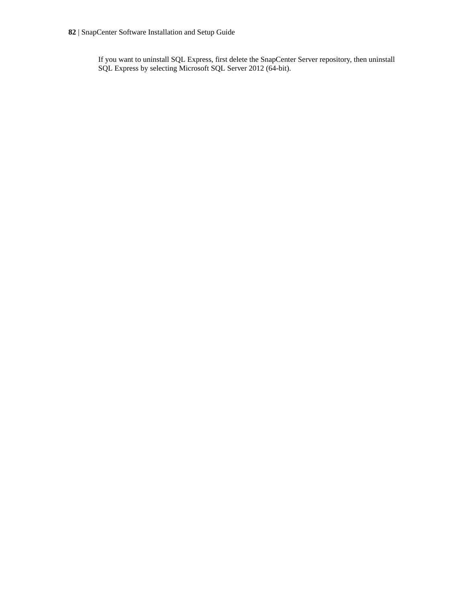If you want to uninstall SQL Express, first delete the SnapCenter Server repository, then uninstall SQL Express by selecting Microsoft SQL Server 2012 (64-bit).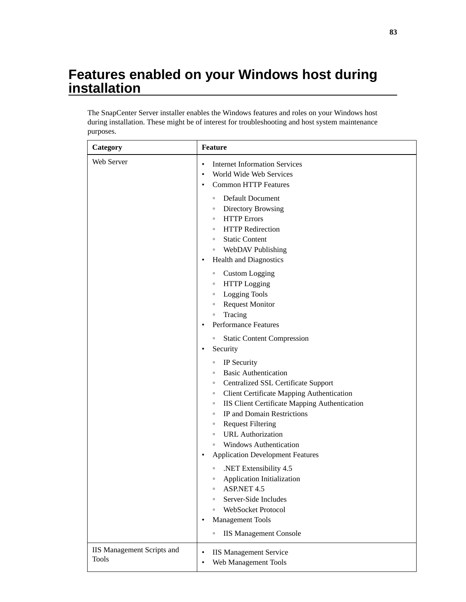# <span id="page-82-0"></span>**Features enabled on your Windows host during installation**

The SnapCenter Server installer enables the Windows features and roles on your Windows host during installation. These might be of interest for troubleshooting and host system maintenance purposes.

| Category                                          | <b>Feature</b>                                                                                                                                                                                                                                                                                                                                                                                                          |
|---------------------------------------------------|-------------------------------------------------------------------------------------------------------------------------------------------------------------------------------------------------------------------------------------------------------------------------------------------------------------------------------------------------------------------------------------------------------------------------|
| Web Server                                        | <b>Internet Information Services</b><br>$\bullet$<br>World Wide Web Services<br>$\bullet$<br><b>Common HTTP Features</b><br>٠                                                                                                                                                                                                                                                                                           |
|                                                   | Default Document<br>$\circ$<br><b>Directory Browsing</b><br>$\circ$<br><b>HTTP</b> Errors<br>$\circ$<br><b>HTTP</b> Redirection<br>$\circ$<br><b>Static Content</b><br>$\circ$<br><b>WebDAV Publishing</b><br>$\circ$<br><b>Health and Diagnostics</b><br>$\bullet$<br><b>Custom Logging</b><br>$\circ$<br><b>HTTP</b> Logging<br>$\circ$                                                                               |
|                                                   | <b>Logging Tools</b><br>$\circ$<br><b>Request Monitor</b><br>$\circ$<br>Tracing<br>$\circ$<br><b>Performance Features</b><br>$\bullet$                                                                                                                                                                                                                                                                                  |
|                                                   | <b>Static Content Compression</b><br>$\circ$<br>Security<br>$\bullet$                                                                                                                                                                                                                                                                                                                                                   |
|                                                   | IP Security<br>$\circ$<br><b>Basic Authentication</b><br>$\circ$<br><b>Centralized SSL Certificate Support</b><br>$\circ$<br><b>Client Certificate Mapping Authentication</b><br>$\circ$<br>IIS Client Certificate Mapping Authentication<br>$\circ$<br>IP and Domain Restrictions<br>$\circ$<br><b>Request Filtering</b><br>$\circ$<br><b>URL</b> Authorization<br>$\circ$<br><b>Windows Authentication</b><br>$\circ$ |
|                                                   | <b>Application Development Features</b><br>$\bullet$<br>.NET Extensibility 4.5<br>$\circ$<br>Application Initialization<br>$\circ$<br><b>ASP.NET 4.5</b><br>$\circ$<br>Server-Side Includes<br>$\circ$<br>WebSocket Protocol<br>$\circ$<br><b>Management Tools</b><br>$\bullet$<br><b>IIS Management Console</b><br>$\circ$                                                                                             |
| <b>IIS Management Scripts and</b><br><b>Tools</b> | <b>IIS Management Service</b><br>$\bullet$<br>Web Management Tools<br>٠                                                                                                                                                                                                                                                                                                                                                 |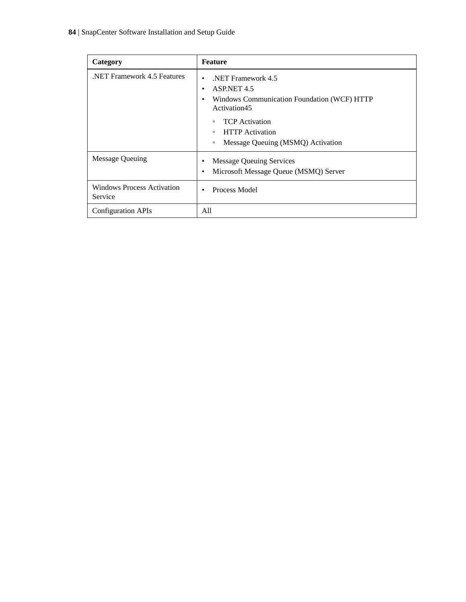| Category                                     | <b>Feature</b>                                                                                                                                                                                                                                          |
|----------------------------------------------|---------------------------------------------------------------------------------------------------------------------------------------------------------------------------------------------------------------------------------------------------------|
| NET Framework 4.5 Features                   | NET Framework 4.5<br>$\bullet$<br>ASP.NET 4.5<br>$\bullet$<br>Windows Communication Foundation (WCF) HTTP<br>٠<br>Activation45<br><b>TCP</b> Activation<br>$\circ$<br><b>HTTP</b> Activation<br>$\circ$<br>Message Queuing (MSMQ) Activation<br>$\circ$ |
| <b>Message Queuing</b>                       | <b>Message Queuing Services</b><br>٠<br>Microsoft Message Queue (MSMQ) Server<br>$\bullet$                                                                                                                                                              |
| <b>Windows Process Activation</b><br>Service | Process Model<br>$\bullet$                                                                                                                                                                                                                              |
| <b>Configuration APIs</b>                    | All                                                                                                                                                                                                                                                     |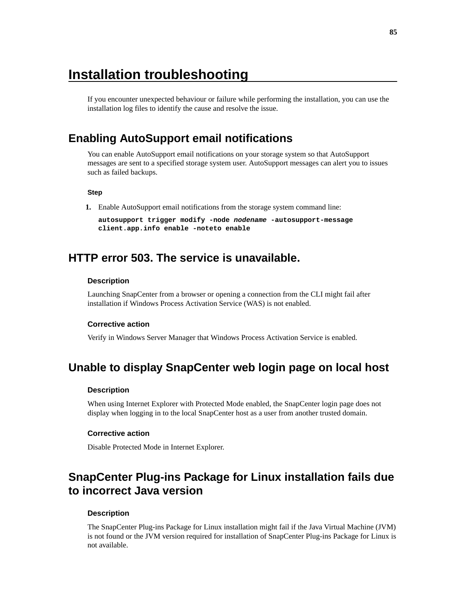# <span id="page-84-0"></span>**Installation troubleshooting**

If you encounter unexpected behaviour or failure while performing the installation, you can use the installation log files to identify the cause and resolve the issue.

# **Enabling AutoSupport email notifications**

You can enable AutoSupport email notifications on your storage system so that AutoSupport messages are sent to a specified storage system user. AutoSupport messages can alert you to issues such as failed backups.

#### **Step**

**1.** Enable AutoSupport email notifications from the storage system command line:

```
autosupport trigger modify -node nodename -autosupport-message
client.app.info enable -noteto enable
```
## **HTTP error 503. The service is unavailable.**

#### **Description**

Launching SnapCenter from a browser or opening a connection from the CLI might fail after installation if Windows Process Activation Service (WAS) is not enabled.

#### **Corrective action**

Verify in Windows Server Manager that Windows Process Activation Service is enabled.

## **Unable to display SnapCenter web login page on local host**

#### **Description**

When using Internet Explorer with Protected Mode enabled, the SnapCenter login page does not display when logging in to the local SnapCenter host as a user from another trusted domain.

#### **Corrective action**

Disable Protected Mode in Internet Explorer.

# **SnapCenter Plug-ins Package for Linux installation fails due to incorrect Java version**

#### **Description**

The SnapCenter Plug-ins Package for Linux installation might fail if the Java Virtual Machine (JVM) is not found or the JVM version required for installation of SnapCenter Plug-ins Package for Linux is not available.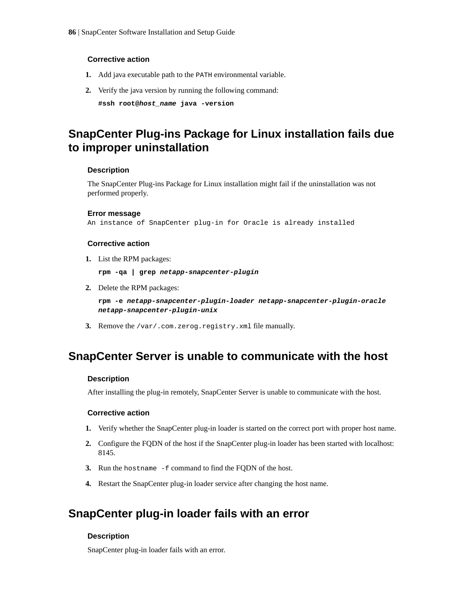#### <span id="page-85-0"></span>**Corrective action**

- **1.** Add java executable path to the PATH environmental variable.
- **2.** Verify the java version by running the following command:

**#ssh root@host\_name java -version**

# **SnapCenter Plug-ins Package for Linux installation fails due to improper uninstallation**

#### **Description**

The SnapCenter Plug-ins Package for Linux installation might fail if the uninstallation was not performed properly.

#### **Error message**

```
An instance of SnapCenter plug-in for Oracle is already installed
```
#### **Corrective action**

**1.** List the RPM packages:

```
rpm -qa | grep netapp-snapcenter-plugin
```
**2.** Delete the RPM packages:

**rpm -e netapp-snapcenter-plugin-loader netapp-snapcenter-plugin-oracle netapp-snapcenter-plugin-unix**

**3.** Remove the /var/.com.zerog.registry.xml file manually.

# **SnapCenter Server is unable to communicate with the host**

#### **Description**

After installing the plug-in remotely, SnapCenter Server is unable to communicate with the host.

#### **Corrective action**

- **1.** Verify whether the SnapCenter plug-in loader is started on the correct port with proper host name.
- **2.** Configure the FQDN of the host if the SnapCenter plug-in loader has been started with localhost: 8145.
- **3.** Run the hostname -f command to find the FQDN of the host.
- **4.** Restart the SnapCenter plug-in loader service after changing the host name.

# **SnapCenter plug-in loader fails with an error**

#### **Description**

SnapCenter plug-in loader fails with an error.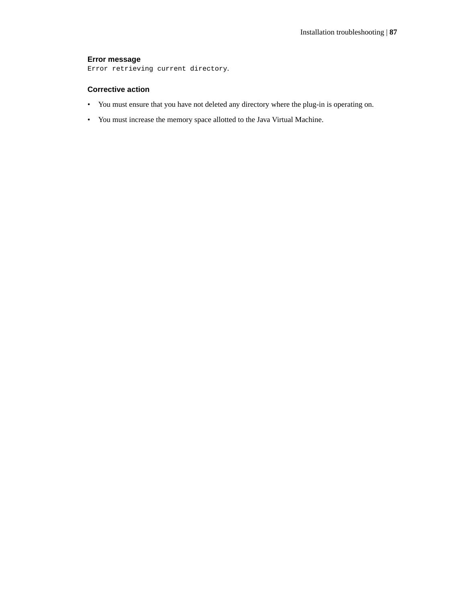#### **Error message**

Error retrieving current directory.

### **Corrective action**

- You must ensure that you have not deleted any directory where the plug-in is operating on.
- You must increase the memory space allotted to the Java Virtual Machine.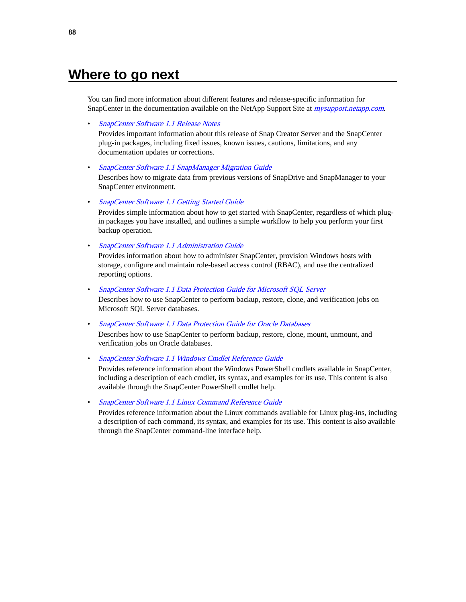# <span id="page-87-0"></span>**Where to go next**

You can find more information about different features and release-specific information for SnapCenter in the documentation available on the NetApp Support Site at *[mysupport.netapp.com](http://mysupport.netapp.com/)*.

• [SnapCenter Software 1.1 Release Notes](https://library.netapp.com/ecm/ecm_download_file/ECMLP2439715)

Provides important information about this release of Snap Creator Server and the SnapCenter plug-in packages, including fixed issues, known issues, cautions, limitations, and any documentation updates or corrections.

• [SnapCenter Software 1.1 SnapManager Migration Guide](https://library.netapp.com/ecm/ecm_download_file/ECMLP2440302)

Describes how to migrate data from previous versions of SnapDrive and SnapManager to your SnapCenter environment.

• [SnapCenter Software 1.1 Getting Started Guide](https://library.netapp.com/ecm/ecm_download_file/ECMLP2440145)

Provides simple information about how to get started with SnapCenter, regardless of which plugin packages you have installed, and outlines a simple workflow to help you perform your first backup operation.

• [SnapCenter Software 1.1 Administration Guide](https://library.netapp.com/ecm/ecm_download_file/ECMLP2439718)

Provides information about how to administer SnapCenter, provision Windows hosts with storage, configure and maintain role-based access control (RBAC), and use the centralized reporting options.

• [SnapCenter Software 1.1 Data Protection Guide for Microsoft SQL Server](https://library.netapp.com/ecm/ecm_download_file/ECMLP2440325)

Describes how to use SnapCenter to perform backup, restore, clone, and verification jobs on Microsoft SQL Server databases.

• [SnapCenter Software 1.1 Data Protection Guide for Oracle Databases](https://library.netapp.com/ecm/ecm_download_file/ECMLP2440314)

Describes how to use SnapCenter to perform backup, restore, clone, mount, unmount, and verification jobs on Oracle databases.

• [SnapCenter Software 1.1 Windows Cmdlet Reference Guide](https://library.netapp.com/ecm/ecm_download_file/ECMLP2440057)

Provides reference information about the Windows PowerShell cmdlets available in SnapCenter, including a description of each cmdlet, its syntax, and examples for its use. This content is also available through the SnapCenter PowerShell cmdlet help.

• [SnapCenter Software 1.1 Linux Command Reference Guide](https://library.netapp.com/ecm/ecm_download_file/ECMLP2440332)

Provides reference information about the Linux commands available for Linux plug-ins, including a description of each command, its syntax, and examples for its use. This content is also available through the SnapCenter command-line interface help.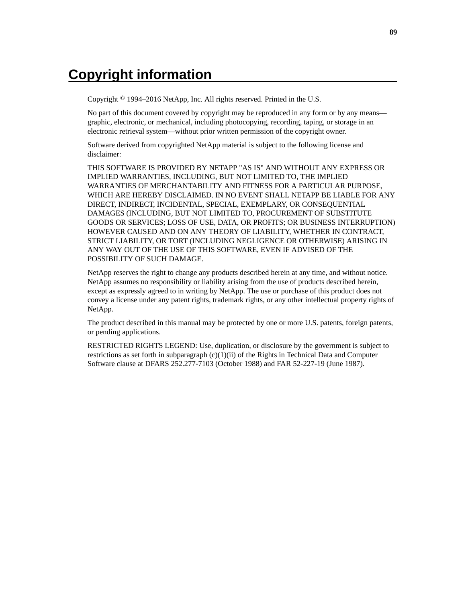# **Copyright information**

Copyright © 1994–2016 NetApp, Inc. All rights reserved. Printed in the U.S.

No part of this document covered by copyright may be reproduced in any form or by any means graphic, electronic, or mechanical, including photocopying, recording, taping, or storage in an electronic retrieval system—without prior written permission of the copyright owner.

Software derived from copyrighted NetApp material is subject to the following license and disclaimer:

THIS SOFTWARE IS PROVIDED BY NETAPP "AS IS" AND WITHOUT ANY EXPRESS OR IMPLIED WARRANTIES, INCLUDING, BUT NOT LIMITED TO, THE IMPLIED WARRANTIES OF MERCHANTABILITY AND FITNESS FOR A PARTICULAR PURPOSE, WHICH ARE HEREBY DISCLAIMED. IN NO EVENT SHALL NETAPP BE LIABLE FOR ANY DIRECT, INDIRECT, INCIDENTAL, SPECIAL, EXEMPLARY, OR CONSEQUENTIAL DAMAGES (INCLUDING, BUT NOT LIMITED TO, PROCUREMENT OF SUBSTITUTE GOODS OR SERVICES; LOSS OF USE, DATA, OR PROFITS; OR BUSINESS INTERRUPTION) HOWEVER CAUSED AND ON ANY THEORY OF LIABILITY, WHETHER IN CONTRACT, STRICT LIABILITY, OR TORT (INCLUDING NEGLIGENCE OR OTHERWISE) ARISING IN ANY WAY OUT OF THE USE OF THIS SOFTWARE, EVEN IF ADVISED OF THE POSSIBILITY OF SUCH DAMAGE.

NetApp reserves the right to change any products described herein at any time, and without notice. NetApp assumes no responsibility or liability arising from the use of products described herein, except as expressly agreed to in writing by NetApp. The use or purchase of this product does not convey a license under any patent rights, trademark rights, or any other intellectual property rights of NetApp.

The product described in this manual may be protected by one or more U.S. patents, foreign patents, or pending applications.

RESTRICTED RIGHTS LEGEND: Use, duplication, or disclosure by the government is subject to restrictions as set forth in subparagraph  $(c)(1)(ii)$  of the Rights in Technical Data and Computer Software clause at DFARS 252.277-7103 (October 1988) and FAR 52-227-19 (June 1987).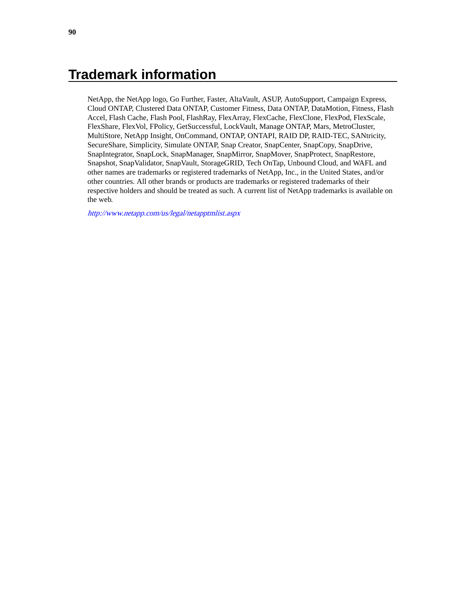# **Trademark information**

NetApp, the NetApp logo, Go Further, Faster, AltaVault, ASUP, AutoSupport, Campaign Express, Cloud ONTAP, Clustered Data ONTAP, Customer Fitness, Data ONTAP, DataMotion, Fitness, Flash Accel, Flash Cache, Flash Pool, FlashRay, FlexArray, FlexCache, FlexClone, FlexPod, FlexScale, FlexShare, FlexVol, FPolicy, GetSuccessful, LockVault, Manage ONTAP, Mars, MetroCluster, MultiStore, NetApp Insight, OnCommand, ONTAP, ONTAPI, RAID DP, RAID-TEC, SANtricity, SecureShare, Simplicity, Simulate ONTAP, Snap Creator, SnapCenter, SnapCopy, SnapDrive, SnapIntegrator, SnapLock, SnapManager, SnapMirror, SnapMover, SnapProtect, SnapRestore, Snapshot, SnapValidator, SnapVault, StorageGRID, Tech OnTap, Unbound Cloud, and WAFL and other names are trademarks or registered trademarks of NetApp, Inc., in the United States, and/or other countries. All other brands or products are trademarks or registered trademarks of their respective holders and should be treated as such. A current list of NetApp trademarks is available on the web.

<http://www.netapp.com/us/legal/netapptmlist.aspx>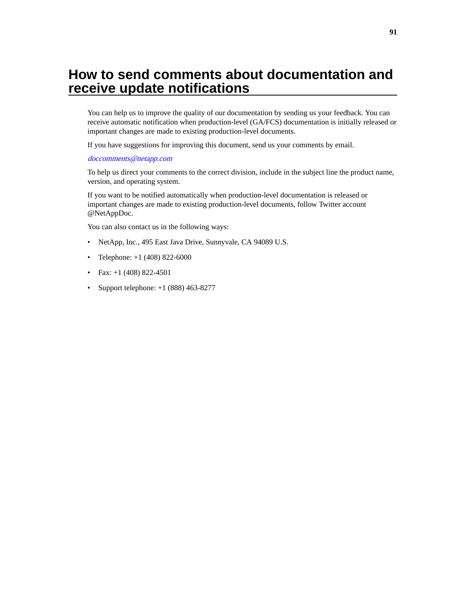# <span id="page-90-0"></span>**How to send comments about documentation and receive update notifications**

You can help us to improve the quality of our documentation by sending us your feedback. You can receive automatic notification when production-level (GA/FCS) documentation is initially released or important changes are made to existing production-level documents.

If you have suggestions for improving this document, send us your comments by email.

#### [doccomments@netapp.com](mailto:doccomments@netapp.com)

To help us direct your comments to the correct division, include in the subject line the product name, version, and operating system.

If you want to be notified automatically when production-level documentation is released or important changes are made to existing production-level documents, follow Twitter account @NetAppDoc.

You can also contact us in the following ways:

- NetApp, Inc., 495 East Java Drive, Sunnyvale, CA 94089 U.S.
- Telephone: +1 (408) 822-6000
- Fax:  $+1$  (408) 822-4501
- Support telephone:  $+1$  (888) 463-8277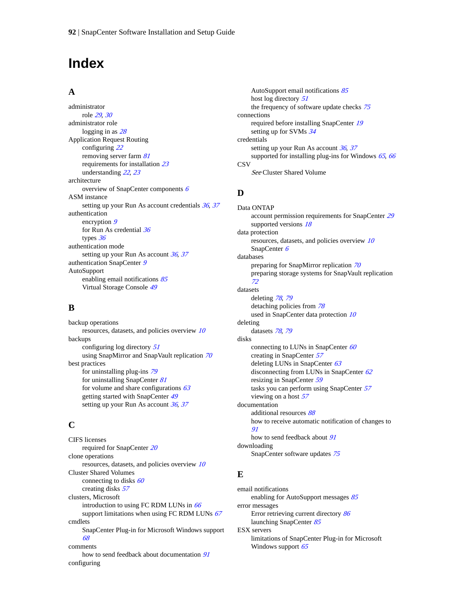# **Index**

### **A**

administrator role [29](#page-28-0), [30](#page-29-0) administrator role logging in as  $28$ Application Request Routing configuring [22](#page-21-0) removing server farm  $81$ requirements for installation [23](#page-22-0) understanding [22](#page-21-0), [23](#page-22-0) architecture overview of SnapCenter components [6](#page-5-0) ASM instance setting up your Run As account credentials [36](#page-35-0), [37](#page-36-0) authentication encryption [9](#page-8-0) for Run As credential [36](#page-35-0) types [36](#page-35-0) authentication mode setting up your Run As account  $36$ ,  $37$ authentication SnapCenter [9](#page-8-0) AutoSupport enabling email notifications [85](#page-84-0) Virtual Storage Console [49](#page-48-0)

## **B**

backup operations resources, datasets, and policies overview [10](#page-9-0) backups configuring log directory [51](#page-50-0) using SnapMirror and SnapVault replication [70](#page-69-0) best practices for uninstalling plug-ins [79](#page-78-0) for uninstalling SnapCenter [81](#page-80-0) for volume and share configurations  $63$ getting started with SnapCenter [49](#page-48-0) setting up your Run As account [36](#page-35-0), [37](#page-36-0)

## **C**

CIFS licenses required for SnapCenter [20](#page-19-0) clone operations resources, datasets, and policies overview [10](#page-9-0) Cluster Shared Volumes connecting to disks  $60$ creating disks [57](#page-56-0) clusters, Microsoft introduction to using FC RDM LUNs in [66](#page-65-0) support limitations when using FC RDM LUNs [67](#page-66-0) cmdlets SnapCenter Plug-in for Microsoft Windows support [68](#page-67-0) comments how to send feedback about documentation  $91$ configuring

AutoSupport email notifications [85](#page-84-0) host log directory [51](#page-50-0) the frequency of software update checks [75](#page-74-0) connections required before installing SnapCenter [19](#page-18-0) setting up for SVMs  $34$ credentials setting up your Run As account  $36$ ,  $37$ supported for installing plug-ins for Windows  $65, 66$  $65, 66$  $65, 66$ **CSV** See Cluster Shared Volume

## **D**

Data ONTAP account permission requirements for SnapCenter [29](#page-28-0) supported versions  $18$ data protection resources, datasets, and policies overview [10](#page-9-0) SnapCenter [6](#page-5-0) databases preparing for SnapMirror replication [70](#page-69-0) preparing storage systems for SnapVault replication [72](#page-71-0) datasets deleting [78](#page-77-0), [79](#page-78-0) detaching policies from [78](#page-77-0) used in SnapCenter data protection [10](#page-9-0) deleting datasets [78](#page-77-0), [79](#page-78-0) disks connecting to LUNs in SnapCenter [60](#page-59-0) creating in SnapCenter [57](#page-56-0) deleting LUNs in SnapCenter [63](#page-62-0) disconnecting from LUNs in SnapCenter [62](#page-61-0) resizing in SnapCenter [59](#page-58-0) tasks you can perform using SnapCenter [57](#page-56-0) viewing on a host [57](#page-56-0) documentation additional resources [88](#page-87-0) how to receive automatic notification of changes to [91](#page-90-0) how to send feedback about [91](#page-90-0) downloading SnapCenter software updates [75](#page-74-0)

## **E**

email notifications enabling for AutoSupport messages [85](#page-84-0) error messages Error retrieving current directory [86](#page-85-0) launching SnapCenter [85](#page-84-0) ESX servers limitations of SnapCenter Plug-in for Microsoft Windows support [65](#page-64-0)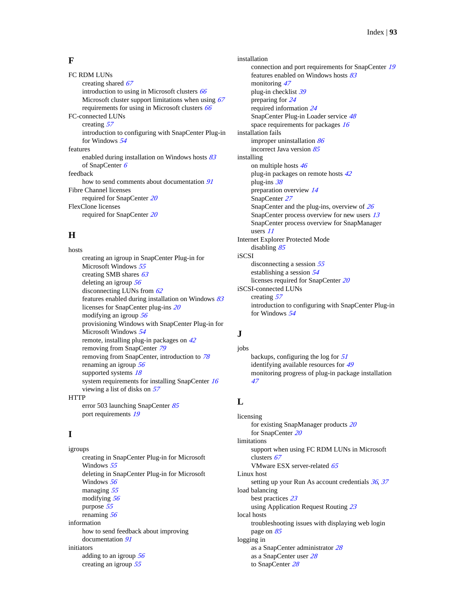### **F**

FC RDM LUNs creating shared [67](#page-66-0) introduction to using in Microsoft clusters [66](#page-65-0) Microsoft cluster support limitations when using  $67$ requirements for using in Microsoft clusters [66](#page-65-0) FC-connected LUNs creating [57](#page-56-0) introduction to configuring with SnapCenter Plug-in for Windows [54](#page-53-0) features enabled during installation on Windows hosts [83](#page-82-0) of SnapCenter [6](#page-5-0) feedback how to send comments about documentation  $91$ Fibre Channel licenses required for SnapCenter [20](#page-19-0) FlexClone licenses required for SnapCenter [20](#page-19-0)

## **H**

hosts creating an igroup in SnapCenter Plug-in for Microsoft Windows [55](#page-54-0) creating SMB shares [63](#page-62-0) deleting an igroup [56](#page-55-0) disconnecting LUNs from  $62$ features enabled during installation on Windows  $83$ licenses for SnapCenter plug-ins [20](#page-19-0) modifying an igroup [56](#page-55-0) provisioning Windows with SnapCenter Plug-in for Microsoft Windows [54](#page-53-0) remote, installing plug-in packages on [42](#page-41-0) removing from SnapCenter [79](#page-78-0) removing from SnapCenter, introduction to [78](#page-77-0) renaming an igroup [56](#page-55-0) supported systems [18](#page-17-0) system requirements for installing SnapCenter [16](#page-15-0) viewing a list of disks on [57](#page-56-0) **HTTP** error 503 launching SnapCenter [85](#page-84-0)

port requirements [19](#page-18-0)

## **I**

igroups creating in SnapCenter Plug-in for Microsoft Windows [55](#page-54-0) deleting in SnapCenter Plug-in for Microsoft Windows [56](#page-55-0) managing [55](#page-54-0) modifying [56](#page-55-0) purpose [55](#page-54-0) renaming [56](#page-55-0) information how to send feedback about improving documentation [91](#page-90-0) initiators adding to an igroup [56](#page-55-0) creating an igroup [55](#page-54-0)

installation connection and port requirements for SnapCenter [19](#page-18-0) features enabled on Windows hosts [83](#page-82-0) monitoring [47](#page-46-0) plug-in checklist [39](#page-38-0) preparing for [24](#page-23-0) required information [24](#page-23-0) SnapCenter Plug-in Loader service [48](#page-47-0) space requirements for packages [16](#page-15-0) installation fails improper uninstallation  $86$ incorrect Java version [85](#page-84-0) installing on multiple hosts [46](#page-45-0) plug-in packages on remote hosts [42](#page-41-0) plug-ins [38](#page-37-0) preparation overview [14](#page-13-0) SnapCenter [27](#page-26-0) SnapCenter and the plug-ins, overview of [26](#page-25-0) SnapCenter process overview for new users  $13$ SnapCenter process overview for SnapManager users [11](#page-10-0) Internet Explorer Protected Mode disabling [85](#page-84-0) iSCSI disconnecting a session  $55$ establishing a session [54](#page-53-0) licenses required for SnapCenter [20](#page-19-0) iSCSI-connected LUNs creating [57](#page-56-0) introduction to configuring with SnapCenter Plug-in for Windows [54](#page-53-0)

## **J**

jobs backups, configuring the log for  $51$ identifying available resources for [49](#page-48-0) monitoring progress of plug-in package installation [47](#page-46-0)

## **L**

licensing for existing SnapManager products [20](#page-19-0) for SnapCenter [20](#page-19-0) limitations support when using FC RDM LUNs in Microsoft clusters [67](#page-66-0) VMware ESX server-related [65](#page-64-0) Linux host setting up your Run As account credentials [36](#page-35-0), [37](#page-36-0) load balancing best practices [23](#page-22-0) using Application Request Routing [23](#page-22-0) local hosts troubleshooting issues with displaying web login page on [85](#page-84-0) logging in as a SnapCenter administrator [28](#page-27-0) as a SnapCenter user [28](#page-27-0) to SnapCenter [28](#page-27-0)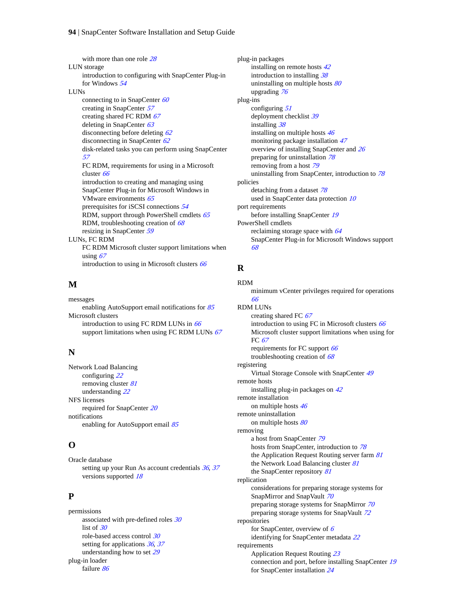with more than one role [28](#page-27-0) LUN storage introduction to configuring with SnapCenter Plug-in for Windows [54](#page-53-0) LUNs connecting to in SnapCenter [60](#page-59-0) creating in SnapCenter [57](#page-56-0) creating shared FC RDM  $67$ deleting in SnapCenter [63](#page-62-0) disconnecting before deleting [62](#page-61-0) disconnecting in SnapCenter [62](#page-61-0) disk-related tasks you can perform using SnapCenter [57](#page-56-0) FC RDM, requirements for using in a Microsoft cluster [66](#page-65-0) introduction to creating and managing using SnapCenter Plug-in for Microsoft Windows in VMware environments [65](#page-64-0) prerequisites for iSCSI connections [54](#page-53-0) RDM, support through PowerShell cmdlets [65](#page-64-0) RDM, troubleshooting creation of  $68$ resizing in SnapCenter [59](#page-58-0) LUNs, FC RDM FC RDM Microsoft cluster support limitations when using  $67$ introduction to using in Microsoft clusters [66](#page-65-0)

## **M**

messages enabling AutoSupport email notifications for [85](#page-84-0) Microsoft clusters introduction to using FC RDM LUNs in  $66$ support limitations when using FC RDM LUNs  $67$ 

## **N**

Network Load Balancing configuring [22](#page-21-0) removing cluster [81](#page-80-0) understanding [22](#page-21-0) NFS licenses required for SnapCenter [20](#page-19-0) notifications enabling for AutoSupport email [85](#page-84-0)

## **O**

Oracle database setting up your Run As account credentials  $36$ ,  $37$ versions supported [18](#page-17-0)

## **P**

permissions associated with pre-defined roles  $30$ list of  $30$ role-based access control [30](#page-29-0) setting for applications [36](#page-35-0), [37](#page-36-0) understanding how to set [29](#page-28-0) plug-in loader failure [86](#page-85-0)

plug-in packages installing on remote hosts [42](#page-41-0) introduction to installing [38](#page-37-0) uninstalling on multiple hosts  $80$ upgrading [76](#page-75-0) plug-ins configuring [51](#page-50-0) deployment checklist [39](#page-38-0) installing [38](#page-37-0) installing on multiple hosts [46](#page-45-0) monitoring package installation [47](#page-46-0) overview of installing SnapCenter and [26](#page-25-0) preparing for uninstallation [78](#page-77-0) removing from a host [79](#page-78-0) uninstalling from SnapCenter, introduction to [78](#page-77-0) policies detaching from a dataset [78](#page-77-0) used in SnapCenter data protection [10](#page-9-0) port requirements before installing SnapCenter [19](#page-18-0) PowerShell cmdlets reclaiming storage space with [64](#page-63-0) SnapCenter Plug-in for Microsoft Windows support [68](#page-67-0)

## **R**

RDM

minimum vCenter privileges required for operations [66](#page-65-0) RDM LUNs creating shared FC [67](#page-66-0) introduction to using FC in Microsoft clusters [66](#page-65-0) Microsoft cluster support limitations when using for FC [67](#page-66-0) requirements for FC support [66](#page-65-0) troubleshooting creation of  $\frac{68}{68}$  $\frac{68}{68}$  $\frac{68}{68}$ registering Virtual Storage Console with SnapCenter [49](#page-48-0) remote hosts installing plug-in packages on [42](#page-41-0) remote installation on multiple hosts [46](#page-45-0) remote uninstallation on multiple hosts [80](#page-79-0) removing a host from SnapCenter [79](#page-78-0) hosts from SnapCenter, introduction to [78](#page-77-0) the Application Request Routing server farm [81](#page-80-0) the Network Load Balancing cluster [81](#page-80-0) the SnapCenter repository [81](#page-80-0) replication considerations for preparing storage systems for SnapMirror and SnapVault [70](#page-69-0) preparing storage systems for SnapMirror [70](#page-69-0) preparing storage systems for SnapVault [72](#page-71-0) repositories for SnapCenter, overview of  $6$ identifying for SnapCenter metadata [22](#page-21-0) requirements Application Request Routing [23](#page-22-0) connection and port, before installing SnapCenter [19](#page-18-0) for SnapCenter installation [24](#page-23-0)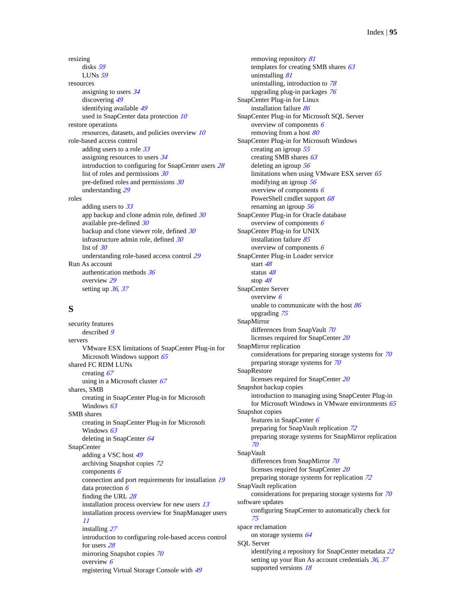resizing disks [59](#page-58-0) LUNs [59](#page-58-0) resources assigning to users  $34$ discovering [49](#page-48-0) identifying available [49](#page-48-0) used in SnapCenter data protection [10](#page-9-0) restore operations resources, datasets, and policies overview [10](#page-9-0) role-based access control adding users to a role  $33$ assigning resources to users [34](#page-33-0) introduction to configuring for SnapCenter users [28](#page-27-0) list of roles and permissions  $30$ pre-defined roles and permissions  $30$ understanding [29](#page-28-0) roles adding users to [33](#page-32-0) app backup and clone admin role, defined [30](#page-29-0) available pre-defined [30](#page-29-0) backup and clone viewer role, defined [30](#page-29-0) infrastructure admin role, defined [30](#page-29-0) list of  $30$ understanding role-based access control [29](#page-28-0) Run As account authentication methods  $36$ overview [29](#page-28-0) setting up  $36, 37$  $36, 37$  $36, 37$ 

## **S**

security features described [9](#page-8-0) servers VMware ESX limitations of SnapCenter Plug-in for Microsoft Windows support [65](#page-64-0) shared FC RDM LUNs creating [67](#page-66-0) using in a Microsoft cluster  $67$ shares, SMB creating in SnapCenter Plug-in for Microsoft Windows [63](#page-62-0) SMB shares creating in SnapCenter Plug-in for Microsoft Windows [63](#page-62-0) deleting in SnapCenter [64](#page-63-0) SnapCenter adding a VSC host [49](#page-48-0) archiving Snapshot copies [72](#page-71-0) components  $6$ connection and port requirements for installation [19](#page-18-0) data protection  $6$ finding the URL [28](#page-27-0) installation process overview for new users [13](#page-12-0) installation process overview for SnapManager users [11](#page-10-0) installing [27](#page-26-0) introduction to configuring role-based access control for users [28](#page-27-0) mirroring Snapshot copies [70](#page-69-0) overview [6](#page-5-0) registering Virtual Storage Console with [49](#page-48-0)

removing repository [81](#page-80-0) templates for creating SMB shares  $63$ uninstalling [81](#page-80-0) uninstalling, introduction to [78](#page-77-0) upgrading plug-in packages [76](#page-75-0) SnapCenter Plug-in for Linux installation failure [86](#page-85-0) SnapCenter Plug-in for Microsoft SQL Server overview of components [6](#page-5-0) removing from a host  $80$ SnapCenter Plug-in for Microsoft Windows creating an igroup [55](#page-54-0) creating SMB shares [63](#page-62-0) deleting an igroup [56](#page-55-0) limitations when using VMware ESX server  $65$ modifying an igroup [56](#page-55-0) overview of components  $6$ PowerShell cmdlet support [68](#page-67-0) renaming an igroup [56](#page-55-0) SnapCenter Plug-in for Oracle database overview of components [6](#page-5-0) SnapCenter Plug-in for UNIX installation failure [85](#page-84-0) overview of components [6](#page-5-0) SnapCenter Plug-in Loader service start [48](#page-47-0) status [48](#page-47-0) stop [48](#page-47-0) SnapCenter Server overview [6](#page-5-0) unable to communicate with the host [86](#page-85-0) upgrading [75](#page-74-0) SnapMirror differences from SnapVault [70](#page-69-0) licenses required for SnapCenter [20](#page-19-0) SnapMirror replication considerations for preparing storage systems for  $70$ preparing storage systems for [70](#page-69-0) SnapRestore licenses required for SnapCenter [20](#page-19-0) Snapshot backup copies introduction to managing using SnapCenter Plug-in for Microsoft Windows in VMware environments [65](#page-64-0) Snapshot copies features in SnapCenter [6](#page-5-0) preparing for SnapVault replication [72](#page-71-0) preparing storage systems for SnapMirror replication [70](#page-69-0) SnapVault differences from SnapMirror [70](#page-69-0) licenses required for SnapCenter [20](#page-19-0) preparing storage systems for replication [72](#page-71-0) SnapVault replication considerations for preparing storage systems for [70](#page-69-0) software updates configuring SnapCenter to automatically check for [75](#page-74-0) space reclamation on storage systems [64](#page-63-0) SQL Server identifying a repository for SnapCenter metadata [22](#page-21-0) setting up your Run As account credentials [36](#page-35-0), [37](#page-36-0) supported versions  $18$